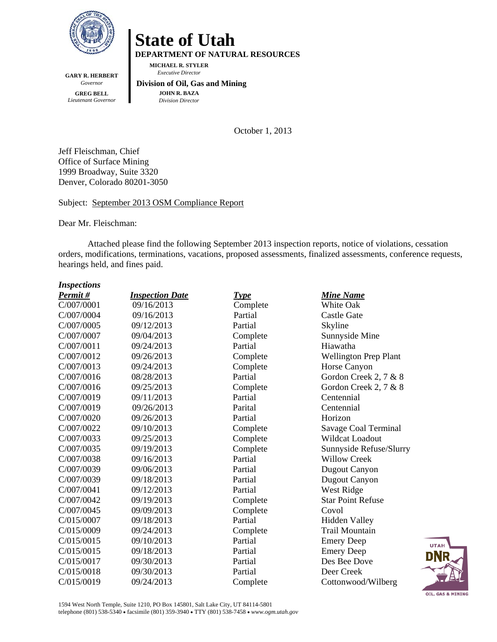

**GARY R. HERBERT DEPARTMENT OF NATURAL RESOURCES MICHAEL R. STYLER**   *Executive Director* 

*Governor*  **GREG BELL**  *Lieutenant Governor*   **Division of Oil, Gas and Mining JOHN R. BAZA**  *Division Director*

**State of Utah** 

October 1, 2013

Jeff Fleischman, Chief Office of Surface Mining 1999 Broadway, Suite 3320 Denver, Colorado 80201-3050

Subject: September 2013 OSM Compliance Report

Dear Mr. Fleischman:

Attached please find the following September 2013 inspection reports, notice of violations, cessation orders, modifications, terminations, vacations, proposed assessments, finalized assessments, conference requests, hearings held, and fines paid.

| <b>Inspections</b> |
|--------------------|
|--------------------|

| Permit#    | <b>Inspection Date</b> | Type     | <b>Mine Name</b>         |
|------------|------------------------|----------|--------------------------|
| C/007/0001 | 09/16/2013             | Complete | White Oak                |
| C/007/0004 | 09/16/2013             | Partial  | <b>Castle Gate</b>       |
| C/007/0005 | 09/12/2013             | Partial  | Skyline                  |
| C/007/0007 | 09/04/2013             | Complete | Sunnyside Mine           |
| C/007/0011 | 09/24/2013             | Partial  | Hiawatha                 |
| C/007/0012 | 09/26/2013             | Complete | Wellington Prep Plant    |
| C/007/0013 | 09/24/2013             | Complete | Horse Canyon             |
| C/007/0016 | 08/28/2013             | Partial  | Gordon Creek 2, 7 & 8    |
| C/007/0016 | 09/25/2013             | Complete | Gordon Creek 2, 7 & 8    |
| C/007/0019 | 09/11/2013             | Partial  | Centennial               |
| C/007/0019 | 09/26/2013             | Parital  | Centennial               |
| C/007/0020 | 09/26/2013             | Partial  | Horizon                  |
| C/007/0022 | 09/10/2013             | Complete | Savage Coal Terminal     |
| C/007/0033 | 09/25/2013             | Complete | Wildcat Loadout          |
| C/007/0035 | 09/19/2013             | Complete | Sunnyside Refuse/Slurry  |
| C/007/0038 | 09/16/2013             | Partial  | <b>Willow Creek</b>      |
| C/007/0039 | 09/06/2013             | Partial  | Dugout Canyon            |
| C/007/0039 | 09/18/2013             | Partial  | Dugout Canyon            |
| C/007/0041 | 09/12/2013             | Partial  | West Ridge               |
| C/007/0042 | 09/19/2013             | Complete | <b>Star Point Refuse</b> |
| C/007/0045 | 09/09/2013             | Complete | Covol                    |
| C/015/0007 | 09/18/2013             | Partial  | <b>Hidden Valley</b>     |
| C/015/0009 | 09/24/2013             | Complete | <b>Trail Mountain</b>    |
| C/015/0015 | 09/10/2013             | Partial  | <b>Emery Deep</b>        |
| C/015/0015 | 09/18/2013             | Partial  | <b>Emery Deep</b>        |
| C/015/0017 | 09/30/2013             | Partial  | Des Bee Dove             |
| C/015/0018 | 09/30/2013             | Partial  | Deer Creek               |
| C/015/0019 | 09/24/2013             | Complete | Cottonwood/Wilberg       |

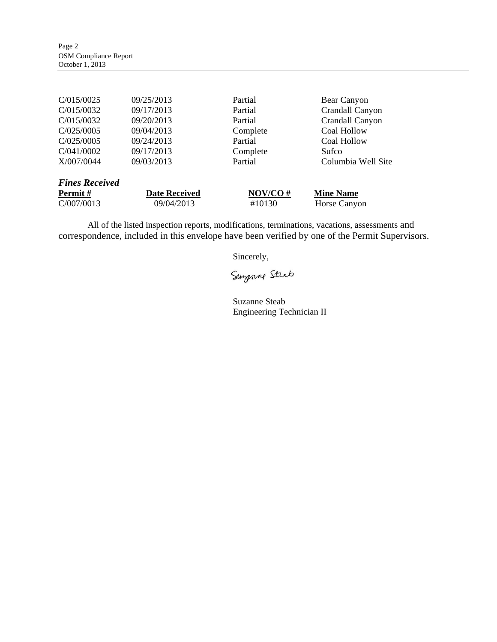| C/015/0025            | 09/25/2013           | Partial  | Bear Canyon        |
|-----------------------|----------------------|----------|--------------------|
| C/015/0032            | 09/17/2013           | Partial  | Crandall Canyon    |
| C/015/0032            | 09/20/2013           | Partial  | Crandall Canyon    |
| C/025/0005            | 09/04/2013           | Complete | Coal Hollow        |
| C/025/0005            | 09/24/2013           | Partial  | Coal Hollow        |
| C/041/0002            | 09/17/2013           | Complete | Sufco              |
| X/007/0044            | 09/03/2013           | Partial  | Columbia Well Site |
| <b>Fines Received</b> |                      |          |                    |
| <b>Permit</b> #       | <b>Date Received</b> | NOV/CO#  | <b>Mine Name</b>   |
| C/007/0013            | 09/04/2013           | #10130   | Horse Canyon       |

All of the listed inspection reports, modifications, terminations, vacations, assessments and correspondence, included in this envelope have been verified by one of the Permit Supervisors.

Sincerely,

Surgenne Steat

Suzanne Steab Engineering Technician II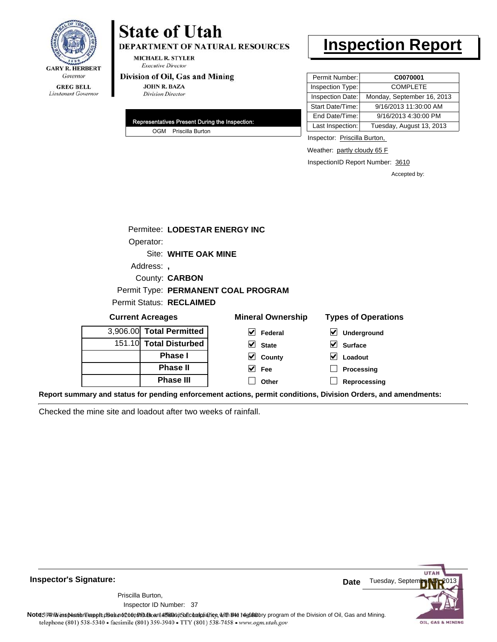

# **State of Utah**

**DEPARTMENT OF NATURAL RESOURCES** 

**MICHAEL R. STYLER Executive Director** 

#### Division of Oil, Gas and Mining

**JOHN R. BAZA Division Director** 

| Representatives Present During the Inspection: |
|------------------------------------------------|
| OGM Priscilla Burton                           |

# **Inspection Report**

| Permit Number:   | C0070001                   |
|------------------|----------------------------|
| Inspection Type: | <b>COMPLETE</b>            |
| Inspection Date: | Monday, September 16, 2013 |
| Start Date/Time: | 9/16/2013 11:30:00 AM      |
| End Date/Time:   | 9/16/2013 4:30:00 PM       |
| Last Inspection: | Tuesday, August 13, 2013   |

Inspector: Priscilla Burton,

Weather: partly cloudy 65 F

**Loadout Processing Reprocessing**

InspectionID Report Number: 3610

Accepted by:

|                                     | Permitee: LODESTAR ENERGY INC |                            |                                          |  |  |
|-------------------------------------|-------------------------------|----------------------------|------------------------------------------|--|--|
| Operator:                           |                               |                            |                                          |  |  |
| Site: WHITE OAK MINE                |                               |                            |                                          |  |  |
| Address:                            |                               |                            |                                          |  |  |
| County: <b>CARBON</b>               |                               |                            |                                          |  |  |
| Permit Type: PERMANENT COAL PROGRAM |                               |                            |                                          |  |  |
| Permit Status: RECLAIMED            |                               |                            |                                          |  |  |
|                                     | <b>Current Acreages</b>       | <b>Types of Operations</b> |                                          |  |  |
|                                     | 3,906.00 Total Permitted      | V<br>Federal               | $\boldsymbol{\mathsf{v}}$<br>Underground |  |  |
|                                     | 151.10 Total Disturbed        | <b>State</b>               | <b>Surface</b>                           |  |  |
|                                     | <b>Dhacal</b>                 | ام .<br>$\sim$ $\sim$      | ام .ا<br>.                               |  |  |

**County Fee Other**

| <b>Phase II</b>  |
|------------------|
|                  |
| <b>Phase III</b> |

**Report summary and status for pending enforcement actions, permit conditions, Division Orders, and amendments:**

Checked the mine site and loadout after two weeks of rainfall.



**Inspector's Signature:**

Inspector ID Number: 37 Priscilla Burton,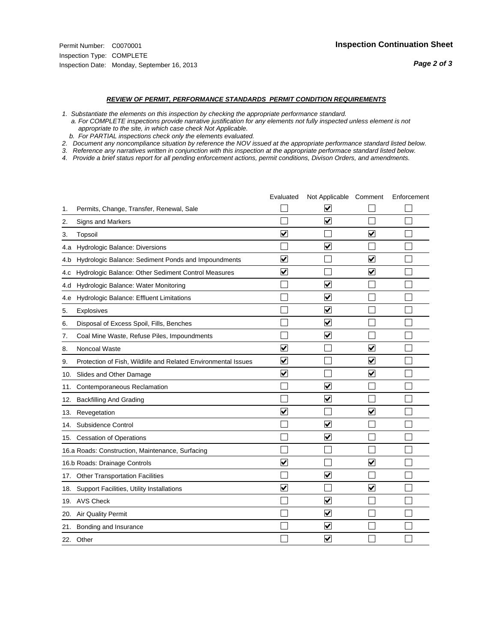#### *REVIEW OF PERMIT, PERFORMANCE STANDARDS PERMIT CONDITION REQUIREMENTS*

*1. Substantiate the elements on this inspection by checking the appropriate performance standard.*

 *a. For COMPLETE inspections provide narrative justification for any elements not fully inspected unless element is not appropriate to the site, in which case check Not Applicable.*

 *b. For PARTIAL inspections check only the elements evaluated.*

*2. Document any noncompliance situation by reference the NOV issued at the appropriate performance standard listed below.*

*3. Reference any narratives written in conjunction with this inspection at the appropriate performace standard listed below.*

|     |                                                               | Evaluated               | Not Applicable Comment          |                         | Enforcement |
|-----|---------------------------------------------------------------|-------------------------|---------------------------------|-------------------------|-------------|
| 1.  | Permits, Change, Transfer, Renewal, Sale                      |                         | V                               |                         |             |
| 2.  | Signs and Markers                                             |                         | $\overline{\mathbf{v}}$         |                         |             |
| 3.  | Topsoil                                                       | $\overline{\mathbf{v}}$ |                                 | $\overline{\mathbf{v}}$ |             |
| 4.a | <b>Hydrologic Balance: Diversions</b>                         |                         | $\blacktriangledown$            |                         |             |
| 4.b | Hydrologic Balance: Sediment Ponds and Impoundments           | $\blacktriangledown$    |                                 | $\blacktriangledown$    |             |
| 4.C | Hydrologic Balance: Other Sediment Control Measures           | $\overline{\mathbf{v}}$ |                                 | $\blacktriangledown$    |             |
| 4.d | Hydrologic Balance: Water Monitoring                          |                         | $\overline{\mathbf{v}}$         |                         |             |
| 4.e | Hydrologic Balance: Effluent Limitations                      |                         | $\blacktriangledown$            |                         |             |
| 5.  | <b>Explosives</b>                                             |                         | $\blacktriangledown$            |                         |             |
| 6.  | Disposal of Excess Spoil, Fills, Benches                      |                         | $\blacktriangledown$            |                         |             |
| 7.  | Coal Mine Waste, Refuse Piles, Impoundments                   |                         | $\blacktriangledown$            |                         |             |
| 8.  | Noncoal Waste                                                 | $\overline{\mathsf{v}}$ |                                 | $\overline{\mathbf{v}}$ |             |
| 9.  | Protection of Fish, Wildlife and Related Environmental Issues | $\blacktriangledown$    |                                 | $\blacktriangledown$    |             |
| 10. | Slides and Other Damage                                       | $\overline{\mathsf{v}}$ |                                 | $\blacktriangledown$    |             |
| 11. | Contemporaneous Reclamation                                   |                         | $\blacktriangledown$            |                         |             |
| 12. | <b>Backfilling And Grading</b>                                |                         | $\blacktriangledown$            |                         |             |
| 13. | Revegetation                                                  | $\overline{\mathbf{v}}$ |                                 | $\overline{\mathsf{v}}$ |             |
| 14. | Subsidence Control                                            |                         | $\overline{\mathbf{v}}$         |                         |             |
|     | 15. Cessation of Operations                                   |                         | $\blacktriangleright$           |                         |             |
|     | 16.a Roads: Construction, Maintenance, Surfacing              |                         |                                 |                         |             |
|     | 16.b Roads: Drainage Controls                                 | $\blacktriangledown$    |                                 | $\overline{\mathbf{v}}$ |             |
| 17. | <b>Other Transportation Facilities</b>                        |                         | $\overline{\blacktriangledown}$ |                         |             |
| 18. | Support Facilities, Utility Installations                     | $\overline{\mathbf{v}}$ |                                 | $\blacktriangledown$    |             |
|     | 19. AVS Check                                                 |                         | $\overline{\mathbf{v}}$         |                         |             |
| 20. | Air Quality Permit                                            |                         | $\blacktriangledown$            |                         |             |
| 21. | Bonding and Insurance                                         |                         | ⊽                               |                         |             |
|     | 22. Other                                                     |                         | $\overline{\mathbf{v}}$         |                         |             |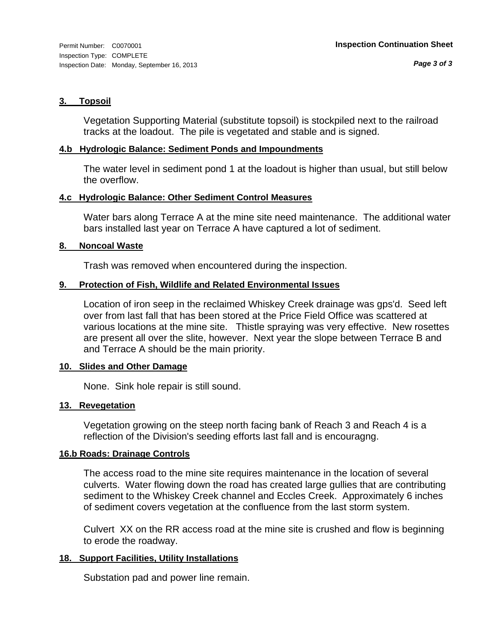#### **3. Topsoil**

Vegetation Supporting Material (substitute topsoil) is stockpiled next to the railroad tracks at the loadout. The pile is vegetated and stable and is signed.

#### **4.b Hydrologic Balance: Sediment Ponds and Impoundments**

The water level in sediment pond 1 at the loadout is higher than usual, but still below the overflow.

#### **4.c Hydrologic Balance: Other Sediment Control Measures**

Water bars along Terrace A at the mine site need maintenance. The additional water bars installed last year on Terrace A have captured a lot of sediment.

#### **8. Noncoal Waste**

Trash was removed when encountered during the inspection.

#### **9. Protection of Fish, Wildlife and Related Environmental Issues**

Location of iron seep in the reclaimed Whiskey Creek drainage was gps'd. Seed left over from last fall that has been stored at the Price Field Office was scattered at various locations at the mine site. Thistle spraying was very effective. New rosettes are present all over the slite, however. Next year the slope between Terrace B and and Terrace A should be the main priority.

#### **10. Slides and Other Damage**

None. Sink hole repair is still sound.

#### **13. Revegetation**

Vegetation growing on the steep north facing bank of Reach 3 and Reach 4 is a reflection of the Division's seeding efforts last fall and is encouragng.

#### **16.b Roads: Drainage Controls**

The access road to the mine site requires maintenance in the location of several culverts. Water flowing down the road has created large gullies that are contributing sediment to the Whiskey Creek channel and Eccles Creek. Approximately 6 inches of sediment covers vegetation at the confluence from the last storm system.

Culvert XX on the RR access road at the mine site is crushed and flow is beginning to erode the roadway.

## **18. Support Facilities, Utility Installations**

Substation pad and power line remain.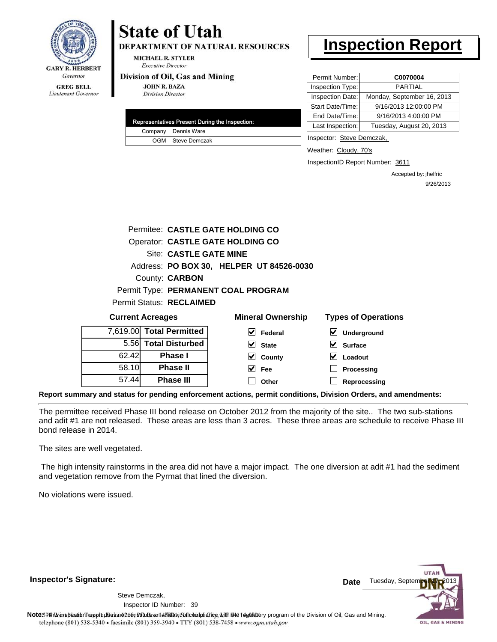

# Lieutenant Governor

# **State of Utah**

**DEPARTMENT OF NATURAL RESOURCES** 

**MICHAEL R. STYLER Executive Director** 

#### Division of Oil, Gas and Mining

**JOHN R. BAZA Division Director** 

| Representatives Present During the Inspection: |
|------------------------------------------------|
| Company Dennis Ware                            |
| OGM Steve Demczak                              |

# **Inspection Report**

| Permit Number:   | C0070004                   |
|------------------|----------------------------|
| Inspection Type: | <b>PARTIAL</b>             |
| Inspection Date: | Monday, September 16, 2013 |
| Start Date/Time: | 9/16/2013 12:00:00 PM      |
| End Date/Time:   | 9/16/2013 4:00:00 PM       |
| Last Inspection: | Tuesday, August 20, 2013   |

Inspector: Steve Demczak,

Weather: Cloudy, 70's

InspectionID Report Number: 3611

**Processing Reprocessing** Accepted by: jhelfric 9/26/2013

|       |                          | Permitee: CASTLE GATE HOLDING CO         |                            |
|-------|--------------------------|------------------------------------------|----------------------------|
|       |                          | Operator: CASTLE GATE HOLDING CO         |                            |
|       | Site: CASTLE GATE MINE   |                                          |                            |
|       |                          | Address: PO BOX 30, HELPER UT 84526-0030 |                            |
|       | County: <b>CARBON</b>    |                                          |                            |
|       |                          | Permit Type: PERMANENT COAL PROGRAM      |                            |
|       | Permit Status: RECLAIMED |                                          |                            |
|       | <b>Current Acreages</b>  | <b>Mineral Ownership</b>                 | <b>Types of Operations</b> |
|       | 7,619.00 Total Permitted | M<br>Federal                             | Underground                |
|       | 5.56 Total Disturbed     | <b>State</b>                             | <b>Surface</b>             |
| 62.42 | <b>Phase I</b>           | County                                   | Loadout                    |

**Report summary and status for pending enforcement actions, permit conditions, Division Orders, and amendments:**

The permittee received Phase III bond release on October 2012 from the majority of the site.. The two sub-stations and adit #1 are not released. These areas are less than 3 acres. These three areas are schedule to receive Phase III bond release in 2014.

 $\blacktriangledown$  $\Box$  **Fee Other**

The sites are well vegetated.

58.10 57.44

**Phase II Phase III**

 The high intensity rainstorms in the area did not have a major impact. The one diversion at adit #1 had the sediment and vegetation remove from the Pyrmat that lined the diversion.

No violations were issued.

**Inspector's Signature:**

39 Inspector ID Number:Steve Demczak,



Note59#h% inspection reppt does not constitute an affidavit of compliance, with the regulatory program of the Division of Oil, Gas and Mining. telephone (801) 538-5340 · facsimile (801) 359-3940 · TTY (801) 538-7458 · www.ogm.utah.gov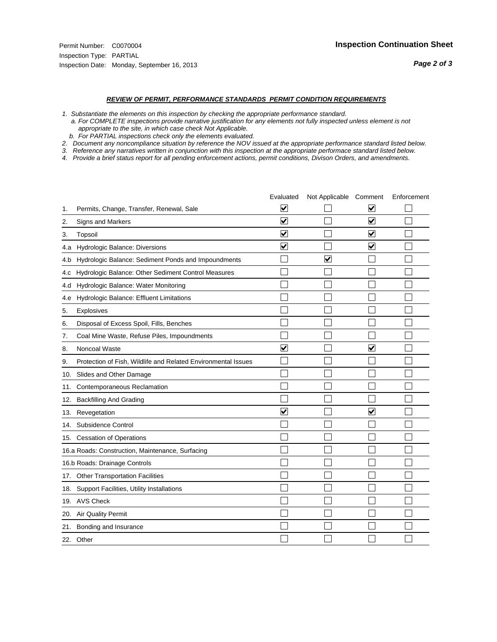#### *REVIEW OF PERMIT, PERFORMANCE STANDARDS PERMIT CONDITION REQUIREMENTS*

*1. Substantiate the elements on this inspection by checking the appropriate performance standard.*

 *a. For COMPLETE inspections provide narrative justification for any elements not fully inspected unless element is not appropriate to the site, in which case check Not Applicable.*

 *b. For PARTIAL inspections check only the elements evaluated.*

*2. Document any noncompliance situation by reference the NOV issued at the appropriate performance standard listed below.*

*3. Reference any narratives written in conjunction with this inspection at the appropriate performace standard listed below.*

|     |                                                               | Evaluated               | Not Applicable Comment |                         | Enforcement |
|-----|---------------------------------------------------------------|-------------------------|------------------------|-------------------------|-------------|
| 1.  | Permits, Change, Transfer, Renewal, Sale                      | ⊻                       |                        | V                       |             |
| 2.  | <b>Signs and Markers</b>                                      | $\overline{\mathbf{v}}$ |                        | $\blacktriangledown$    |             |
| 3.  | Topsoil                                                       | $\overline{\mathbf{v}}$ |                        | $\overline{\mathbf{v}}$ |             |
| 4.a | Hydrologic Balance: Diversions                                | ⊽                       |                        | $\overline{\mathbf{v}}$ |             |
| 4.b | Hydrologic Balance: Sediment Ponds and Impoundments           |                         | V                      |                         |             |
| 4.C | Hydrologic Balance: Other Sediment Control Measures           |                         |                        |                         |             |
| 4.d | Hydrologic Balance: Water Monitoring                          |                         |                        |                         |             |
| 4.e | Hydrologic Balance: Effluent Limitations                      |                         |                        |                         |             |
| 5.  | Explosives                                                    |                         |                        |                         |             |
| 6.  | Disposal of Excess Spoil, Fills, Benches                      |                         |                        |                         |             |
| 7.  | Coal Mine Waste, Refuse Piles, Impoundments                   |                         |                        |                         |             |
| 8.  | Noncoal Waste                                                 | $\overline{\mathsf{v}}$ |                        | $\overline{\mathbf{v}}$ |             |
| 9.  | Protection of Fish, Wildlife and Related Environmental Issues |                         |                        |                         |             |
| 10. | Slides and Other Damage                                       |                         |                        |                         |             |
| 11. | Contemporaneous Reclamation                                   |                         |                        |                         |             |
| 12. | <b>Backfilling And Grading</b>                                |                         |                        |                         |             |
| 13. | Revegetation                                                  | $\overline{\mathsf{v}}$ |                        | $\overline{\mathbf{v}}$ |             |
| 14. | Subsidence Control                                            |                         |                        |                         |             |
|     | 15. Cessation of Operations                                   |                         |                        |                         |             |
|     | 16.a Roads: Construction, Maintenance, Surfacing              |                         |                        |                         |             |
|     | 16.b Roads: Drainage Controls                                 |                         |                        |                         |             |
| 17. | <b>Other Transportation Facilities</b>                        |                         |                        |                         |             |
| 18. | Support Facilities, Utility Installations                     |                         |                        |                         |             |
|     | 19. AVS Check                                                 |                         |                        |                         |             |
| 20. | Air Quality Permit                                            |                         |                        |                         |             |
| 21. | Bonding and Insurance                                         |                         |                        |                         |             |
|     | 22. Other                                                     |                         |                        |                         |             |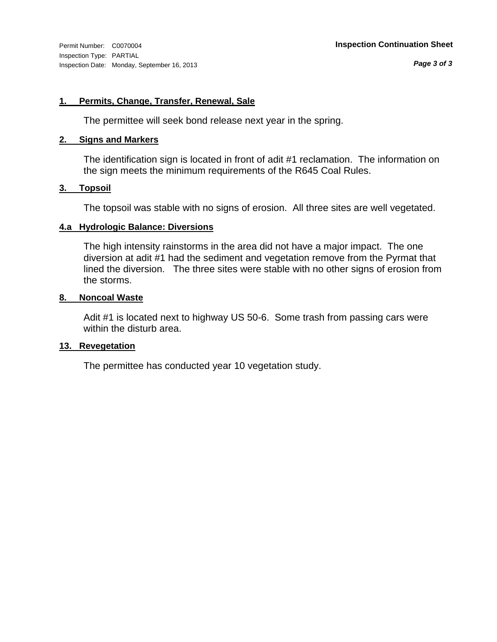#### **1. Permits, Change, Transfer, Renewal, Sale**

The permittee will seek bond release next year in the spring.

#### **2. Signs and Markers**

The identification sign is located in front of adit #1 reclamation. The information on the sign meets the minimum requirements of the R645 Coal Rules.

#### **3. Topsoil**

The topsoil was stable with no signs of erosion. All three sites are well vegetated.

#### **4.a Hydrologic Balance: Diversions**

The high intensity rainstorms in the area did not have a major impact. The one diversion at adit #1 had the sediment and vegetation remove from the Pyrmat that lined the diversion. The three sites were stable with no other signs of erosion from the storms.

#### **8. Noncoal Waste**

Adit #1 is located next to highway US 50-6. Some trash from passing cars were within the disturb area.

## **13. Revegetation**

The permittee has conducted year 10 vegetation study.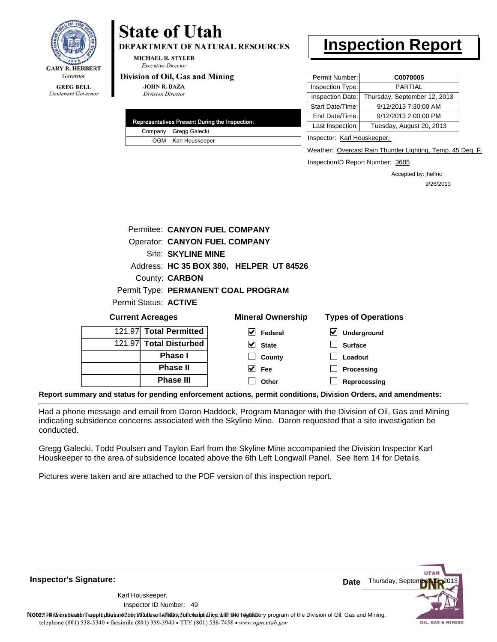

Lieutenant Governor

## **State of Utah DEPARTMENT OF NATURAL RESOURCES**

**MICHAEL R. STYLER Executive Director** 

#### Division of Oil, Gas and Mining

**JOHN R. BAZA Division Director** 

|  | Representatives Present During the Inspection: |
|--|------------------------------------------------|
|  | Company Gregg Galecki                          |
|  | OGM Karl Houskeeper                            |

# **Inspection Report**

| Permit Number:   | C0070005                     |
|------------------|------------------------------|
| Inspection Type: | <b>PARTIAL</b>               |
| Inspection Date: | Thursday, September 12, 2013 |
| Start Date/Time: | 9/12/2013 7:30:00 AM         |
| End Date/Time:   | 9/12/2013 2:00:00 PM         |
| Last Inspection: | Tuesday, August 20, 2013     |

Inspector: Karl Houskeeper,

Weather: Overcast Rain Thunder Lighting, Temp. 45 Deg. F.

InspectionID Report Number: 3605

Accepted by: jhelfric 9/26/2013

|                       | Permitee: CANYON FUEL COMPANY           |
|-----------------------|-----------------------------------------|
|                       | <b>Operator: CANYON FUEL COMPANY</b>    |
|                       | Site: SKYLINE MINE                      |
|                       | Address: HC 35 BOX 380, HELPER UT 84526 |
|                       | County: <b>CARBON</b>                   |
|                       | Permit Type: PERMANENT COAL PROGRAM     |
| Permit Status: ACTIVE |                                         |
|                       |                                         |

| <b>Current Acreages</b> |                        | <b>Mineral Ownership</b> | <b>Types of Operations</b>                        |
|-------------------------|------------------------|--------------------------|---------------------------------------------------|
|                         | 121.97 Total Permitted | V<br>Federal             | $\vert\bm{\checkmark}\vert$<br><b>Underground</b> |
|                         | 121.97 Total Disturbed | V<br><b>State</b>        | <b>Surface</b>                                    |
|                         | <b>Phase I</b>         | County                   | Loadout                                           |
|                         | <b>Phase II</b>        | M<br>Fee                 | Processing                                        |
|                         | <b>Phase III</b>       | Other                    | Reprocessing                                      |
|                         |                        |                          |                                                   |

**Report summary and status for pending enforcement actions, permit conditions, Division Orders, and amendments:**

Had a phone message and email from Daron Haddock, Program Manager with the Division of Oil, Gas and Mining indicating subsidence concerns associated with the Skyline Mine. Daron requested that a site investigation be conducted.

Gregg Galecki, Todd Poulsen and Taylon Earl from the Skyline Mine accompanied the Division Inspector Karl Houskeeper to the area of subsidence located above the 6th Left Longwall Panel. See Item 14 for Details.

Pictures were taken and are attached to the PDF version of this inspection report.

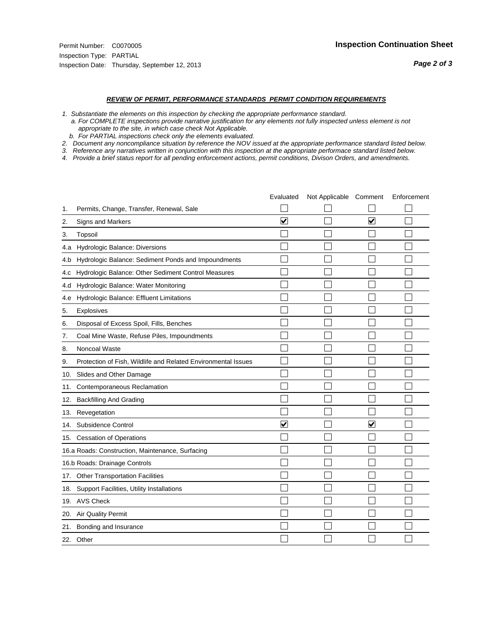#### *REVIEW OF PERMIT, PERFORMANCE STANDARDS PERMIT CONDITION REQUIREMENTS*

*1. Substantiate the elements on this inspection by checking the appropriate performance standard.*

 *a. For COMPLETE inspections provide narrative justification for any elements not fully inspected unless element is not appropriate to the site, in which case check Not Applicable.*

 *b. For PARTIAL inspections check only the elements evaluated.*

*2. Document any noncompliance situation by reference the NOV issued at the appropriate performance standard listed below.*

*3. Reference any narratives written in conjunction with this inspection at the appropriate performace standard listed below.*

|     |                                                               | Evaluated               | Not Applicable Comment |                         | Enforcement |
|-----|---------------------------------------------------------------|-------------------------|------------------------|-------------------------|-------------|
| 1.  | Permits, Change, Transfer, Renewal, Sale                      |                         |                        |                         |             |
| 2.  | Signs and Markers                                             | $\overline{\mathbf{v}}$ |                        | $\overline{\mathbf{v}}$ |             |
| 3.  | Topsoil                                                       |                         |                        |                         |             |
| 4.a | Hydrologic Balance: Diversions                                |                         |                        |                         |             |
| 4.b | Hydrologic Balance: Sediment Ponds and Impoundments           |                         |                        |                         |             |
| 4.c | Hydrologic Balance: Other Sediment Control Measures           |                         |                        |                         |             |
| 4.d | Hydrologic Balance: Water Monitoring                          |                         |                        |                         |             |
| 4.e | Hydrologic Balance: Effluent Limitations                      |                         |                        |                         |             |
| 5.  | <b>Explosives</b>                                             |                         |                        |                         |             |
| 6.  | Disposal of Excess Spoil, Fills, Benches                      |                         |                        |                         |             |
| 7.  | Coal Mine Waste, Refuse Piles, Impoundments                   |                         |                        |                         |             |
| 8.  | Noncoal Waste                                                 |                         |                        |                         |             |
| 9.  | Protection of Fish, Wildlife and Related Environmental Issues |                         |                        |                         |             |
| 10. | Slides and Other Damage                                       |                         |                        |                         |             |
| 11. | Contemporaneous Reclamation                                   |                         |                        |                         |             |
| 12. | <b>Backfilling And Grading</b>                                |                         |                        |                         |             |
| 13. | Revegetation                                                  |                         |                        |                         |             |
| 14. | Subsidence Control                                            | $\overline{\mathbf{v}}$ |                        | $\blacktriangledown$    |             |
| 15. | <b>Cessation of Operations</b>                                |                         |                        |                         |             |
|     | 16.a Roads: Construction, Maintenance, Surfacing              |                         |                        |                         |             |
|     | 16.b Roads: Drainage Controls                                 |                         |                        |                         |             |
| 17. | <b>Other Transportation Facilities</b>                        |                         |                        |                         |             |
| 18. | Support Facilities, Utility Installations                     |                         |                        |                         |             |
|     | 19. AVS Check                                                 |                         |                        |                         |             |
| 20. | Air Quality Permit                                            |                         |                        |                         |             |
| 21. | Bonding and Insurance                                         |                         |                        |                         |             |
|     | 22. Other                                                     |                         |                        |                         |             |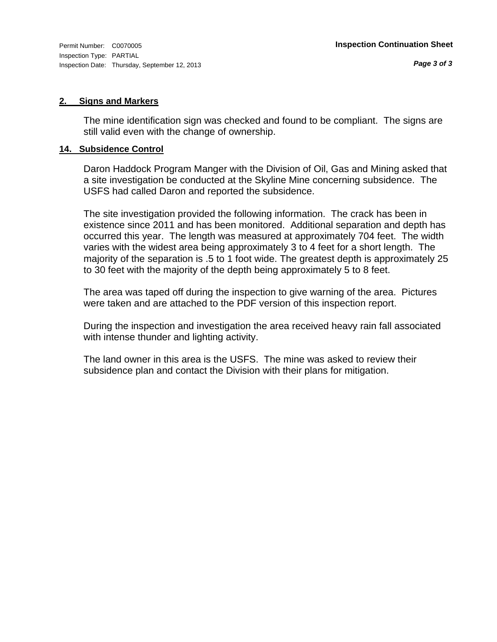#### **2. Signs and Markers**

The mine identification sign was checked and found to be compliant. The signs are still valid even with the change of ownership.

#### **14. Subsidence Control**

Daron Haddock Program Manger with the Division of Oil, Gas and Mining asked that a site investigation be conducted at the Skyline Mine concerning subsidence. The USFS had called Daron and reported the subsidence.

The site investigation provided the following information. The crack has been in existence since 2011 and has been monitored. Additional separation and depth has occurred this year. The length was measured at approximately 704 feet. The width varies with the widest area being approximately 3 to 4 feet for a short length. The majority of the separation is .5 to 1 foot wide. The greatest depth is approximately 25 to 30 feet with the majority of the depth being approximately 5 to 8 feet.

The area was taped off during the inspection to give warning of the area. Pictures were taken and are attached to the PDF version of this inspection report.

During the inspection and investigation the area received heavy rain fall associated with intense thunder and lighting activity.

The land owner in this area is the USFS. The mine was asked to review their subsidence plan and contact the Division with their plans for mitigation.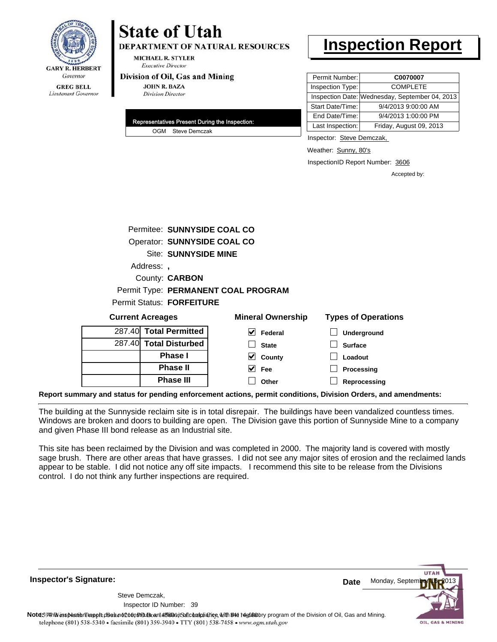

# **State of Utah**

**DEPARTMENT OF NATURAL RESOURCES** 

**MICHAEL R. STYLER Executive Director** 

#### Division of Oil, Gas and Mining

**JOHN R. BAZA Division Director** 

| Representatives Present During the Inspection: |
|------------------------------------------------|
| OGM Steve Demczak                              |

# **Inspection Report**

| Permit Number:   | C0070007                                       |
|------------------|------------------------------------------------|
| Inspection Type: | <b>COMPLETE</b>                                |
|                  | Inspection Date: Wednesday, September 04, 2013 |
| Start Date/Time: | 9/4/2013 9:00:00 AM                            |
| End Date/Time:   | 9/4/2013 1:00:00 PM                            |
| Last Inspection: | Friday, August 09, 2013                        |

Inspector: Steve Demczak,

Weather: Sunny, 80's

InspectionID Report Number: 3606

Accepted by:

|          | Permitee: SUNNYSIDE COAL CO         |
|----------|-------------------------------------|
|          | Operator: SUNNYSIDE COAL CO         |
|          | <b>Site: SUNNYSIDE MINE</b>         |
| Address: |                                     |
|          | County: <b>CARBON</b>               |
|          | Permit Type: PERMANENT COAL PROGRAM |
|          | <b>Permit Status: FORFEITURE</b>    |

| <b>Current Acreages</b> |                        | <b>Mineral Ownership</b> | <b>Types of Operations</b> |
|-------------------------|------------------------|--------------------------|----------------------------|
|                         | 287.40 Total Permitted | V<br>Federal             | Underground                |
|                         | 287.40 Total Disturbed | <b>State</b>             | <b>Surface</b>             |
|                         | <b>Phase I</b>         | V<br>County              | Loadout                    |
|                         | <b>Phase II</b>        | V<br>Fee                 | Processing                 |
|                         | <b>Phase III</b>       | Other                    | Reprocessing               |
|                         |                        |                          |                            |

**Report summary and status for pending enforcement actions, permit conditions, Division Orders, and amendments:**

The building at the Sunnyside reclaim site is in total disrepair. The buildings have been vandalized countless times. Windows are broken and doors to building are open. The Division gave this portion of Sunnyside Mine to a company and given Phase III bond release as an Industrial site.

This site has been reclaimed by the Division and was completed in 2000. The majority land is covered with mostly sage brush. There are other areas that have grasses. I did not see any major sites of erosion and the reclaimed lands appear to be stable. I did not notice any off site impacts. I recommend this site to be release from the Divisions control. I do not think any further inspections are required.

**Inspector's Signature:**

39 Inspector ID Number:Steve Demczak,

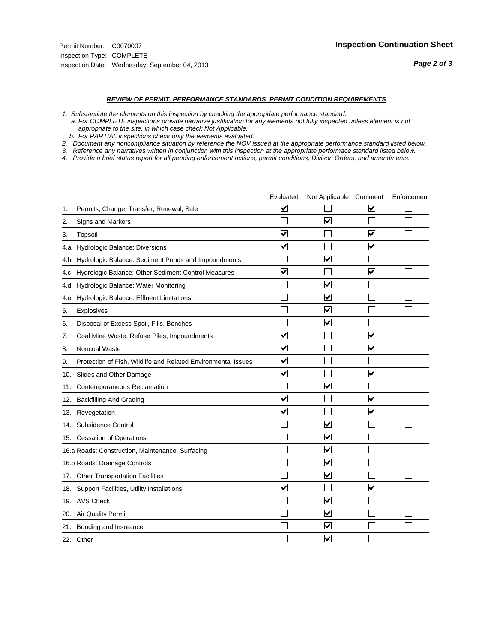#### *REVIEW OF PERMIT, PERFORMANCE STANDARDS PERMIT CONDITION REQUIREMENTS*

*1. Substantiate the elements on this inspection by checking the appropriate performance standard.*

 *a. For COMPLETE inspections provide narrative justification for any elements not fully inspected unless element is not appropriate to the site, in which case check Not Applicable.*

 *b. For PARTIAL inspections check only the elements evaluated.*

*2. Document any noncompliance situation by reference the NOV issued at the appropriate performance standard listed below.*

*3. Reference any narratives written in conjunction with this inspection at the appropriate performace standard listed below.*

|     |                                                               | Evaluated               | Not Applicable Comment  |                         | Enforcement |
|-----|---------------------------------------------------------------|-------------------------|-------------------------|-------------------------|-------------|
| 1.  | Permits, Change, Transfer, Renewal, Sale                      | V                       |                         | V                       |             |
| 2.  | <b>Signs and Markers</b>                                      |                         | $\overline{\mathsf{v}}$ |                         |             |
| 3.  | Topsoil                                                       | $\overline{\mathbf{v}}$ |                         | $\overline{\mathbf{v}}$ |             |
| 4.a | Hydrologic Balance: Diversions                                | ⊽                       |                         | $\blacktriangledown$    |             |
| 4.b | Hydrologic Balance: Sediment Ponds and Impoundments           |                         | $\overline{\mathsf{v}}$ |                         |             |
| 4.c | Hydrologic Balance: Other Sediment Control Measures           | $\blacktriangledown$    |                         | $\overline{\mathbf{v}}$ |             |
| 4.d | Hydrologic Balance: Water Monitoring                          |                         | $\overline{\mathsf{v}}$ |                         |             |
| 4.e | Hydrologic Balance: Effluent Limitations                      |                         | $\overline{\mathbf{v}}$ |                         |             |
| 5.  | Explosives                                                    |                         | $\overline{\mathsf{v}}$ |                         |             |
| 6.  | Disposal of Excess Spoil, Fills, Benches                      |                         | ⊽                       |                         |             |
| 7.  | Coal Mine Waste, Refuse Piles, Impoundments                   | $\overline{\mathbf{v}}$ |                         | $\blacktriangledown$    |             |
| 8.  | Noncoal Waste                                                 | $\bm{\mathsf{v}}$       |                         | $\blacktriangledown$    |             |
| 9.  | Protection of Fish, Wildlife and Related Environmental Issues | $\blacktriangledown$    |                         |                         |             |
| 10. | Slides and Other Damage                                       | $\blacktriangledown$    |                         | $\overline{\mathbf{v}}$ |             |
| 11. | Contemporaneous Reclamation                                   |                         | ⊻                       |                         |             |
| 12. | <b>Backfilling And Grading</b>                                | $\overline{\mathbf{v}}$ |                         | $\blacktriangledown$    |             |
| 13. | Revegetation                                                  | $\overline{\mathbf{v}}$ |                         | $\overline{\mathbf{v}}$ |             |
| 14. | Subsidence Control                                            |                         | $\overline{\mathsf{v}}$ |                         |             |
|     | 15. Cessation of Operations                                   |                         | ⊽                       |                         |             |
|     | 16.a Roads: Construction, Maintenance, Surfacing              |                         | $\overline{\mathbf{v}}$ |                         |             |
|     | 16.b Roads: Drainage Controls                                 |                         | $\overline{\mathbf{v}}$ |                         |             |
|     | 17. Other Transportation Facilities                           |                         | $\overline{\mathbf{v}}$ |                         |             |
| 18. | Support Facilities, Utility Installations                     | $\overline{\mathbf{v}}$ |                         | $\overline{\mathbf{v}}$ |             |
|     | 19. AVS Check                                                 |                         | ⊽                       |                         |             |
| 20. | <b>Air Quality Permit</b>                                     |                         | V                       |                         |             |
|     | 21. Bonding and Insurance                                     |                         | $\overline{\mathbf{v}}$ |                         |             |
|     | 22. Other                                                     |                         | $\overline{\mathbf{v}}$ |                         |             |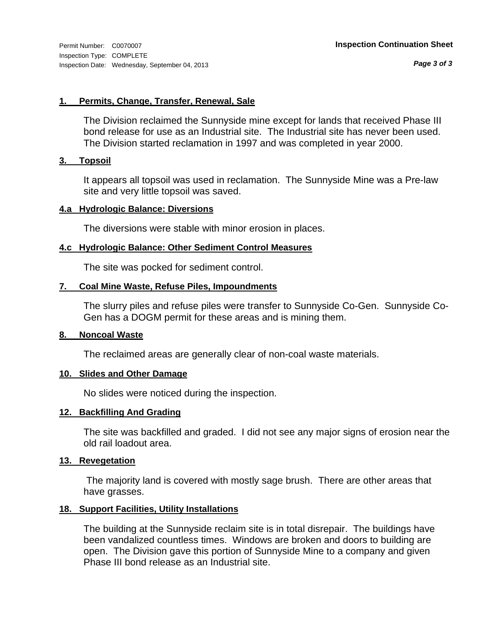*Page 3 of 3*

#### **1. Permits, Change, Transfer, Renewal, Sale**

The Division reclaimed the Sunnyside mine except for lands that received Phase III bond release for use as an Industrial site. The Industrial site has never been used. The Division started reclamation in 1997 and was completed in year 2000.

#### **3. Topsoil**

It appears all topsoil was used in reclamation. The Sunnyside Mine was a Pre-law site and very little topsoil was saved.

#### **4.a Hydrologic Balance: Diversions**

The diversions were stable with minor erosion in places.

#### **4.c Hydrologic Balance: Other Sediment Control Measures**

The site was pocked for sediment control.

#### **7. Coal Mine Waste, Refuse Piles, Impoundments**

The slurry piles and refuse piles were transfer to Sunnyside Co-Gen. Sunnyside Co-Gen has a DOGM permit for these areas and is mining them.

#### **8. Noncoal Waste**

The reclaimed areas are generally clear of non-coal waste materials.

#### **10. Slides and Other Damage**

No slides were noticed during the inspection.

#### **12. Backfilling And Grading**

The site was backfilled and graded. I did not see any major signs of erosion near the old rail loadout area.

#### **13. Revegetation**

 The majority land is covered with mostly sage brush. There are other areas that have grasses.

#### **18. Support Facilities, Utility Installations**

The building at the Sunnyside reclaim site is in total disrepair. The buildings have been vandalized countless times. Windows are broken and doors to building are open. The Division gave this portion of Sunnyside Mine to a company and given Phase III bond release as an Industrial site.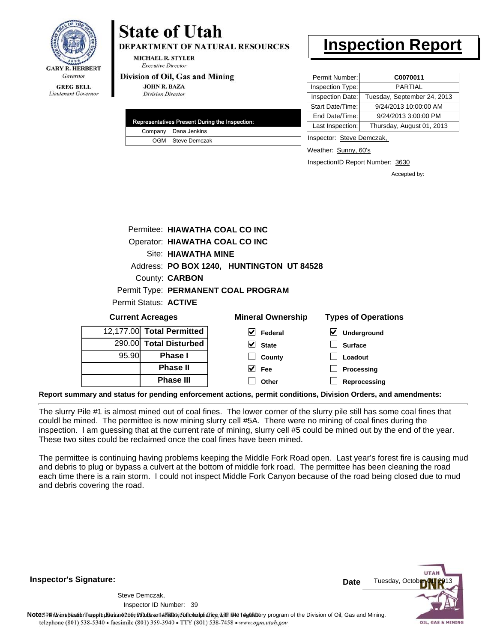

Lieutenant Governor

# **State of Utah**

**DEPARTMENT OF NATURAL RESOURCES** 

**MICHAEL R. STYLER Executive Director** 

#### Division of Oil, Gas and Mining

**JOHN R. BAZA Division Director** 

| Representatives Present During the Inspection: |
|------------------------------------------------|
| Company Dana Jenkins                           |
| OGM Steve Demczak                              |

## **Inspection Report**

| Permit Number:   | C0070011                    |
|------------------|-----------------------------|
| Inspection Type: | <b>PARTIAL</b>              |
| Inspection Date: | Tuesday, September 24, 2013 |
| Start Date/Time: | 9/24/2013 10:00:00 AM       |
| End Date/Time:   | 9/24/2013 3:00:00 PM        |
| Last Inspection: | Thursday, August 01, 2013   |

Inspector: Steve Demczak,

Weather: Sunny, 60's

InspectionID Report Number: 3630

**Reprocessing**

Accepted by:

|                         | Permitee: HIAWATHA COAL CO INC |                                           |                            |
|-------------------------|--------------------------------|-------------------------------------------|----------------------------|
|                         | Operator: HIAWATHA COAL CO INC |                                           |                            |
|                         | Site: HIAWATHA MINE            |                                           |                            |
|                         |                                | Address: PO BOX 1240, HUNTINGTON UT 84528 |                            |
|                         | County: <b>CARBON</b>          |                                           |                            |
|                         |                                | Permit Type: PERMANENT COAL PROGRAM       |                            |
|                         | Permit Status: ACTIVE          |                                           |                            |
| <b>Current Acreages</b> |                                | <b>Mineral Ownership</b>                  | <b>Types of Operations</b> |
|                         | 12,177.00 Total Permitted      | $ v $ Federal                             | Underground<br>M           |
|                         | 290.00 Total Disturbed         | $\vee$ State                              | <b>Surface</b>             |
| 95.90                   | Phase I                        | County                                    | Loadout                    |
|                         | <b>Phase II</b>                | Fee                                       | Processing                 |

**Other**

**Report summary and status for pending enforcement actions, permit conditions, Division Orders, and amendments:**

The slurry Pile #1 is almost mined out of coal fines. The lower corner of the slurry pile still has some coal fines that couldl be mined. The permittee is now mining slurry cell #5A. There were no mining of coal fines during the inspection. I am guessing that at the current rate of mining, slurry cell #5 could be mined out by the end of the year. These two sites could be reclaimed once the coal fines have been mined.

The permittee is continuing having problems keeping the Middle Fork Road open. Last year's forest fire is causing mud and debris to plug or bypass a culvert at the bottom of middle fork road. The permittee has been cleaning the road each time there is a rain storm. I could not inspect Middle Fork Canyon because of the road being closed due to mud and debris covering the road.

**Inspector's Signature:**

39 Inspector ID Number:Steve Demczak,

**Phase III**



Note59#h% inspection report does not constitute an affidavit of compliance, with the regulatory program of the Division of Oil, Gas and Mining. telephone (801) 538-5340 · facsimile (801) 359-3940 · TTY (801) 538-7458 · www.ogm.utah.gov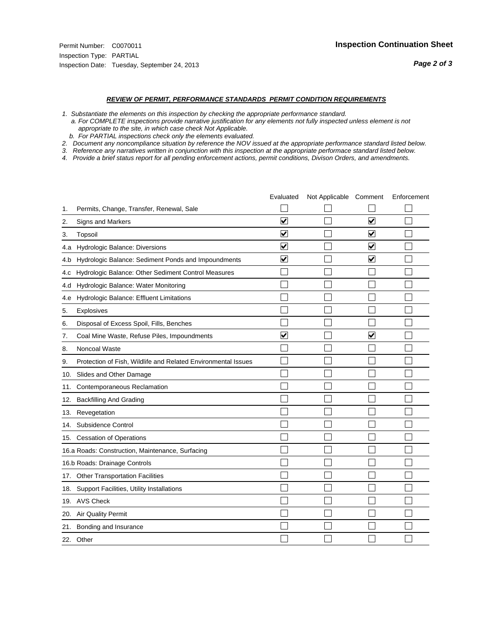#### *REVIEW OF PERMIT, PERFORMANCE STANDARDS PERMIT CONDITION REQUIREMENTS*

*1. Substantiate the elements on this inspection by checking the appropriate performance standard.*

 *a. For COMPLETE inspections provide narrative justification for any elements not fully inspected unless element is not appropriate to the site, in which case check Not Applicable.*

 *b. For PARTIAL inspections check only the elements evaluated.*

*2. Document any noncompliance situation by reference the NOV issued at the appropriate performance standard listed below.*

*3. Reference any narratives written in conjunction with this inspection at the appropriate performace standard listed below.*

|     |                                                               | Evaluated               | Not Applicable Comment |                         | Enforcement |
|-----|---------------------------------------------------------------|-------------------------|------------------------|-------------------------|-------------|
| 1.  | Permits, Change, Transfer, Renewal, Sale                      |                         |                        |                         |             |
| 2.  | <b>Signs and Markers</b>                                      | $\overline{\mathbf{v}}$ |                        | $\overline{\mathbf{v}}$ |             |
| 3.  | Topsoil                                                       | $\overline{\mathbf{v}}$ |                        | $\overline{\mathbf{v}}$ |             |
| 4.a | Hydrologic Balance: Diversions                                | ⊽                       |                        | $\blacktriangledown$    |             |
| 4.b | Hydrologic Balance: Sediment Ponds and Impoundments           | $\checkmark$            |                        | ⊻                       |             |
| 4.c | Hydrologic Balance: Other Sediment Control Measures           |                         |                        |                         |             |
| 4.d | Hydrologic Balance: Water Monitoring                          |                         |                        |                         |             |
| 4.e | Hydrologic Balance: Effluent Limitations                      |                         |                        |                         |             |
| 5.  | Explosives                                                    |                         |                        |                         |             |
| 6.  | Disposal of Excess Spoil, Fills, Benches                      |                         |                        |                         |             |
| 7.  | Coal Mine Waste, Refuse Piles, Impoundments                   | $\overline{\mathbf{v}}$ |                        | $\overline{\mathbf{v}}$ |             |
| 8.  | Noncoal Waste                                                 |                         |                        |                         |             |
| 9.  | Protection of Fish, Wildlife and Related Environmental Issues |                         |                        |                         |             |
| 10. | Slides and Other Damage                                       |                         |                        |                         |             |
| 11. | Contemporaneous Reclamation                                   |                         |                        |                         |             |
| 12. | <b>Backfilling And Grading</b>                                |                         |                        |                         |             |
| 13. | Revegetation                                                  |                         |                        |                         |             |
| 14. | Subsidence Control                                            |                         |                        |                         |             |
| 15. | <b>Cessation of Operations</b>                                |                         |                        |                         |             |
|     | 16.a Roads: Construction, Maintenance, Surfacing              |                         |                        |                         |             |
|     | 16.b Roads: Drainage Controls                                 |                         |                        |                         |             |
| 17. | <b>Other Transportation Facilities</b>                        |                         |                        |                         |             |
| 18. | Support Facilities, Utility Installations                     |                         |                        |                         |             |
| 19. | <b>AVS Check</b>                                              |                         |                        |                         |             |
| 20. | Air Quality Permit                                            |                         |                        |                         |             |
| 21. | Bonding and Insurance                                         |                         |                        |                         |             |
|     | 22. Other                                                     |                         |                        |                         |             |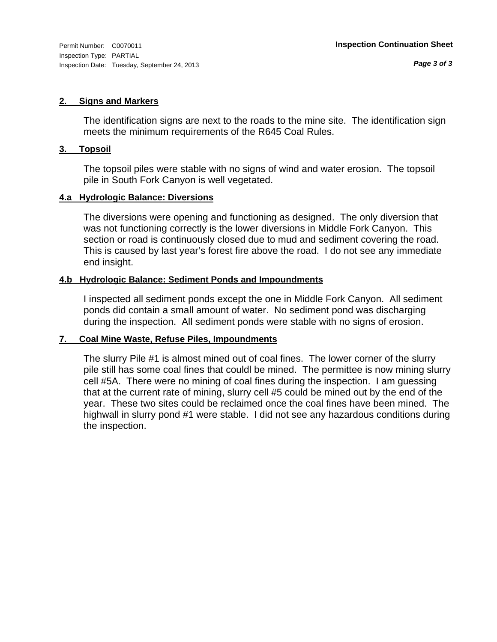#### **2. Signs and Markers**

The identification signs are next to the roads to the mine site. The identification sign meets the minimum requirements of the R645 Coal Rules.

#### **3. Topsoil**

The topsoil piles were stable with no signs of wind and water erosion. The topsoil pile in South Fork Canyon is well vegetated.

#### **4.a Hydrologic Balance: Diversions**

The diversions were opening and functioning as designed. The only diversion that was not functioning correctly is the lower diversions in Middle Fork Canyon. This section or road is continuously closed due to mud and sediment covering the road. This is caused by last year's forest fire above the road. I do not see any immediate end insight.

#### **4.b Hydrologic Balance: Sediment Ponds and Impoundments**

I inspected all sediment ponds except the one in Middle Fork Canyon. All sediment ponds did contain a small amount of water. No sediment pond was discharging during the inspection. All sediment ponds were stable with no signs of erosion.

## **7. Coal Mine Waste, Refuse Piles, Impoundments**

The slurry Pile #1 is almost mined out of coal fines. The lower corner of the slurry pile still has some coal fines that couldl be mined. The permittee is now mining slurry cell #5A. There were no mining of coal fines during the inspection. I am guessing that at the current rate of mining, slurry cell #5 could be mined out by the end of the year. These two sites could be reclaimed once the coal fines have been mined. The highwall in slurry pond #1 were stable. I did not see any hazardous conditions during the inspection.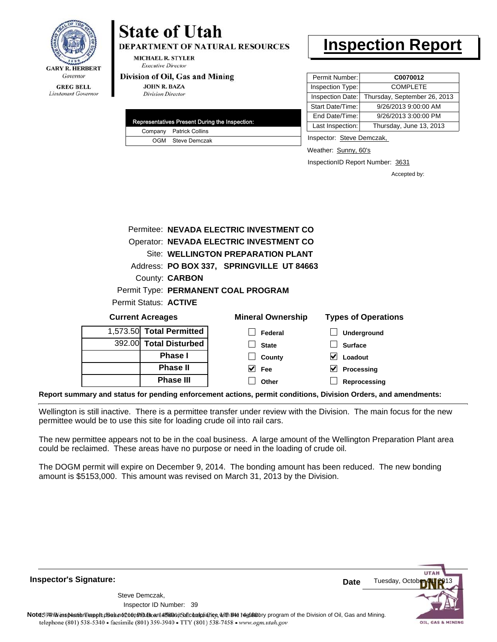

# **State of Utah**

**DEPARTMENT OF NATURAL RESOURCES** 

**MICHAEL R. STYLER Executive Director** 

#### Division of Oil, Gas and Mining

**JOHN R. BAZA Division Director** 

| Representatives Present During the Inspection: |                         |  |  |  |
|------------------------------------------------|-------------------------|--|--|--|
|                                                | Company Patrick Collins |  |  |  |
|                                                | OGM Steve Demczak       |  |  |  |

# **Inspection Report**

| Permit Number:          | C0070012                     |
|-------------------------|------------------------------|
| Inspection Type:        | <b>COMPLETE</b>              |
| <b>Inspection Date:</b> | Thursday, September 26, 2013 |
| Start Date/Time:        | 9/26/2013 9:00:00 AM         |
| End Date/Time:          | 9/26/2013 3:00:00 PM         |
| Last Inspection:        | Thursday, June 13, 2013      |

Inspector: Steve Demczak,

Weather: Sunny, 60's

InspectionID Report Number: 3631

Accepted by:

| $1.573.50$ Total Dormitted $\overline{ }$ |                       | _ _ _                                     |                            |
|-------------------------------------------|-----------------------|-------------------------------------------|----------------------------|
| <b>Current Acreages</b>                   |                       | <b>Mineral Ownership</b>                  | <b>Types of Operations</b> |
| Permit Status: ACTIVE                     |                       |                                           |                            |
|                                           |                       | Permit Type: PERMANENT COAL PROGRAM       |                            |
|                                           | County: <b>CARBON</b> |                                           |                            |
|                                           |                       | Address: PO BOX 337, SPRINGVILLE UT 84663 |                            |
|                                           |                       | Site: WELLINGTON PREPARATION PLANT        |                            |
|                                           |                       | Operator: NEVADA ELECTRIC INVESTMENT CO   |                            |
|                                           |                       | Permitee: NEVADA ELECTRIC INVESTMENT CO   |                            |
|                                           |                       |                                           |                            |

| <b>OWLIGHT LOLARYOU</b>  |              | TYPUU UL UPULUUUI |
|--------------------------|--------------|-------------------|
| 1,573.50 Total Permitted | Federal      | Underground       |
| 392.00 Total Disturbed   | <b>State</b> | <b>Surface</b>    |
| <b>Phase I</b>           | County       | Loadout           |
| <b>Phase II</b>          | V<br>Fee     | Processing        |
| <b>Phase III</b>         | Other        | Reprocessing      |
|                          |              |                   |

**Report summary and status for pending enforcement actions, permit conditions, Division Orders, and amendments:**

Wellington is still inactive. There is a permittee transfer under review with the Division. The main focus for the new permittee would be to use this site for loading crude oil into rail cars.

The new permittee appears not to be in the coal business. A large amount of the Wellington Preparation Plant area could be reclaimed. These areas have no purpose or need in the loading of crude oil.

The DOGM permit will expire on December 9, 2014. The bonding amount has been reduced. The new bonding amount is \$5153,000. This amount was revised on March 31, 2013 by the Division.

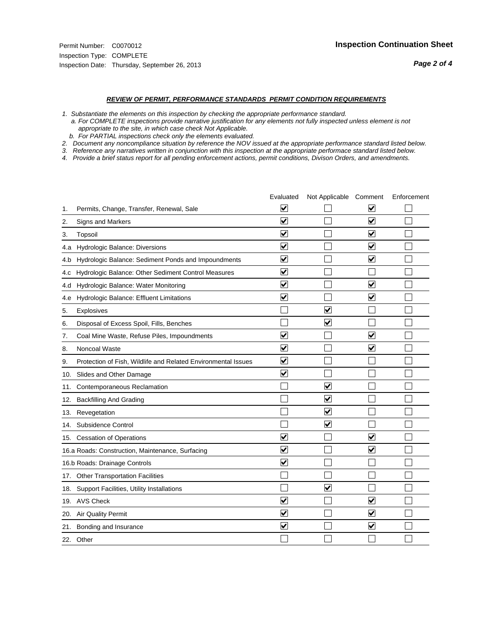#### *REVIEW OF PERMIT, PERFORMANCE STANDARDS PERMIT CONDITION REQUIREMENTS*

*1. Substantiate the elements on this inspection by checking the appropriate performance standard.*

 *a. For COMPLETE inspections provide narrative justification for any elements not fully inspected unless element is not appropriate to the site, in which case check Not Applicable.*

 *b. For PARTIAL inspections check only the elements evaluated.*

*2. Document any noncompliance situation by reference the NOV issued at the appropriate performance standard listed below.*

*3. Reference any narratives written in conjunction with this inspection at the appropriate performace standard listed below.*

|     |                                                               | Evaluated               | Not Applicable Comment          |                         | Enforcement |
|-----|---------------------------------------------------------------|-------------------------|---------------------------------|-------------------------|-------------|
| 1.  | Permits, Change, Transfer, Renewal, Sale                      | $\overline{\mathsf{v}}$ |                                 | V                       |             |
| 2.  | Signs and Markers                                             | $\overline{\mathbf{v}}$ |                                 | $\blacktriangledown$    |             |
| 3.  | Topsoil                                                       | $\overline{\mathbf{v}}$ |                                 | $\overline{\mathsf{v}}$ |             |
| 4.a | Hydrologic Balance: Diversions                                | $\overline{\mathbf{v}}$ |                                 | $\blacktriangledown$    |             |
| 4.b | Hydrologic Balance: Sediment Ponds and Impoundments           | $\blacktriangledown$    |                                 | ⊻                       |             |
| 4.C | Hydrologic Balance: Other Sediment Control Measures           | $\overline{\mathbf{v}}$ |                                 |                         |             |
| 4.d | Hydrologic Balance: Water Monitoring                          | $\overline{\mathbf{v}}$ |                                 | $\overline{\mathbf{v}}$ |             |
| 4.e | Hydrologic Balance: Effluent Limitations                      | $\overline{\mathbf{v}}$ |                                 | $\blacktriangledown$    |             |
| 5.  | <b>Explosives</b>                                             |                         | ⊽                               |                         |             |
| 6.  | Disposal of Excess Spoil, Fills, Benches                      |                         | $\blacktriangledown$            |                         |             |
| 7.  | Coal Mine Waste, Refuse Piles, Impoundments                   | $\overline{\mathbf{v}}$ |                                 | $\overline{\mathbf{v}}$ |             |
| 8.  | Noncoal Waste                                                 | $\overline{\mathbf{v}}$ |                                 | $\overline{\mathbf{v}}$ |             |
| 9.  | Protection of Fish, Wildlife and Related Environmental Issues | $\overline{\mathbf{v}}$ |                                 |                         |             |
| 10. | Slides and Other Damage                                       | $\overline{\mathbf{v}}$ |                                 |                         |             |
| 11. | Contemporaneous Reclamation                                   |                         | ☑                               |                         |             |
| 12. | <b>Backfilling And Grading</b>                                |                         | $\overline{\mathbf{v}}$         |                         |             |
| 13. | Revegetation                                                  |                         | $\overline{\blacktriangledown}$ |                         |             |
| 14. | Subsidence Control                                            |                         | $\overline{\mathbf{v}}$         |                         |             |
| 15. | <b>Cessation of Operations</b>                                | $\blacktriangledown$    |                                 | $\blacktriangledown$    |             |
|     | 16.a Roads: Construction, Maintenance, Surfacing              | $\blacktriangledown$    |                                 | $\blacktriangledown$    |             |
|     | 16.b Roads: Drainage Controls                                 | $\overline{\mathbf{v}}$ |                                 |                         |             |
| 17. | <b>Other Transportation Facilities</b>                        |                         |                                 |                         |             |
| 18. | Support Facilities, Utility Installations                     |                         | $\overline{\mathbf{v}}$         |                         |             |
|     | 19. AVS Check                                                 | $\overline{\mathbf{v}}$ |                                 | $\overline{\mathsf{v}}$ |             |
| 20. | Air Quality Permit                                            | $\checkmark$            |                                 | $\blacktriangledown$    |             |
| 21. | Bonding and Insurance                                         | $\overline{\mathbf{v}}$ |                                 | $\blacktriangledown$    |             |
|     | 22. Other                                                     |                         |                                 |                         |             |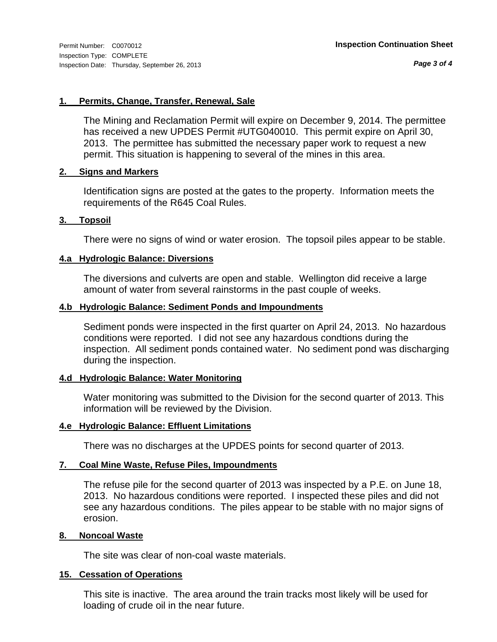*Page 3 of 4*

#### **1. Permits, Change, Transfer, Renewal, Sale**

The Mining and Reclamation Permit will expire on December 9, 2014. The permittee has received a new UPDES Permit #UTG040010. This permit expire on April 30, 2013. The permittee has submitted the necessary paper work to request a new permit. This situation is happening to several of the mines in this area.

#### **2. Signs and Markers**

Identification signs are posted at the gates to the property. Information meets the requirements of the R645 Coal Rules.

#### **3. Topsoil**

There were no signs of wind or water erosion. The topsoil piles appear to be stable.

#### **4.a Hydrologic Balance: Diversions**

The diversions and culverts are open and stable. Wellington did receive a large amount of water from several rainstorms in the past couple of weeks.

#### **4.b Hydrologic Balance: Sediment Ponds and Impoundments**

Sediment ponds were inspected in the first quarter on April 24, 2013. No hazardous conditions were reported. I did not see any hazardous condtions during the inspection. All sediment ponds contained water. No sediment pond was discharging during the inspection.

## **4.d Hydrologic Balance: Water Monitoring**

Water monitoring was submitted to the Division for the second quarter of 2013. This information will be reviewed by the Division.

#### **4.e Hydrologic Balance: Effluent Limitations**

There was no discharges at the UPDES points for second quarter of 2013.

#### **7. Coal Mine Waste, Refuse Piles, Impoundments**

The refuse pile for the second quarter of 2013 was inspected by a P.E. on June 18, 2013. No hazardous conditions were reported. I inspected these piles and did not see any hazardous conditions. The piles appear to be stable with no major signs of erosion.

#### **8. Noncoal Waste**

The site was clear of non-coal waste materials.

#### **15. Cessation of Operations**

This site is inactive. The area around the train tracks most likely will be used for loading of crude oil in the near future.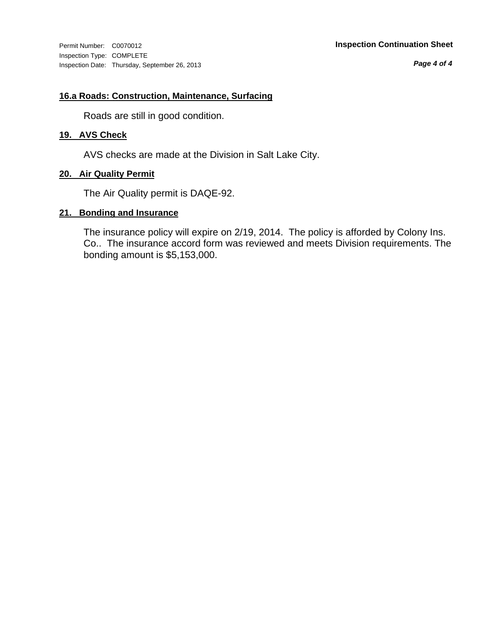Inspection Type: COMPLETE Inspection Date: Thursday, September 26, 2013

*Page 4 of 4*

#### **16.a Roads: Construction, Maintenance, Surfacing**

Roads are still in good condition.

## **19. AVS Check**

AVS checks are made at the Division in Salt Lake City.

#### **20. Air Quality Permit**

The Air Quality permit is DAQE-92.

#### **21. Bonding and Insurance**

The insurance policy will expire on 2/19, 2014. The policy is afforded by Colony Ins. Co.. The insurance accord form was reviewed and meets Division requirements. The bonding amount is \$5,153,000.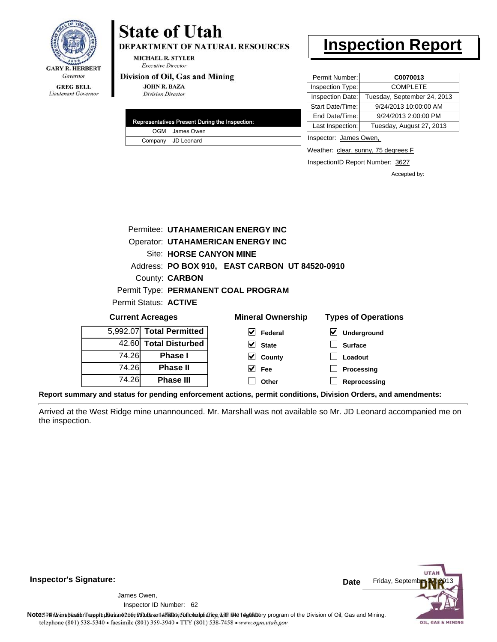

Lieutenant Governor

# **State of Utah**

**DEPARTMENT OF NATURAL RESOURCES** 

**MICHAEL R. STYLER Executive Director** 

#### Division of Oil, Gas and Mining

**JOHN R. BAZA Division Director** 

| Representatives Present During the Inspection: |                    |  |  |  |
|------------------------------------------------|--------------------|--|--|--|
|                                                | OGM James Owen     |  |  |  |
|                                                | Company JD Leonard |  |  |  |

## **Inspection Report**

| C0070013                    |
|-----------------------------|
| <b>COMPLETE</b>             |
| Tuesday, September 24, 2013 |
| 9/24/2013 10:00:00 AM       |
| 9/24/2013 2:00:00 PM        |
| Tuesday, August 27, 2013    |
|                             |

Inspector: James Owen,

Weather: clear, sunny, 75 degrees F

InspectionID Report Number: 3627

Accepted by:

|                              |                         | Permitee: UTAHAMERICAN ENERGY INC              |                            |
|------------------------------|-------------------------|------------------------------------------------|----------------------------|
|                              |                         | <b>Operator: UTAHAMERICAN ENERGY INC</b>       |                            |
|                              | Site: HORSE CANYON MINE |                                                |                            |
|                              |                         | Address: PO BOX 910, EAST CARBON UT 84520-0910 |                            |
|                              | County: <b>CARBON</b>   |                                                |                            |
|                              |                         | Permit Type: PERMANENT COAL PROGRAM            |                            |
| Permit Status: <b>ACTIVE</b> |                         |                                                |                            |
| <b>Current Acreages</b>      |                         | <b>Mineral Ownership</b>                       | <b>Types of Operations</b> |
| 5,992.07 Total Permitted     |                         | Federal                                        | <b>Underground</b>         |

| 5,992.07 Total Permitted |       |
|--------------------------|-------|
| 42.60 Total Disturbed    |       |
| <b>Phase I</b>           | 74.26 |
| <b>Phase II</b>          | 74.26 |
| <b>Phase III</b>         | 74.26 |

| eral Ownership |                              |  |  |
|----------------|------------------------------|--|--|
|                | $\sqrt{\phantom{a}}$ Federal |  |  |
|                | $\vee$ State                 |  |  |
|                | $\vee$ County                |  |  |

| $\triangledown$ Underground |
|-----------------------------|
| │ │ Surface                 |
| $\vert$ Loadout             |
| $\Box$ Processing           |

**Reprocessing**

**Report summary and status for pending enforcement actions, permit conditions, Division Orders, and amendments:**

Arrived at the West Ridge mine unannounced. Mr. Marshall was not available so Mr. JD Leonard accompanied me on the inspection.

 $\Box$ 

**Fee Other**



**Inspector's Signature:**

62 Inspector ID Number:James Owen,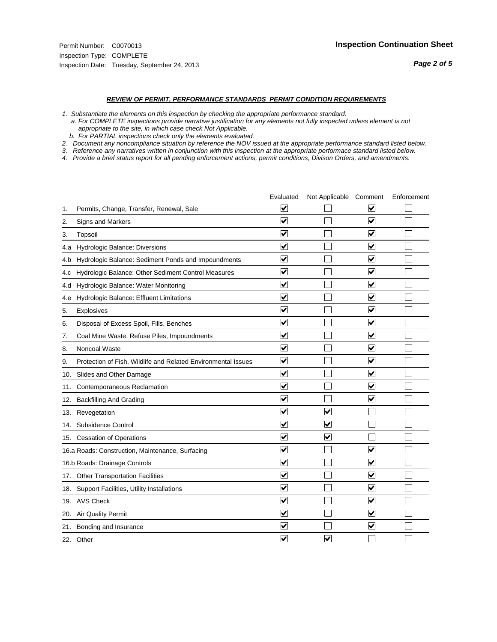#### *REVIEW OF PERMIT, PERFORMANCE STANDARDS PERMIT CONDITION REQUIREMENTS*

*1. Substantiate the elements on this inspection by checking the appropriate performance standard.*

 *a. For COMPLETE inspections provide narrative justification for any elements not fully inspected unless element is not appropriate to the site, in which case check Not Applicable.*

 *b. For PARTIAL inspections check only the elements evaluated.*

*2. Document any noncompliance situation by reference the NOV issued at the appropriate performance standard listed below.*

*3. Reference any narratives written in conjunction with this inspection at the appropriate performace standard listed below.*

|     |                                                               | Evaluated                       | Not Applicable Comment  |                         | Enforcement |
|-----|---------------------------------------------------------------|---------------------------------|-------------------------|-------------------------|-------------|
| 1.  | Permits, Change, Transfer, Renewal, Sale                      | $\overline{\mathsf{v}}$         |                         | V                       |             |
| 2.  | <b>Signs and Markers</b>                                      | $\overline{\mathbf{v}}$         |                         | $\blacktriangledown$    |             |
| 3.  | Topsoil                                                       | $\overline{\mathbf{v}}$         |                         | $\blacktriangledown$    |             |
| 4.a | Hydrologic Balance: Diversions                                | ⊽                               |                         | $\overline{\mathbf{v}}$ |             |
| 4.b | Hydrologic Balance: Sediment Ponds and Impoundments           | $\blacktriangledown$            |                         | ⊻                       |             |
| 4.C | Hydrologic Balance: Other Sediment Control Measures           | $\overline{\mathbf{v}}$         |                         | $\blacktriangledown$    |             |
| 4.d | Hydrologic Balance: Water Monitoring                          | $\blacktriangledown$            |                         | $\blacktriangledown$    |             |
| 4.e | Hydrologic Balance: Effluent Limitations                      | $\overline{\mathbf{v}}$         |                         | $\blacktriangledown$    |             |
| 5.  | Explosives                                                    | $\overline{\mathbf{v}}$         |                         | $\blacktriangledown$    |             |
| 6.  | Disposal of Excess Spoil, Fills, Benches                      | $\blacktriangledown$            |                         | $\blacktriangledown$    |             |
| 7.  | Coal Mine Waste, Refuse Piles, Impoundments                   | $\overline{\blacktriangledown}$ |                         | $\overline{\mathbf{v}}$ |             |
| 8.  | Noncoal Waste                                                 | $\overline{\mathbf{v}}$         |                         | $\blacktriangledown$    |             |
| 9.  | Protection of Fish, Wildlife and Related Environmental Issues | $\overline{\mathbf{v}}$         |                         | ☑                       |             |
|     | 10. Slides and Other Damage                                   | $\overline{\mathbf{v}}$         |                         | $\blacktriangledown$    |             |
| 11. | Contemporaneous Reclamation                                   | ⊽                               |                         | $\blacktriangledown$    |             |
| 12. | <b>Backfilling And Grading</b>                                | $\overline{\mathbf{v}}$         |                         | ☑                       |             |
| 13. | Revegetation                                                  | $\overline{\mathbf{v}}$         | $\overline{\mathbf{v}}$ |                         |             |
| 14. | Subsidence Control                                            | $\overline{\mathbf{v}}$         | $\overline{\mathbf{v}}$ |                         |             |
|     | 15. Cessation of Operations                                   | $\overline{\mathbf{v}}$         | $\blacktriangledown$    |                         |             |
|     | 16.a Roads: Construction, Maintenance, Surfacing              | $\overline{\mathsf{v}}$         |                         | $\blacktriangledown$    |             |
|     | 16.b Roads: Drainage Controls                                 | $\blacktriangledown$            |                         | V                       |             |
|     | 17. Other Transportation Facilities                           | $\overline{\mathbf{v}}$         |                         | $\blacktriangledown$    |             |
| 18. | Support Facilities, Utility Installations                     | $\overline{\mathbf{v}}$         |                         | $\overline{\mathbf{v}}$ |             |
|     | 19. AVS Check                                                 | $\overline{\mathbf{v}}$         |                         | $\blacktriangledown$    |             |
|     | 20. Air Quality Permit                                        | $\blacktriangledown$            |                         | $\blacktriangledown$    |             |
|     | 21. Bonding and Insurance                                     | $\overline{\mathbf{v}}$         |                         | $\blacktriangledown$    |             |
|     | 22. Other                                                     | $\overline{\mathbf{v}}$         | $\overline{\mathbf{v}}$ |                         |             |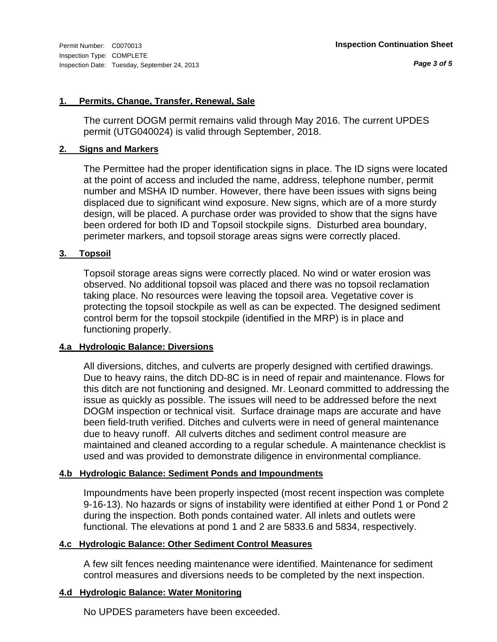#### **1. Permits, Change, Transfer, Renewal, Sale**

The current DOGM permit remains valid through May 2016. The current UPDES permit (UTG040024) is valid through September, 2018.

#### **2. Signs and Markers**

The Permittee had the proper identification signs in place. The ID signs were located at the point of access and included the name, address, telephone number, permit number and MSHA ID number. However, there have been issues with signs being displaced due to significant wind exposure. New signs, which are of a more sturdy design, will be placed. A purchase order was provided to show that the signs have been ordered for both ID and Topsoil stockpile signs. Disturbed area boundary, perimeter markers, and topsoil storage areas signs were correctly placed.

## **3. Topsoil**

Topsoil storage areas signs were correctly placed. No wind or water erosion was observed. No additional topsoil was placed and there was no topsoil reclamation taking place. No resources were leaving the topsoil area. Vegetative cover is protecting the topsoil stockpile as well as can be expected. The designed sediment control berm for the topsoil stockpile (identified in the MRP) is in place and functioning properly.

## **4.a Hydrologic Balance: Diversions**

All diversions, ditches, and culverts are properly designed with certified drawings. Due to heavy rains, the ditch DD-8C is in need of repair and maintenance. Flows for this ditch are not functioning and designed. Mr. Leonard committed to addressing the issue as quickly as possible. The issues will need to be addressed before the next DOGM inspection or technical visit. Surface drainage maps are accurate and have been field-truth verified. Ditches and culverts were in need of general maintenance due to heavy runoff. All culverts ditches and sediment control measure are maintained and cleaned according to a regular schedule. A maintenance checklist is used and was provided to demonstrate diligence in environmental compliance.

## **4.b Hydrologic Balance: Sediment Ponds and Impoundments**

Impoundments have been properly inspected (most recent inspection was complete 9-16-13). No hazards or signs of instability were identified at either Pond 1 or Pond 2 during the inspection. Both ponds contained water. All inlets and outlets were functional. The elevations at pond 1 and 2 are 5833.6 and 5834, respectively.

## **4.c Hydrologic Balance: Other Sediment Control Measures**

A few silt fences needing maintenance were identified. Maintenance for sediment control measures and diversions needs to be completed by the next inspection.

## **4.d Hydrologic Balance: Water Monitoring**

No UPDES parameters have been exceeded.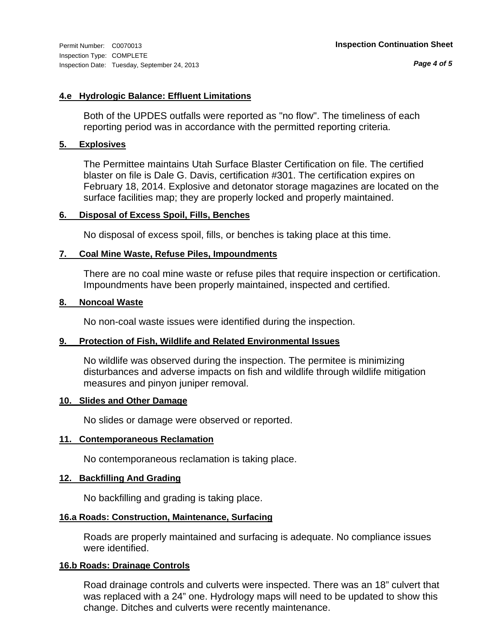*Page 4 of 5*

## **4.e Hydrologic Balance: Effluent Limitations**

Both of the UPDES outfalls were reported as "no flow". The timeliness of each reporting period was in accordance with the permitted reporting criteria.

## **5. Explosives**

The Permittee maintains Utah Surface Blaster Certification on file. The certified blaster on file is Dale G. Davis, certification #301. The certification expires on February 18, 2014. Explosive and detonator storage magazines are located on the surface facilities map; they are properly locked and properly maintained.

#### **6. Disposal of Excess Spoil, Fills, Benches**

No disposal of excess spoil, fills, or benches is taking place at this time.

## **7. Coal Mine Waste, Refuse Piles, Impoundments**

There are no coal mine waste or refuse piles that require inspection or certification. Impoundments have been properly maintained, inspected and certified.

#### **8. Noncoal Waste**

No non-coal waste issues were identified during the inspection.

## **9. Protection of Fish, Wildlife and Related Environmental Issues**

No wildlife was observed during the inspection. The permitee is minimizing disturbances and adverse impacts on fish and wildlife through wildlife mitigation measures and pinyon juniper removal.

#### **10. Slides and Other Damage**

No slides or damage were observed or reported.

#### **11. Contemporaneous Reclamation**

No contemporaneous reclamation is taking place.

#### **12. Backfilling And Grading**

No backfilling and grading is taking place.

## **16.a Roads: Construction, Maintenance, Surfacing**

Roads are properly maintained and surfacing is adequate. No compliance issues were identified.

## **16.b Roads: Drainage Controls**

Road drainage controls and culverts were inspected. There was an 18" culvert that was replaced with a 24" one. Hydrology maps will need to be updated to show this change. Ditches and culverts were recently maintenance.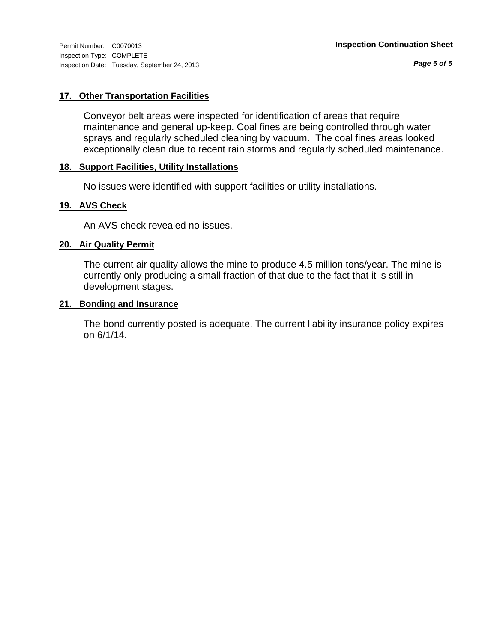## **17. Other Transportation Facilities**

Conveyor belt areas were inspected for identification of areas that require maintenance and general up-keep. Coal fines are being controlled through water sprays and regularly scheduled cleaning by vacuum. The coal fines areas looked exceptionally clean due to recent rain storms and regularly scheduled maintenance.

#### **18. Support Facilities, Utility Installations**

No issues were identified with support facilities or utility installations.

## **19. AVS Check**

An AVS check revealed no issues.

## **20. Air Quality Permit**

The current air quality allows the mine to produce 4.5 million tons/year. The mine is currently only producing a small fraction of that due to the fact that it is still in development stages.

#### **21. Bonding and Insurance**

The bond currently posted is adequate. The current liability insurance policy expires on 6/1/14.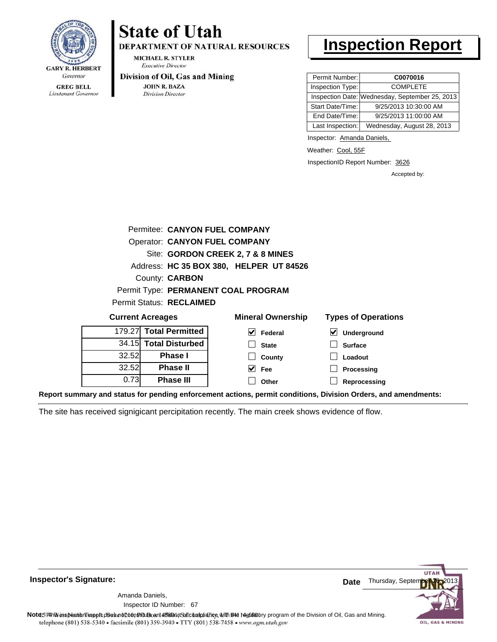

Lieutenant Governor

# **State of Utah**

**DEPARTMENT OF NATURAL RESOURCES** 

**MICHAEL R. STYLER Executive Director** 

#### Division of Oil, Gas and Mining

**JOHN R. BAZA Division Director** 

# **Inspection Report**

| Permit Number:   | C0070016                                       |
|------------------|------------------------------------------------|
| Inspection Type: | <b>COMPLETE</b>                                |
|                  | Inspection Date: Wednesday, September 25, 2013 |
| Start Date/Time: | 9/25/2013 10:30:00 AM                          |
| End Date/Time:   | 9/25/2013 11:00:00 AM                          |
| Last Inspection: | Wednesday, August 28, 2013                     |

Inspector: Amanda Daniels,

Weather: Cool, 55F

InspectionID Report Number: 3626

**Reprocessing**

Accepted by:

| Permitee: CANYON FUEL COMPANY                                     |                                         |                                     |                                     |  |  |  |  |  |
|-------------------------------------------------------------------|-----------------------------------------|-------------------------------------|-------------------------------------|--|--|--|--|--|
|                                                                   | <b>Operator: CANYON FUEL COMPANY</b>    |                                     |                                     |  |  |  |  |  |
| Site: GORDON CREEK 2, 7 & 8 MINES                                 |                                         |                                     |                                     |  |  |  |  |  |
|                                                                   | Address: HC 35 BOX 380, HELPER UT 84526 |                                     |                                     |  |  |  |  |  |
|                                                                   | County: <b>CARBON</b>                   |                                     |                                     |  |  |  |  |  |
|                                                                   |                                         | Permit Type: PERMANENT COAL PROGRAM |                                     |  |  |  |  |  |
|                                                                   | <b>Permit Status: RECLAIMED</b>         |                                     |                                     |  |  |  |  |  |
| <b>Current Acreages</b>                                           |                                         | <b>Mineral Ownership</b>            | <b>Types of Operations</b>          |  |  |  |  |  |
| 179.27                                                            | <b>Total Permitted</b>                  | $\blacktriangledown$<br>Federal     | $\blacktriangledown$<br>Underground |  |  |  |  |  |
| <b>Total Disturbed</b><br>34.15<br><b>Surface</b><br><b>State</b> |                                         |                                     |                                     |  |  |  |  |  |
| 32.52<br><b>Phase I</b><br>Loadout<br>County                      |                                         |                                     |                                     |  |  |  |  |  |
| 32.52                                                             | <b>Phase II</b>                         | Fee                                 | Processing                          |  |  |  |  |  |

**Other**

**Report summary and status for pending enforcement actions, permit conditions, Division Orders, and amendments:**

The site has received signigicant percipitation recently. The main creek shows evidence of flow.



67 Inspector ID Number:Amanda Daniels,

0.73

**Phase III**

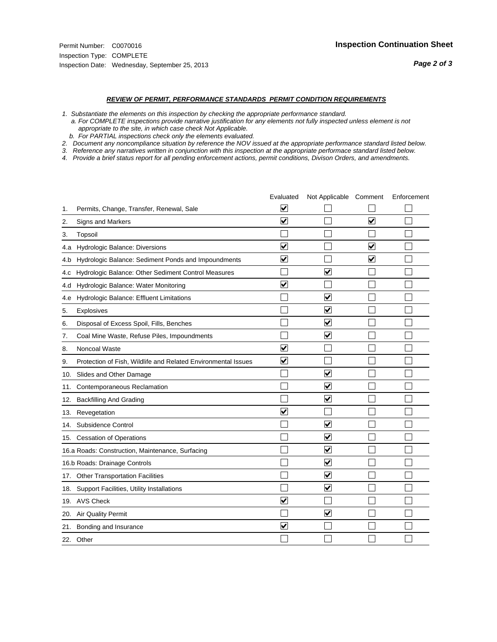#### *REVIEW OF PERMIT, PERFORMANCE STANDARDS PERMIT CONDITION REQUIREMENTS*

*1. Substantiate the elements on this inspection by checking the appropriate performance standard.*

 *a. For COMPLETE inspections provide narrative justification for any elements not fully inspected unless element is not appropriate to the site, in which case check Not Applicable.*

 *b. For PARTIAL inspections check only the elements evaluated.*

*2. Document any noncompliance situation by reference the NOV issued at the appropriate performance standard listed below.*

*3. Reference any narratives written in conjunction with this inspection at the appropriate performace standard listed below.*

|     |                                                               | Evaluated               | Not Applicable Comment          |                         | Enforcement |
|-----|---------------------------------------------------------------|-------------------------|---------------------------------|-------------------------|-------------|
| 1.  | Permits, Change, Transfer, Renewal, Sale                      | ⊻                       |                                 |                         |             |
| 2.  | Signs and Markers                                             | $\overline{\mathbf{v}}$ |                                 | $\overline{\mathbf{v}}$ |             |
| 3.  | Topsoil                                                       |                         |                                 |                         |             |
| 4.a | <b>Hydrologic Balance: Diversions</b>                         | $\overline{\mathbf{v}}$ |                                 | $\blacktriangledown$    |             |
| 4.b | Hydrologic Balance: Sediment Ponds and Impoundments           | $\blacktriangledown$    |                                 | $\blacktriangledown$    |             |
| 4.C | Hydrologic Balance: Other Sediment Control Measures           |                         | $\overline{\mathbf{v}}$         |                         |             |
| 4.d | Hydrologic Balance: Water Monitoring                          | $\overline{\mathbf{v}}$ |                                 |                         |             |
| 4.e | Hydrologic Balance: Effluent Limitations                      |                         | $\overline{\blacktriangledown}$ |                         |             |
| 5.  | <b>Explosives</b>                                             |                         | $\blacktriangledown$            |                         |             |
| 6.  | Disposal of Excess Spoil, Fills, Benches                      |                         | $\blacktriangledown$            |                         |             |
| 7.  | Coal Mine Waste, Refuse Piles, Impoundments                   |                         | $\blacktriangledown$            |                         |             |
| 8.  | Noncoal Waste                                                 | $\overline{\mathsf{v}}$ |                                 |                         |             |
| 9.  | Protection of Fish, Wildlife and Related Environmental Issues | $\blacktriangledown$    |                                 |                         |             |
| 10. | Slides and Other Damage                                       |                         | $\overline{\mathsf{v}}$         |                         |             |
| 11. | Contemporaneous Reclamation                                   |                         | ⊻                               |                         |             |
| 12. | <b>Backfilling And Grading</b>                                |                         | $\blacktriangledown$            |                         |             |
| 13. | Revegetation                                                  | $\overline{\mathbf{v}}$ |                                 |                         |             |
| 14. | Subsidence Control                                            |                         | $\overline{\mathbf{v}}$         |                         |             |
|     | 15. Cessation of Operations                                   |                         | $\blacktriangledown$            |                         |             |
|     | 16.a Roads: Construction, Maintenance, Surfacing              |                         | $\overline{\mathbf{v}}$         |                         |             |
|     | 16.b Roads: Drainage Controls                                 |                         | $\blacktriangledown$            |                         |             |
| 17. | <b>Other Transportation Facilities</b>                        |                         | $\overline{\blacktriangledown}$ |                         |             |
| 18. | Support Facilities, Utility Installations                     |                         | $\overline{\blacktriangledown}$ |                         |             |
|     | 19. AVS Check                                                 | $\overline{\mathbf{v}}$ |                                 |                         |             |
| 20. | Air Quality Permit                                            |                         | $\blacktriangledown$            |                         |             |
| 21. | Bonding and Insurance                                         | $\overline{\mathbf{v}}$ |                                 |                         |             |
|     | 22. Other                                                     |                         |                                 |                         |             |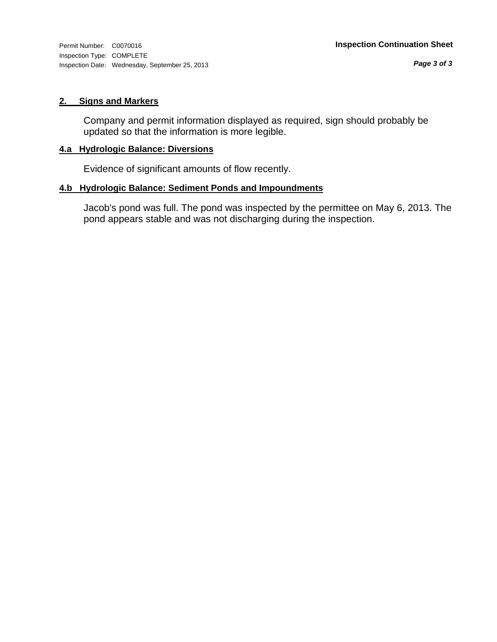#### **2. Signs and Markers**

Company and permit information displayed as required, sign should probably be updated so that the information is more legible.

## **4.a Hydrologic Balance: Diversions**

Evidence of significant amounts of flow recently.

#### **4.b Hydrologic Balance: Sediment Ponds and Impoundments**

Jacob's pond was full. The pond was inspected by the permittee on May 6, 2013. The pond appears stable and was not discharging during the inspection.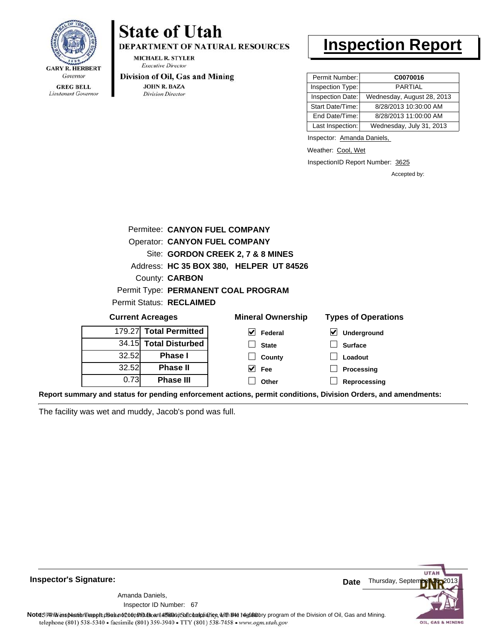

Lieutenant Governor

# **State of Utah**

DEPARTMENT OF NATURAL RESOURCES

**MICHAEL R. STYLER Executive Director** 

#### Division of Oil, Gas and Mining

**JOHN R. BAZA Division Director** 

# **Inspection Report**

| Permit Number:   | C0070016                   |
|------------------|----------------------------|
| Inspection Type: | <b>PARTIAL</b>             |
| Inspection Date: | Wednesday, August 28, 2013 |
| Start Date/Time: | 8/28/2013 10:30:00 AM      |
| End Date/Time:   | 8/28/2013 11:00:00 AM      |
| Last Inspection: | Wednesday, July 31, 2013   |

Inspector: Amanda Daniels,

Weather: Cool, Wet

InspectionID Report Number: 3625

Accepted by:

|                        | Permitee: CANYON FUEL COMPANY        |                                         |                                     |
|------------------------|--------------------------------------|-----------------------------------------|-------------------------------------|
|                        | <b>Operator: CANYON FUEL COMPANY</b> |                                         |                                     |
|                        |                                      | Site: GORDON CREEK 2, 7 & 8 MINES       |                                     |
|                        |                                      | Address: HC 35 BOX 380, HELPER UT 84526 |                                     |
|                        | County: <b>CARBON</b>                |                                         |                                     |
|                        |                                      | Permit Type: PERMANENT COAL PROGRAM     |                                     |
|                        | Permit Status: RECLAIMED             |                                         |                                     |
|                        | <b>Current Acreages</b>              | <b>Mineral Ownership</b>                | <b>Types of Operations</b>          |
| 179.27 Total Permitted |                                      |                                         |                                     |
|                        |                                      | M<br>Federal                            | $\blacktriangledown$<br>Underground |
|                        | 34.15 Total Disturbed                | <b>State</b>                            | <b>Surface</b>                      |
| 32.52                  | Phase I                              | County                                  | Loadout                             |
| 32.52                  | <b>Phase II</b>                      | M<br><b>Fee</b>                         | Processing                          |

**Report summary and status for pending enforcement actions, permit conditions, Division Orders, and amendments:**

The facility was wet and muddy, Jacob's pond was full.



## **Inspector's Signature:**

67 Inspector ID Number:Amanda Daniels,

Note59#h is inspection report does not constitute and affidavit and compliance, with the regulatory program of the Division of Oil, Gas and Mining. telephone (801) 538-5340 · facsimile (801) 359-3940 · TTY (801) 538-7458 · www.ogm.utah.gov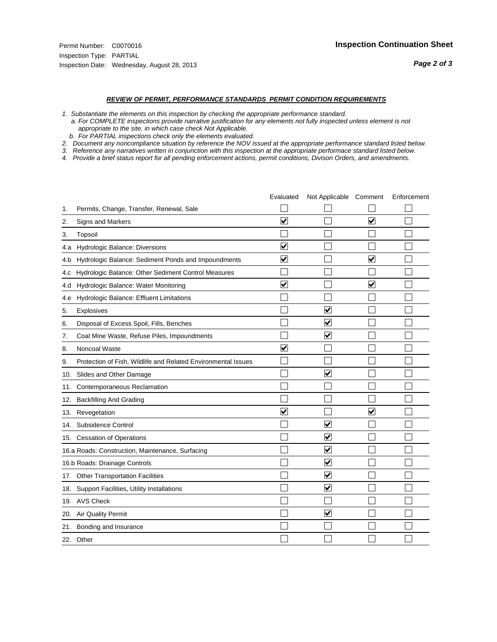#### *REVIEW OF PERMIT, PERFORMANCE STANDARDS PERMIT CONDITION REQUIREMENTS*

*1. Substantiate the elements on this inspection by checking the appropriate performance standard.*

 *a. For COMPLETE inspections provide narrative justification for any elements not fully inspected unless element is not appropriate to the site, in which case check Not Applicable.*

 *b. For PARTIAL inspections check only the elements evaluated.*

*2. Document any noncompliance situation by reference the NOV issued at the appropriate performance standard listed below.*

*3. Reference any narratives written in conjunction with this inspection at the appropriate performace standard listed below.*

|     |                                                               | Evaluated               | Not Applicable Comment          |                         | Enforcement |
|-----|---------------------------------------------------------------|-------------------------|---------------------------------|-------------------------|-------------|
| 1.  | Permits, Change, Transfer, Renewal, Sale                      |                         |                                 |                         |             |
| 2.  | Signs and Markers                                             | $\overline{\mathbf{v}}$ |                                 | $\overline{\mathbf{v}}$ |             |
| 3.  | Topsoil                                                       |                         |                                 |                         |             |
| 4.a | Hydrologic Balance: Diversions                                | $\overline{\mathbf{v}}$ |                                 |                         |             |
| 4.b | Hydrologic Balance: Sediment Ponds and Impoundments           | $\blacktriangledown$    |                                 | V                       |             |
| 4.C | Hydrologic Balance: Other Sediment Control Measures           |                         |                                 |                         |             |
| 4.d | Hydrologic Balance: Water Monitoring                          | $\overline{\mathbf{v}}$ |                                 | $\blacktriangledown$    |             |
| 4.e | Hydrologic Balance: Effluent Limitations                      |                         |                                 |                         |             |
| 5.  | <b>Explosives</b>                                             |                         | $\overline{\mathbf{v}}$         |                         |             |
| 6.  | Disposal of Excess Spoil, Fills, Benches                      |                         | ⊻                               |                         |             |
| 7.  | Coal Mine Waste, Refuse Piles, Impoundments                   |                         | $\blacktriangledown$            |                         |             |
| 8.  | Noncoal Waste                                                 | $\overline{\mathsf{v}}$ |                                 |                         |             |
| 9.  | Protection of Fish, Wildlife and Related Environmental Issues |                         |                                 |                         |             |
| 10. | Slides and Other Damage                                       |                         | $\overline{\mathsf{v}}$         |                         |             |
| 11. | Contemporaneous Reclamation                                   |                         |                                 |                         |             |
| 12. | <b>Backfilling And Grading</b>                                |                         |                                 |                         |             |
| 13. | Revegetation                                                  | $\overline{\mathbf{v}}$ |                                 | $\overline{\mathsf{v}}$ |             |
| 14. | Subsidence Control                                            |                         | $\overline{\mathbf{v}}$         |                         |             |
|     | 15. Cessation of Operations                                   |                         | $\blacktriangledown$            |                         |             |
|     | 16.a Roads: Construction, Maintenance, Surfacing              |                         | $\overline{\mathbf{v}}$         |                         |             |
|     | 16.b Roads: Drainage Controls                                 |                         | $\blacktriangledown$            |                         |             |
| 17. | <b>Other Transportation Facilities</b>                        |                         | $\overline{\blacktriangledown}$ |                         |             |
| 18. | Support Facilities, Utility Installations                     |                         | $\overline{\blacktriangledown}$ |                         |             |
|     | 19. AVS Check                                                 |                         |                                 |                         |             |
| 20. | Air Quality Permit                                            |                         | $\blacktriangledown$            |                         |             |
| 21. | Bonding and Insurance                                         |                         |                                 |                         |             |
|     | 22. Other                                                     |                         |                                 |                         |             |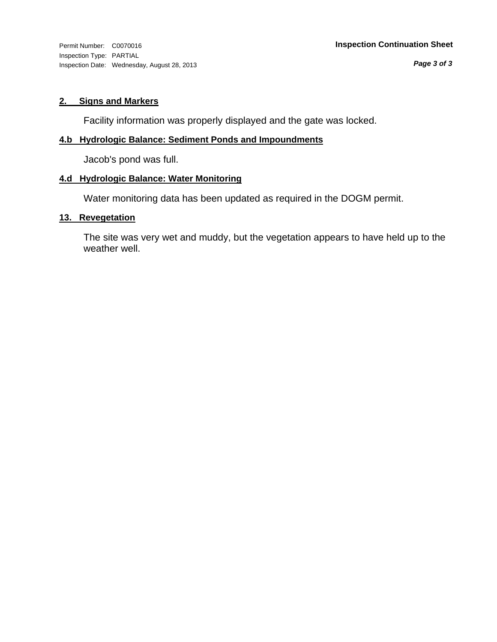Inspection Type: PARTIAL Inspection Date: Wednesday, August 28, 2013

## **2. Signs and Markers**

Facility information was properly displayed and the gate was locked.

## **4.b Hydrologic Balance: Sediment Ponds and Impoundments**

Jacob's pond was full.

#### **4.d Hydrologic Balance: Water Monitoring**

Water monitoring data has been updated as required in the DOGM permit.

#### **13. Revegetation**

The site was very wet and muddy, but the vegetation appears to have held up to the weather well.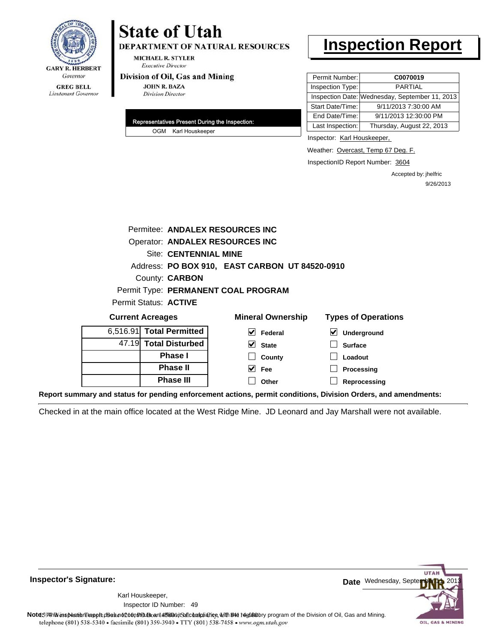

## **State of Utah DEPARTMENT OF NATURAL RESOURCES**

**MICHAEL R. STYLER Executive Director** 

#### Division of Oil, Gas and Mining

**JOHN R. BAZA Division Director** 

| Representatives Present During the Inspection: |
|------------------------------------------------|
| OGM Karl Houskeeper                            |

# **Inspection Report**

| Permit Number:   | C0070019                                       |
|------------------|------------------------------------------------|
| Inspection Type: | <b>PARTIAL</b>                                 |
|                  | Inspection Date: Wednesday, September 11, 2013 |
| Start Date/Time: | 9/11/2013 7:30:00 AM                           |
| End Date/Time:   | 9/11/2013 12:30:00 PM                          |
| Last Inspection: | Thursday, August 22, 2013                      |

Inspector: Karl Houskeeper,

Weather: Overcast, Temp 67 Deg. F.

InspectionID Report Number: 3604

Accepted by: jhelfric 9/26/2013

| County: <b>CARBON</b>    |                          |                                                                                                                                                                                                    |  |  |  |
|--------------------------|--------------------------|----------------------------------------------------------------------------------------------------------------------------------------------------------------------------------------------------|--|--|--|
|                          |                          |                                                                                                                                                                                                    |  |  |  |
| Permit Status: ACTIVE    |                          |                                                                                                                                                                                                    |  |  |  |
| <b>Current Acreages</b>  | <b>Mineral Ownership</b> | <b>Types of Operations</b>                                                                                                                                                                         |  |  |  |
| 6,516.91 Total Permitted | Federal                  | Underground                                                                                                                                                                                        |  |  |  |
| 47.19 Total Disturbed    | <b>State</b>             | <b>Surface</b>                                                                                                                                                                                     |  |  |  |
|                          |                          | Permitee: ANDALEX RESOURCES INC<br><b>Operator: ANDALEX RESOURCES INC</b><br><b>Site: CENTENNIAL MINE</b><br>Address: PO BOX 910, EAST CARBON UT 84520-0910<br>Permit Type: PERMANENT COAL PROGRAM |  |  |  |

**County Fee Other**

**Phase I Phase II Phase III** **Loadout Processing**

**Reprocessing**

**Report summary and status for pending enforcement actions, permit conditions, Division Orders, and amendments:**

Checked in at the main office located at the West Ridge Mine. JD Leonard and Jay Marshall were not available.



49 Inspector ID Number:Karl Houskeeper,



Note59#h% inspection reppt does not constitute an affidavit of compliance, with the regulatory program of the Division of Oil, Gas and Mining. telephone (801) 538-5340 · facsimile (801) 359-3940 · TTY (801) 538-7458 · www.ogm.utah.gov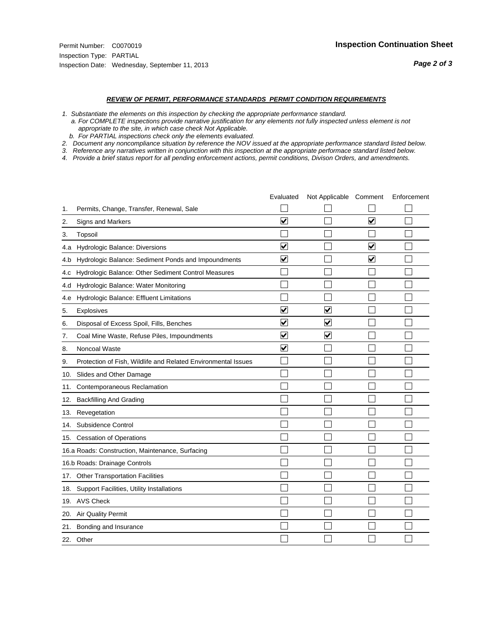#### *REVIEW OF PERMIT, PERFORMANCE STANDARDS PERMIT CONDITION REQUIREMENTS*

*1. Substantiate the elements on this inspection by checking the appropriate performance standard.*

 *a. For COMPLETE inspections provide narrative justification for any elements not fully inspected unless element is not appropriate to the site, in which case check Not Applicable.*

 *b. For PARTIAL inspections check only the elements evaluated.*

*2. Document any noncompliance situation by reference the NOV issued at the appropriate performance standard listed below.*

*3. Reference any narratives written in conjunction with this inspection at the appropriate performace standard listed below.*

|     |                                                               | Evaluated               | Not Applicable Comment  |                         | Enforcement |
|-----|---------------------------------------------------------------|-------------------------|-------------------------|-------------------------|-------------|
| 1.  | Permits, Change, Transfer, Renewal, Sale                      |                         |                         |                         |             |
| 2.  | <b>Signs and Markers</b>                                      | $\overline{\mathbf{v}}$ |                         | $\overline{\mathbf{v}}$ |             |
| 3.  | Topsoil                                                       |                         |                         |                         |             |
| 4.a | Hydrologic Balance: Diversions                                | ⊽                       |                         | $\overline{\mathbf{v}}$ |             |
| 4.b | Hydrologic Balance: Sediment Ponds and Impoundments           | $\blacktriangledown$    |                         | ⊻                       |             |
| 4.C | Hydrologic Balance: Other Sediment Control Measures           |                         |                         |                         |             |
| 4.d | Hydrologic Balance: Water Monitoring                          |                         |                         |                         |             |
| 4.e | Hydrologic Balance: Effluent Limitations                      |                         |                         |                         |             |
| 5.  | Explosives                                                    | $\overline{\mathbf{v}}$ | $\overline{\mathbf{v}}$ |                         |             |
| 6.  | Disposal of Excess Spoil, Fills, Benches                      | ⊽                       | $\blacktriangledown$    |                         |             |
| 7.  | Coal Mine Waste, Refuse Piles, Impoundments                   | $\overline{\mathbf{v}}$ | $\blacktriangledown$    |                         |             |
| 8.  | Noncoal Waste                                                 | $\overline{\mathbf{v}}$ |                         |                         |             |
| 9.  | Protection of Fish, Wildlife and Related Environmental Issues |                         |                         |                         |             |
| 10. | Slides and Other Damage                                       |                         |                         |                         |             |
| 11. | Contemporaneous Reclamation                                   |                         |                         |                         |             |
| 12. | <b>Backfilling And Grading</b>                                |                         |                         |                         |             |
| 13. | Revegetation                                                  |                         |                         |                         |             |
| 14. | Subsidence Control                                            |                         |                         |                         |             |
|     | 15. Cessation of Operations                                   |                         |                         |                         |             |
|     | 16.a Roads: Construction, Maintenance, Surfacing              |                         |                         |                         |             |
|     | 16.b Roads: Drainage Controls                                 |                         |                         |                         |             |
| 17. | <b>Other Transportation Facilities</b>                        |                         |                         |                         |             |
| 18. | Support Facilities, Utility Installations                     |                         |                         |                         |             |
|     | 19. AVS Check                                                 |                         |                         |                         |             |
| 20. | Air Quality Permit                                            |                         |                         |                         |             |
| 21. | Bonding and Insurance                                         |                         |                         |                         |             |
|     | 22. Other                                                     |                         |                         |                         |             |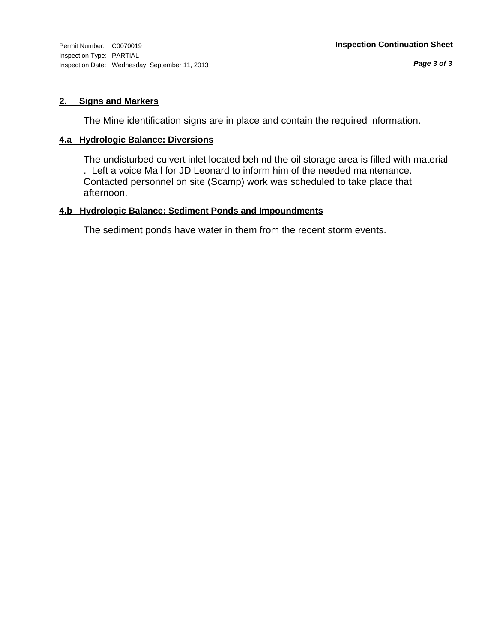#### **2. Signs and Markers**

The Mine identification signs are in place and contain the required information.

#### **4.a Hydrologic Balance: Diversions**

The undisturbed culvert inlet located behind the oil storage area is filled with material . Left a voice Mail for JD Leonard to inform him of the needed maintenance. Contacted personnel on site (Scamp) work was scheduled to take place that afternoon.

## **4.b Hydrologic Balance: Sediment Ponds and Impoundments**

The sediment ponds have water in them from the recent storm events.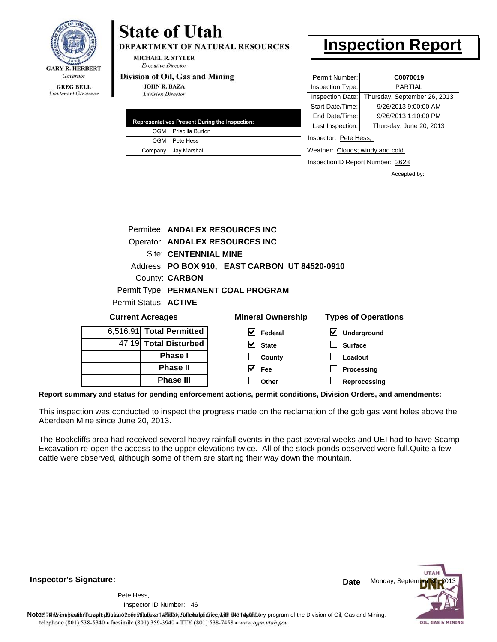

# **State of Utah**

**DEPARTMENT OF NATURAL RESOURCES** 

**MICHAEL R. STYLER Executive Director** 

#### Division of Oil, Gas and Mining

**JOHN R. BAZA Division Director** 

| Representatives Present During the Inspection: |                      |  |  |  |
|------------------------------------------------|----------------------|--|--|--|
|                                                | OGM Priscilla Burton |  |  |  |
|                                                | OGM Pete Hess        |  |  |  |
|                                                | Company Jay Marshall |  |  |  |

# **Inspection Report**

| Permit Number:   | C0070019                     |  |
|------------------|------------------------------|--|
| Inspection Type: | <b>PARTIAL</b>               |  |
| Inspection Date: | Thursday, September 26, 2013 |  |
| Start Date/Time: | 9/26/2013 9:00:00 AM         |  |
| End Date/Time:   | 9/26/2013 1:10:00 PM         |  |
| Last Inspection: | Thursday, June 20, 2013      |  |
|                  |                              |  |

Inspector: Pete Hess,

Weather: Clouds; windy and cold.

InspectionID Report Number: 3628

Accepted by:

|                              |                                 | Permitee: ANDALEX RESOURCES INC                |                            |  |  |
|------------------------------|---------------------------------|------------------------------------------------|----------------------------|--|--|
|                              | Operator: ANDALEX RESOURCES INC |                                                |                            |  |  |
|                              | <b>Site: CENTENNIAL MINE</b>    |                                                |                            |  |  |
|                              |                                 | Address: PO BOX 910, EAST CARBON UT 84520-0910 |                            |  |  |
|                              | County: <b>CARBON</b>           |                                                |                            |  |  |
|                              |                                 | Permit Type: PERMANENT COAL PROGRAM            |                            |  |  |
| Permit Status: <b>ACTIVE</b> |                                 |                                                |                            |  |  |
| <b>Current Acreages</b>      |                                 | <b>Mineral Ownership</b>                       | <b>Types of Operations</b> |  |  |
|                              |                                 |                                                |                            |  |  |

|  | 6,516.91 Total Permitted | V<br>Federal                | $\vee$ Underground |
|--|--------------------------|-----------------------------|--------------------|
|  | 47.19 Total Disturbed    | V<br><b>State</b>           | <b>Surface</b>     |
|  | <b>Phase I</b>           | County                      | Loadout            |
|  | <b>Phase II</b>          | $\blacktriangledown$<br>Fee | Processing         |
|  | <b>Phase III</b>         | Other                       | Reprocessing       |
|  |                          |                             |                    |

**Report summary and status for pending enforcement actions, permit conditions, Division Orders, and amendments:**

This inspection was conducted to inspect the progress made on the reclamation of the gob gas vent holes above the Aberdeen Mine since June 20, 2013.

The Bookcliffs area had received several heavy rainfall events in the past several weeks and UEI had to have Scamp Excavation re-open the access to the upper elevations twice. All of the stock ponds observed were full.Quite a few cattle were observed, although some of them are starting their way down the mountain.

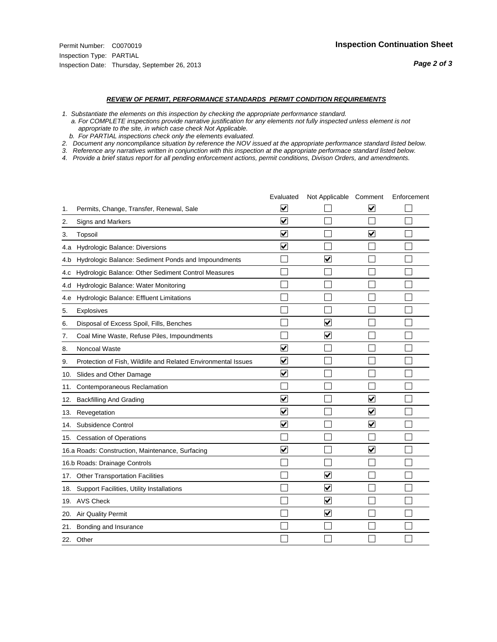#### *REVIEW OF PERMIT, PERFORMANCE STANDARDS PERMIT CONDITION REQUIREMENTS*

*1. Substantiate the elements on this inspection by checking the appropriate performance standard.*

 *a. For COMPLETE inspections provide narrative justification for any elements not fully inspected unless element is not appropriate to the site, in which case check Not Applicable.*

 *b. For PARTIAL inspections check only the elements evaluated.*

*2. Document any noncompliance situation by reference the NOV issued at the appropriate performance standard listed below.*

*3. Reference any narratives written in conjunction with this inspection at the appropriate performace standard listed below.*

|     |                                                               | Evaluated               | Not Applicable Comment  |                         | Enforcement |
|-----|---------------------------------------------------------------|-------------------------|-------------------------|-------------------------|-------------|
| 1.  | Permits, Change, Transfer, Renewal, Sale                      | ⊻                       |                         | V                       |             |
| 2.  | <b>Signs and Markers</b>                                      | $\overline{\mathbf{v}}$ |                         |                         |             |
| 3.  | Topsoil                                                       | $\overline{\mathbf{v}}$ |                         | $\overline{\mathbf{v}}$ |             |
| 4.a | Hydrologic Balance: Diversions                                | ⊽                       |                         |                         |             |
| 4.b | Hydrologic Balance: Sediment Ponds and Impoundments           |                         | V                       |                         |             |
| 4.C | Hydrologic Balance: Other Sediment Control Measures           |                         |                         |                         |             |
| 4.d | Hydrologic Balance: Water Monitoring                          |                         |                         |                         |             |
| 4.e | Hydrologic Balance: Effluent Limitations                      |                         |                         |                         |             |
| 5.  | Explosives                                                    |                         |                         |                         |             |
| 6.  | Disposal of Excess Spoil, Fills, Benches                      |                         | $\overline{\mathbf{v}}$ |                         |             |
| 7.  | Coal Mine Waste, Refuse Piles, Impoundments                   |                         | $\overline{\mathbf{v}}$ |                         |             |
| 8.  | Noncoal Waste                                                 | $\overline{\mathbf{v}}$ |                         |                         |             |
| 9.  | Protection of Fish, Wildlife and Related Environmental Issues | $\blacktriangledown$    |                         |                         |             |
| 10. | Slides and Other Damage                                       | ⊻                       |                         |                         |             |
| 11. | Contemporaneous Reclamation                                   |                         |                         |                         |             |
| 12. | <b>Backfilling And Grading</b>                                | $\overline{\mathbf{v}}$ |                         | $\blacktriangledown$    |             |
| 13. | Revegetation                                                  | $\overline{\mathbf{v}}$ |                         | $\overline{\mathbf{v}}$ |             |
| 14. | Subsidence Control                                            | $\overline{\mathbf{v}}$ |                         | $\overline{\mathbf{v}}$ |             |
|     | 15. Cessation of Operations                                   |                         |                         |                         |             |
|     | 16.a Roads: Construction, Maintenance, Surfacing              | $\blacktriangledown$    |                         | V                       |             |
|     | 16.b Roads: Drainage Controls                                 |                         |                         |                         |             |
|     | 17. Other Transportation Facilities                           |                         | $\overline{\mathbf{v}}$ |                         |             |
| 18. | Support Facilities, Utility Installations                     |                         | $\overline{\mathsf{v}}$ |                         |             |
|     | 19. AVS Check                                                 |                         | $\overline{\mathbf{v}}$ |                         |             |
| 20. | Air Quality Permit                                            |                         | $\blacktriangledown$    |                         |             |
|     | 21. Bonding and Insurance                                     |                         |                         |                         |             |
|     | 22. Other                                                     |                         |                         |                         |             |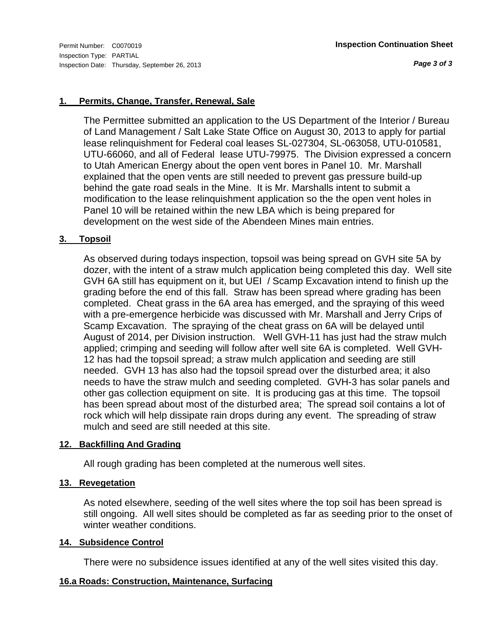*Page 3 of 3*

#### **1. Permits, Change, Transfer, Renewal, Sale**

The Permittee submitted an application to the US Department of the Interior / Bureau of Land Management / Salt Lake State Office on August 30, 2013 to apply for partial lease relinquishment for Federal coal leases SL-027304, SL-063058, UTU-010581, UTU-66060, and all of Federal lease UTU-79975. The Division expressed a concern to Utah American Energy about the open vent bores in Panel 10. Mr. Marshall explained that the open vents are still needed to prevent gas pressure build-up behind the gate road seals in the Mine. It is Mr. Marshalls intent to submit a modification to the lease relinquishment application so the the open vent holes in Panel 10 will be retained within the new LBA which is being prepared for development on the west side of the Abendeen Mines main entries.

#### **3. Topsoil**

As observed during todays inspection, topsoil was being spread on GVH site 5A by dozer, with the intent of a straw mulch application being completed this day. Well site GVH 6A still has equipment on it, but UEI / Scamp Excavation intend to finish up the grading before the end of this fall. Straw has been spread where grading has been completed. Cheat grass in the 6A area has emerged, and the spraying of this weed with a pre-emergence herbicide was discussed with Mr. Marshall and Jerry Crips of Scamp Excavation. The spraying of the cheat grass on 6A will be delayed until August of 2014, per Division instruction. Well GVH-11 has just had the straw mulch applied; crimping and seeding will follow after well site 6A is completed. Well GVH-12 has had the topsoil spread; a straw mulch application and seeding are still needed. GVH 13 has also had the topsoil spread over the disturbed area; it also needs to have the straw mulch and seeding completed. GVH-3 has solar panels and other gas collection equipment on site. It is producing gas at this time. The topsoil has been spread about most of the disturbed area; The spread soil contains a lot of rock which will help dissipate rain drops during any event. The spreading of straw mulch and seed are still needed at this site.

#### **12. Backfilling And Grading**

All rough grading has been completed at the numerous well sites.

#### **13. Revegetation**

As noted elsewhere, seeding of the well sites where the top soil has been spread is still ongoing. All well sites should be completed as far as seeding prior to the onset of winter weather conditions.

#### **14. Subsidence Control**

There were no subsidence issues identified at any of the well sites visited this day.

#### **16.a Roads: Construction, Maintenance, Surfacing**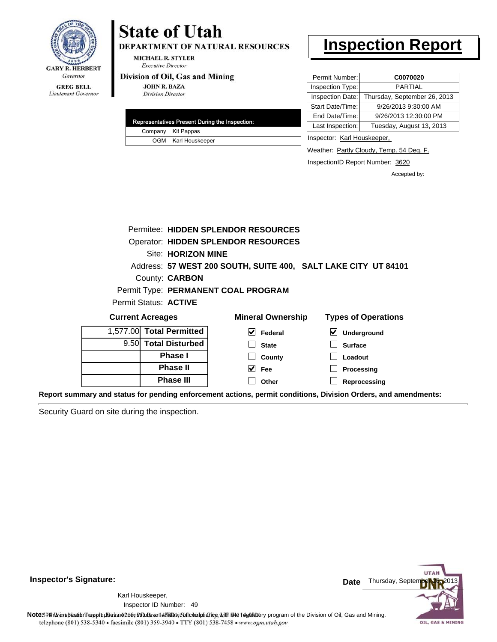

DEPARTMENT OF NATURAL RESOURCES

**MICHAEL R. STYLER Executive Director** 

#### Division of Oil, Gas and Mining

**JOHN R. BAZA Division Director** 

|  | Representatives Present During the Inspection: |
|--|------------------------------------------------|
|  | Company Kit Pappas                             |
|  | OGM Karl Houskeeper                            |

## **Inspection Report**

| Permit Number:   | C0070020                     |
|------------------|------------------------------|
| Inspection Type: | <b>PARTIAL</b>               |
| Inspection Date: | Thursday, September 26, 2013 |
| Start Date/Time: | 9/26/2013 9:30:00 AM         |
| End Date/Time:   | 9/26/2013 12:30:00 PM        |
| Last Inspection: | Tuesday, August 13, 2013     |

Inspector: Karl Houskeeper,

Weather: Partly Cloudy, Temp. 54 Deg. F.

InspectionID Report Number: 3620

Accepted by:

|                         |                           | Permitee: HIDDEN SPLENDOR RESOURCES                            |                                     |
|-------------------------|---------------------------|----------------------------------------------------------------|-------------------------------------|
|                         |                           | <b>Operator: HIDDEN SPLENDOR RESOURCES</b>                     |                                     |
|                         | <b>Site: HORIZON MINE</b> |                                                                |                                     |
|                         |                           | Address: 57 WEST 200 SOUTH, SUITE 400, SALT LAKE CITY UT 84101 |                                     |
|                         | County: <b>CARBON</b>     |                                                                |                                     |
|                         |                           | Permit Type: PERMANENT COAL PROGRAM                            |                                     |
|                         | Permit Status: ACTIVE     |                                                                |                                     |
| <b>Current Acreages</b> |                           | <b>Mineral Ownership</b>                                       | <b>Types of Operations</b>          |
| 1.577.00                | <b>Total Permitted</b>    | M<br>Federal                                                   | $\blacktriangledown$<br>Underground |
|                         | 9.50 Total Disturbed      | <b>State</b>                                                   | <b>Surface</b>                      |
|                         | <b>Phase I</b>            | County                                                         | Loadout                             |
|                         | <b>Phase II</b>           | <b>Fee</b>                                                     | Processing                          |
|                         | <b>Phase III</b>          | Other                                                          | Reprocessing                        |
|                         |                           |                                                                |                                     |

**Report summary and status for pending enforcement actions, permit conditions, Division Orders, and amendments:**

Security Guard on site during the inspection.



49 Inspector ID Number:Karl Houskeeper,

Note59#h is inspection report does not constitute and affidavit and compliance, with the regulatory program of the Division of Oil, Gas and Mining. telephone (801) 538-5340 · facsimile (801) 359-3940 · TTY (801) 538-7458 · www.ogm.utah.gov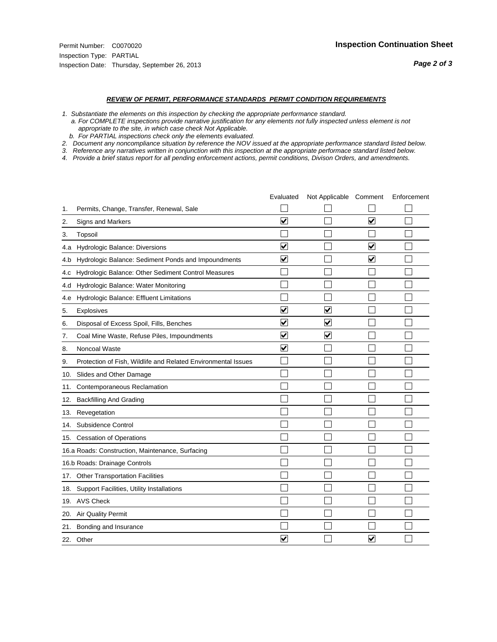#### *REVIEW OF PERMIT, PERFORMANCE STANDARDS PERMIT CONDITION REQUIREMENTS*

*1. Substantiate the elements on this inspection by checking the appropriate performance standard.*

 *a. For COMPLETE inspections provide narrative justification for any elements not fully inspected unless element is not appropriate to the site, in which case check Not Applicable.*

 *b. For PARTIAL inspections check only the elements evaluated.*

*2. Document any noncompliance situation by reference the NOV issued at the appropriate performance standard listed below.*

*3. Reference any narratives written in conjunction with this inspection at the appropriate performace standard listed below.*

|     |                                                               | Evaluated               | Not Applicable Comment  |                         | Enforcement |
|-----|---------------------------------------------------------------|-------------------------|-------------------------|-------------------------|-------------|
| 1.  | Permits, Change, Transfer, Renewal, Sale                      |                         |                         |                         |             |
| 2.  | Signs and Markers                                             | $\overline{\mathbf{v}}$ |                         | $\overline{\mathbf{v}}$ |             |
| 3.  | Topsoil                                                       |                         |                         |                         |             |
| 4.a | Hydrologic Balance: Diversions                                | $\overline{\mathsf{v}}$ |                         | $\blacktriangledown$    |             |
| 4.b | Hydrologic Balance: Sediment Ponds and Impoundments           | $\blacktriangledown$    |                         | $\blacktriangledown$    |             |
| 4.C | Hydrologic Balance: Other Sediment Control Measures           |                         |                         |                         |             |
| 4.d | Hydrologic Balance: Water Monitoring                          |                         |                         |                         |             |
| 4.e | Hydrologic Balance: Effluent Limitations                      |                         |                         |                         |             |
| 5.  | <b>Explosives</b>                                             | $\overline{\mathbf{v}}$ | $\overline{\mathbf{v}}$ |                         |             |
| 6.  | Disposal of Excess Spoil, Fills, Benches                      | $\blacktriangledown$    | ⊻                       |                         |             |
| 7.  | Coal Mine Waste, Refuse Piles, Impoundments                   | $\overline{\mathsf{v}}$ | $\blacktriangledown$    |                         |             |
| 8.  | Noncoal Waste                                                 | $\overline{\mathbf{v}}$ |                         |                         |             |
| 9.  | Protection of Fish, Wildlife and Related Environmental Issues |                         |                         |                         |             |
| 10. | Slides and Other Damage                                       |                         |                         |                         |             |
| 11. | Contemporaneous Reclamation                                   |                         |                         |                         |             |
| 12. | <b>Backfilling And Grading</b>                                |                         |                         |                         |             |
| 13. | Revegetation                                                  |                         |                         |                         |             |
| 14. | Subsidence Control                                            |                         |                         |                         |             |
|     | 15. Cessation of Operations                                   |                         |                         |                         |             |
|     | 16.a Roads: Construction, Maintenance, Surfacing              |                         |                         |                         |             |
|     | 16.b Roads: Drainage Controls                                 |                         |                         |                         |             |
| 17. | <b>Other Transportation Facilities</b>                        |                         |                         |                         |             |
| 18. | Support Facilities, Utility Installations                     |                         |                         |                         |             |
|     | 19. AVS Check                                                 |                         |                         |                         |             |
| 20. | Air Quality Permit                                            |                         |                         |                         |             |
| 21. | Bonding and Insurance                                         |                         |                         |                         |             |
|     | 22. Other                                                     | $\overline{\mathbf{v}}$ |                         | V                       |             |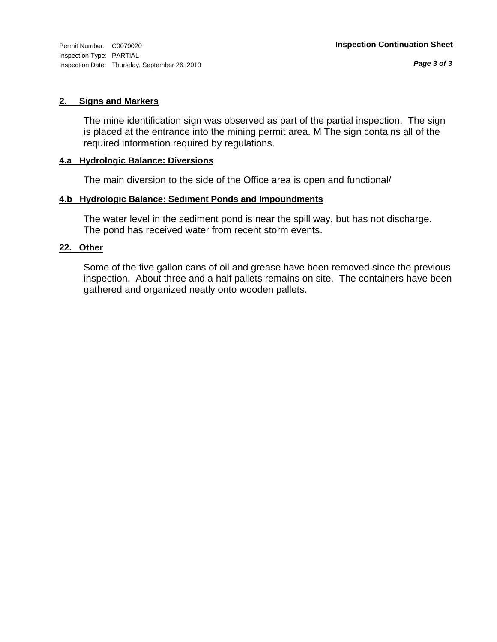#### **2. Signs and Markers**

The mine identification sign was observed as part of the partial inspection. The sign is placed at the entrance into the mining permit area. M The sign contains all of the required information required by regulations.

#### **4.a Hydrologic Balance: Diversions**

The main diversion to the side of the Office area is open and functional/

#### **4.b Hydrologic Balance: Sediment Ponds and Impoundments**

The water level in the sediment pond is near the spill way, but has not discharge. The pond has received water from recent storm events.

#### **22. Other**

Some of the five gallon cans of oil and grease have been removed since the previous inspection. About three and a half pallets remains on site. The containers have been gathered and organized neatly onto wooden pallets.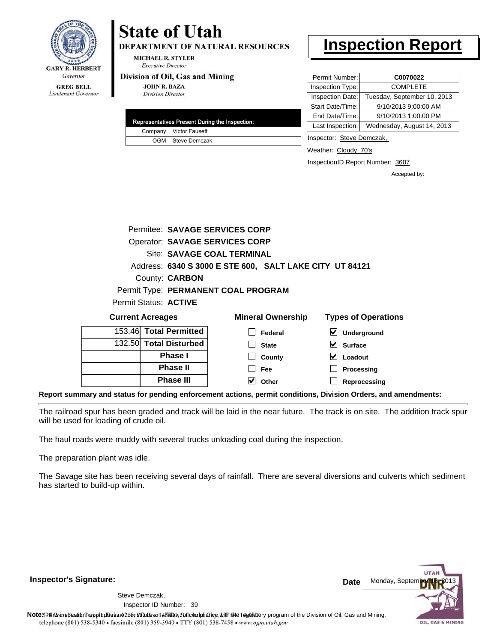

**DEPARTMENT OF NATURAL RESOURCES** 

**MICHAEL R. STYLER Executive Director** 

#### Division of Oil, Gas and Mining

**JOHN R. BAZA Division Director** 

|  | Representatives Present During the Inspection: |
|--|------------------------------------------------|
|  | Company Victor Fausett                         |
|  | OGM Steve Demczak                              |

### **Inspection Report**

| Permit Number:   | C0070022                    |
|------------------|-----------------------------|
| Inspection Type: | <b>COMPLETE</b>             |
| Inspection Date: | Tuesday, September 10, 2013 |
| Start Date/Time: | 9/10/2013 9:00:00 AM        |
| End Date/Time:   | 9/10/2013 1:00:00 PM        |
| Last Inspection: | Wednesday, August 14, 2013  |

Inspector: Steve Demczak,

Weather: Cloudy, 70's

InspectionID Report Number: 3607

Accepted by:

|                                                         |  | Permitee: SAVAGE SERVICES CORP |                          |                            |
|---------------------------------------------------------|--|--------------------------------|--------------------------|----------------------------|
| <b>Operator: SAVAGE SERVICES CORP</b>                   |  |                                |                          |                            |
|                                                         |  | Site: SAVAGE COAL TERMINAL     |                          |                            |
| Address: 6340 S 3000 E STE 600, SALT LAKE CITY UT 84121 |  |                                |                          |                            |
| County: <b>CARBON</b>                                   |  |                                |                          |                            |
| Permit Type: PERMANENT COAL PROGRAM                     |  |                                |                          |                            |
| Permit Status: ACTIVE                                   |  |                                |                          |                            |
| <b>Current Acreages</b>                                 |  |                                | <b>Mineral Ownership</b> | <b>Types of Operations</b> |
| 153.46 Total Permitted                                  |  |                                | Federal                  | <b>Underground</b>         |

| <b>Phase III</b>               | Other                   | Reprocessing        |
|--------------------------------|-------------------------|---------------------|
| <b>Phase II</b>                | Fee                     | Processing          |
| <b>Phase I</b>                 | $\mathcal{L}$<br>County | V<br>Loadout        |
| 132.50 Total Disturbed         | <b>State</b>            | V<br><b>Surface</b> |
| 153.461 <b>Total Permitted</b> | Federal                 | $\vee$ Underground  |

**Report summary and status for pending enforcement actions, permit conditions, Division Orders, and amendments:**

The railroad spur has been graded and track will be laid in the near future. The track is on site. The addition track spur will be used for loading of crude oil.

The haul roads were muddy with several trucks unloading coal during the inspection.

The preparation plant was idle.

The Savage site has been receiving several days of rainfall. There are several diversions and culverts which sediment has started to build-up within.

**Inspector's Signature:**

39 Inspector ID Number:Steve Demczak,



Note59#h% inspection reppt does not constitute an affidavit of compliance, with the regulatory program of the Division of Oil, Gas and Mining. telephone (801) 538-5340 · facsimile (801) 359-3940 · TTY (801) 538-7458 · www.ogm.utah.gov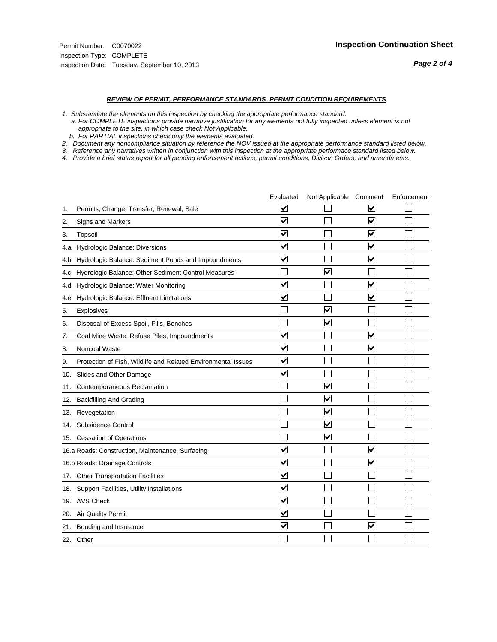#### *REVIEW OF PERMIT, PERFORMANCE STANDARDS PERMIT CONDITION REQUIREMENTS*

*1. Substantiate the elements on this inspection by checking the appropriate performance standard.*

 *a. For COMPLETE inspections provide narrative justification for any elements not fully inspected unless element is not appropriate to the site, in which case check Not Applicable.*

 *b. For PARTIAL inspections check only the elements evaluated.*

*2. Document any noncompliance situation by reference the NOV issued at the appropriate performance standard listed below.*

*3. Reference any narratives written in conjunction with this inspection at the appropriate performace standard listed below.*

|     |                                                               | Evaluated               | Not Applicable Comment          |                         | Enforcement |
|-----|---------------------------------------------------------------|-------------------------|---------------------------------|-------------------------|-------------|
| 1.  | Permits, Change, Transfer, Renewal, Sale                      | $\overline{\mathsf{v}}$ |                                 | V                       |             |
| 2.  | Signs and Markers                                             | $\overline{\mathbf{v}}$ |                                 | $\blacktriangledown$    |             |
| 3.  | Topsoil                                                       | $\overline{\mathbf{v}}$ |                                 | $\overline{\mathsf{v}}$ |             |
| 4.a | Hydrologic Balance: Diversions                                | $\overline{\mathsf{v}}$ |                                 | $\overline{\mathbf{v}}$ |             |
| 4.b | Hydrologic Balance: Sediment Ponds and Impoundments           | $\blacktriangledown$    |                                 | ⊻                       |             |
| 4.c | Hydrologic Balance: Other Sediment Control Measures           |                         | $\overline{\mathbf{v}}$         |                         |             |
| 4.d | Hydrologic Balance: Water Monitoring                          | $\overline{\mathbf{v}}$ |                                 | $\overline{\mathbf{v}}$ |             |
| 4.e | Hydrologic Balance: Effluent Limitations                      | $\overline{\mathbf{v}}$ |                                 | $\blacktriangledown$    |             |
| 5.  | <b>Explosives</b>                                             |                         | ⊽                               |                         |             |
| 6.  | Disposal of Excess Spoil, Fills, Benches                      |                         | $\blacktriangledown$            |                         |             |
| 7.  | Coal Mine Waste, Refuse Piles, Impoundments                   | $\overline{\mathbf{v}}$ |                                 | $\overline{\mathbf{v}}$ |             |
| 8.  | Noncoal Waste                                                 | $\overline{\mathbf{v}}$ |                                 | $\overline{\mathbf{v}}$ |             |
| 9.  | Protection of Fish, Wildlife and Related Environmental Issues | $\overline{\mathbf{v}}$ |                                 |                         |             |
| 10. | Slides and Other Damage                                       | $\overline{\mathbf{v}}$ |                                 |                         |             |
| 11. | Contemporaneous Reclamation                                   |                         | ☑                               |                         |             |
| 12. | <b>Backfilling And Grading</b>                                |                         | $\overline{\mathbf{v}}$         |                         |             |
| 13. | Revegetation                                                  |                         | $\overline{\blacktriangledown}$ |                         |             |
| 14. | Subsidence Control                                            |                         | $\overline{\mathbf{v}}$         |                         |             |
| 15. | <b>Cessation of Operations</b>                                |                         | $\overline{\blacktriangledown}$ |                         |             |
|     | 16.a Roads: Construction, Maintenance, Surfacing              | ⊽                       |                                 | $\overline{\mathbf{v}}$ |             |
|     | 16.b Roads: Drainage Controls                                 | $\overline{\mathbf{v}}$ |                                 | $\overline{\mathbf{v}}$ |             |
| 17. | <b>Other Transportation Facilities</b>                        | $\overline{\mathbf{v}}$ |                                 |                         |             |
| 18. | Support Facilities, Utility Installations                     | $\overline{\mathbf{v}}$ |                                 |                         |             |
|     | 19. AVS Check                                                 | $\overline{\mathbf{v}}$ |                                 |                         |             |
| 20. | Air Quality Permit                                            | $\checkmark$            |                                 |                         |             |
| 21. | Bonding and Insurance                                         | $\overline{\mathbf{v}}$ |                                 | $\blacktriangledown$    |             |
|     | 22. Other                                                     |                         |                                 |                         |             |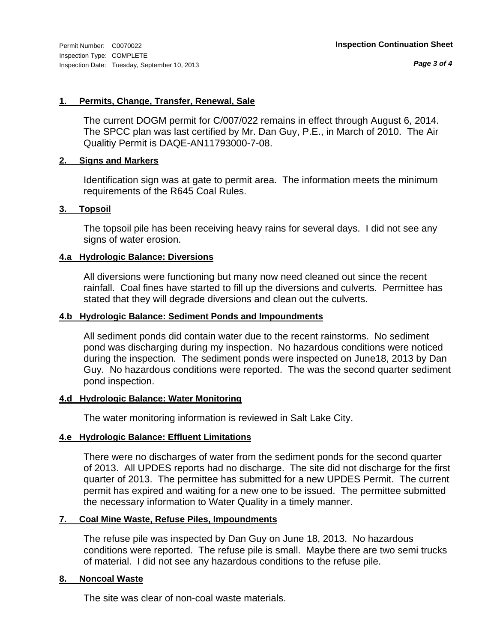*Page 3 of 4*

#### **1. Permits, Change, Transfer, Renewal, Sale**

The current DOGM permit for C/007/022 remains in effect through August 6, 2014. The SPCC plan was last certified by Mr. Dan Guy, P.E., in March of 2010. The Air Qualitiy Permit is DAQE-AN11793000-7-08.

#### **2. Signs and Markers**

Identification sign was at gate to permit area. The information meets the minimum requirements of the R645 Coal Rules.

#### **3. Topsoil**

The topsoil pile has been receiving heavy rains for several days. I did not see any signs of water erosion.

#### **4.a Hydrologic Balance: Diversions**

All diversions were functioning but many now need cleaned out since the recent rainfall. Coal fines have started to fill up the diversions and culverts. Permittee has stated that they will degrade diversions and clean out the culverts.

#### **4.b Hydrologic Balance: Sediment Ponds and Impoundments**

All sediment ponds did contain water due to the recent rainstorms. No sediment pond was discharging during my inspection. No hazardous conditions were noticed during the inspection. The sediment ponds were inspected on June18, 2013 by Dan Guy. No hazardous conditions were reported. The was the second quarter sediment pond inspection.

#### **4.d Hydrologic Balance: Water Monitoring**

The water monitoring information is reviewed in Salt Lake City.

#### **4.e Hydrologic Balance: Effluent Limitations**

There were no discharges of water from the sediment ponds for the second quarter of 2013. All UPDES reports had no discharge. The site did not discharge for the first quarter of 2013. The permittee has submitted for a new UPDES Permit. The current permit has expired and waiting for a new one to be issued. The permittee submitted the necessary information to Water Quality in a timely manner.

#### **7. Coal Mine Waste, Refuse Piles, Impoundments**

The refuse pile was inspected by Dan Guy on June 18, 2013. No hazardous conditions were reported. The refuse pile is small. Maybe there are two semi trucks of material. I did not see any hazardous conditions to the refuse pile.

#### **8. Noncoal Waste**

The site was clear of non-coal waste materials.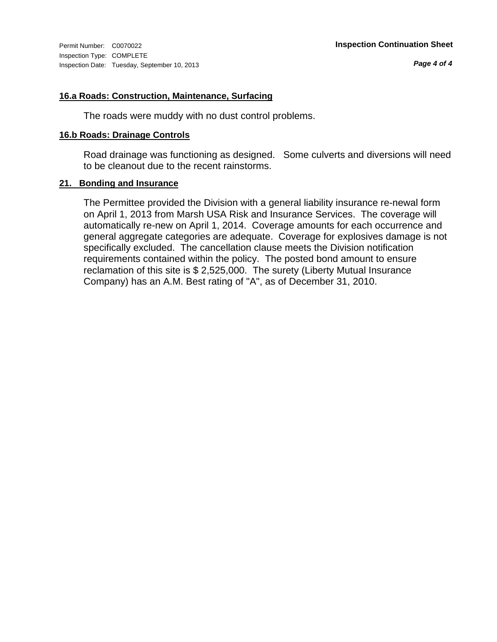#### **16.a Roads: Construction, Maintenance, Surfacing**

The roads were muddy with no dust control problems.

#### **16.b Roads: Drainage Controls**

Road drainage was functioning as designed. Some culverts and diversions will need to be cleanout due to the recent rainstorms.

#### **21. Bonding and Insurance**

The Permittee provided the Division with a general liability insurance re-newal form on April 1, 2013 from Marsh USA Risk and Insurance Services. The coverage will automatically re-new on April 1, 2014. Coverage amounts for each occurrence and general aggregate categories are adequate. Coverage for explosives damage is not specifically excluded. The cancellation clause meets the Division notification requirements contained within the policy. The posted bond amount to ensure reclamation of this site is \$ 2,525,000. The surety (Liberty Mutual Insurance Company) has an A.M. Best rating of "A", as of December 31, 2010.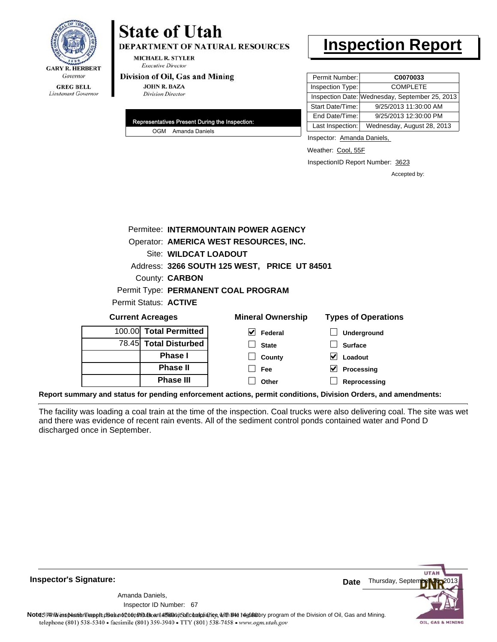

### **State of Utah DEPARTMENT OF NATURAL RESOURCES**

**MICHAEL R. STYLER Executive Director** 

#### Division of Oil, Gas and Mining

**Phase II Phase III**

**JOHN R. BAZA Division Director** 

| Representatives Present During the Inspection: |                    |
|------------------------------------------------|--------------------|
|                                                | OGM Amanda Daniels |

### **Inspection Report**

| Permit Number:   | C0070033                                       |
|------------------|------------------------------------------------|
| Inspection Type: | <b>COMPLETE</b>                                |
|                  | Inspection Date: Wednesday, September 25, 2013 |
| Start Date/Time: | 9/25/2013 11:30:00 AM                          |
| End Date/Time:   | 9/25/2013 12:30:00 PM                          |
| Last Inspection: | Wednesday, August 28, 2013                     |

Inspector: Amanda Daniels,

Weather: Cool, 55F

InspectionID Report Number: 3623

**Processing Reprocessing** Accepted by:

|                                     |  |                        | Permitee: INTERMOUNTAIN POWER AGENCY         |                            |
|-------------------------------------|--|------------------------|----------------------------------------------|----------------------------|
|                                     |  |                        | Operator: AMERICA WEST RESOURCES, INC.       |                            |
|                                     |  | Site: WILDCAT LOADOUT  |                                              |                            |
|                                     |  |                        | Address: 3266 SOUTH 125 WEST, PRICE UT 84501 |                            |
|                                     |  | County: <b>CARBON</b>  |                                              |                            |
| Permit Type: PERMANENT COAL PROGRAM |  |                        |                                              |                            |
|                                     |  | Permit Status: ACTIVE  |                                              |                            |
| <b>Current Acreages</b>             |  |                        | <b>Mineral Ownership</b>                     | <b>Types of Operations</b> |
|                                     |  | 100.00 Total Permitted | V<br>Federal                                 | Underground                |
|                                     |  | 78.45 Total Disturbed  | <b>State</b>                                 | <b>Surface</b>             |
|                                     |  | <b>Phase I</b>         | County                                       | Loadout                    |

**Report summary and status for pending enforcement actions, permit conditions, Division Orders, and amendments:**

The facility was loading a coal train at the time of the inspection. Coal trucks were also delivering coal. The site was wet and there was evidence of recent rain events. All of the sediment control ponds contained water and Pond D discharged once in September.

 $\Box$ 

**Fee Other**

**UTA** Thursday, Septer **Date** Amanda Daniels, 67 Inspector ID Number:Note59#h% inspection reppt does not constitute an affidavit of compliance, with the regulatory program of the Division of Oil, Gas and Mining. telephone (801) 538-5340 · facsimile (801) 359-3940 · TTY (801) 538-7458 · www.ogm.utah.gov OIL, GAS & MINING

**Inspector's Signature:**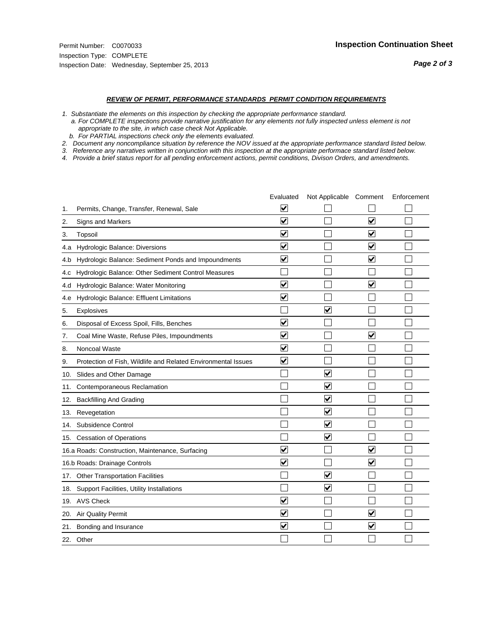#### *REVIEW OF PERMIT, PERFORMANCE STANDARDS PERMIT CONDITION REQUIREMENTS*

*1. Substantiate the elements on this inspection by checking the appropriate performance standard.*

 *a. For COMPLETE inspections provide narrative justification for any elements not fully inspected unless element is not appropriate to the site, in which case check Not Applicable.*

 *b. For PARTIAL inspections check only the elements evaluated.*

*2. Document any noncompliance situation by reference the NOV issued at the appropriate performance standard listed below.*

*3. Reference any narratives written in conjunction with this inspection at the appropriate performace standard listed below.*

|     |                                                               | Evaluated                       | Not Applicable Comment  |                         | Enforcement |
|-----|---------------------------------------------------------------|---------------------------------|-------------------------|-------------------------|-------------|
| 1.  | Permits, Change, Transfer, Renewal, Sale                      | V                               |                         |                         |             |
| 2.  | <b>Signs and Markers</b>                                      | $\overline{\mathbf{v}}$         |                         | $\blacktriangledown$    |             |
| 3.  | Topsoil                                                       | $\overline{\mathbf{v}}$         |                         | $\overline{\mathbf{v}}$ |             |
| 4.a | Hydrologic Balance: Diversions                                | ⊽                               |                         | $\blacktriangledown$    |             |
| 4.b | Hydrologic Balance: Sediment Ponds and Impoundments           | $\blacktriangledown$            |                         | $\blacktriangledown$    |             |
| 4.C | Hydrologic Balance: Other Sediment Control Measures           |                                 |                         |                         |             |
| 4.d | Hydrologic Balance: Water Monitoring                          | ✓                               |                         | $\blacktriangledown$    |             |
| 4.e | Hydrologic Balance: Effluent Limitations                      | $\overline{\mathbf{v}}$         |                         |                         |             |
| 5.  | Explosives                                                    |                                 | $\overline{\mathsf{v}}$ |                         |             |
| 6.  | Disposal of Excess Spoil, Fills, Benches                      | $\blacktriangledown$            |                         |                         |             |
| 7.  | Coal Mine Waste, Refuse Piles, Impoundments                   | $\blacktriangledown$            |                         | $\blacktriangledown$    |             |
| 8.  | Noncoal Waste                                                 | $\bm{\mathsf{v}}$               |                         |                         |             |
| 9.  | Protection of Fish, Wildlife and Related Environmental Issues | $\blacktriangledown$            |                         |                         |             |
| 10. | Slides and Other Damage                                       |                                 | ⊽                       |                         |             |
| 11. | Contemporaneous Reclamation                                   |                                 | V                       |                         |             |
| 12. | <b>Backfilling And Grading</b>                                |                                 | $\overline{\mathbf{v}}$ |                         |             |
| 13. | Revegetation                                                  |                                 | $\overline{\mathbf{v}}$ |                         |             |
| 14. | Subsidence Control                                            |                                 | $\overline{\mathsf{v}}$ |                         |             |
|     | 15. Cessation of Operations                                   |                                 | ⊽                       |                         |             |
|     | 16.a Roads: Construction, Maintenance, Surfacing              | ☑                               |                         | $\overline{\mathbf{v}}$ |             |
|     | 16.b Roads: Drainage Controls                                 | $\overline{\mathbf{v}}$         |                         | $\blacktriangledown$    |             |
|     | 17. Other Transportation Facilities                           |                                 | $\overline{\mathbf{v}}$ |                         |             |
| 18. | Support Facilities, Utility Installations                     |                                 | $\overline{\mathsf{v}}$ |                         |             |
|     | 19. AVS Check                                                 | $\blacktriangledown$            |                         |                         |             |
| 20. | <b>Air Quality Permit</b>                                     | ⊻                               |                         | V                       |             |
|     | 21. Bonding and Insurance                                     | $\overline{\blacktriangledown}$ |                         | $\blacktriangledown$    |             |
|     | 22. Other                                                     |                                 |                         |                         |             |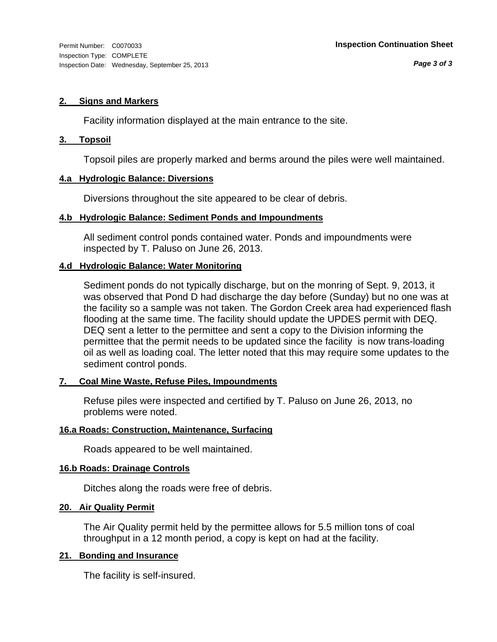#### **2. Signs and Markers**

Facility information displayed at the main entrance to the site.

#### **3. Topsoil**

Topsoil piles are properly marked and berms around the piles were well maintained.

#### **4.a Hydrologic Balance: Diversions**

Diversions throughout the site appeared to be clear of debris.

#### **4.b Hydrologic Balance: Sediment Ponds and Impoundments**

All sediment control ponds contained water. Ponds and impoundments were inspected by T. Paluso on June 26, 2013.

#### **4.d Hydrologic Balance: Water Monitoring**

Sediment ponds do not typically discharge, but on the monring of Sept. 9, 2013, it was observed that Pond D had discharge the day before (Sunday) but no one was at the facility so a sample was not taken. The Gordon Creek area had experienced flash flooding at the same time. The facility should update the UPDES permit with DEQ. DEQ sent a letter to the permittee and sent a copy to the Division informing the permittee that the permit needs to be updated since the facility is now trans-loading oil as well as loading coal. The letter noted that this may require some updates to the sediment control ponds.

#### **7. Coal Mine Waste, Refuse Piles, Impoundments**

Refuse piles were inspected and certified by T. Paluso on June 26, 2013, no problems were noted.

#### **16.a Roads: Construction, Maintenance, Surfacing**

Roads appeared to be well maintained.

#### **16.b Roads: Drainage Controls**

Ditches along the roads were free of debris.

#### **20. Air Quality Permit**

The Air Quality permit held by the permittee allows for 5.5 million tons of coal throughput in a 12 month period, a copy is kept on had at the facility.

#### **21. Bonding and Insurance**

The facility is self-insured.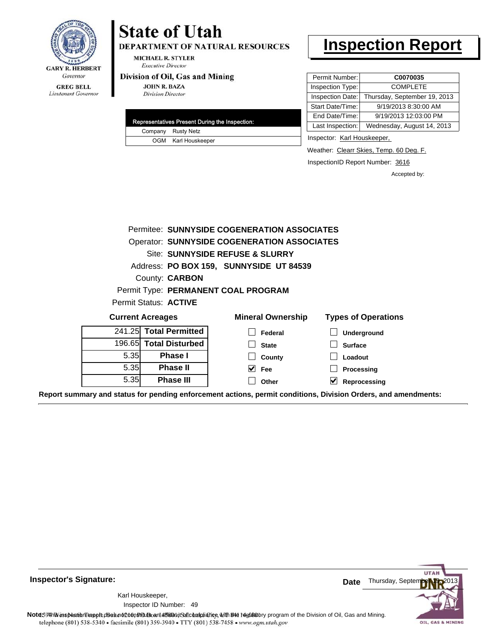

Lieutenant Governor

## **State of Utah**

DEPARTMENT OF NATURAL RESOURCES

**MICHAEL R. STYLER Executive Director** 

#### Division of Oil, Gas and Mining

**JOHN R. BAZA Division Director** 

| Representatives Present During the Inspection: |
|------------------------------------------------|
| Company Rusty Netz                             |
| OGM Karl Houskeeper                            |

### **Inspection Report**

| Permit Number:   | C0070035                     |
|------------------|------------------------------|
| Inspection Type: | <b>COMPLETE</b>              |
| Inspection Date: | Thursday, September 19, 2013 |
| Start Date/Time: | 9/19/2013 8:30:00 AM         |
| End Date/Time:   | 9/19/2013 12:03:00 PM        |
| Last Inspection: | Wednesday, August 14, 2013   |

Inspector: Karl Houskeeper,

Weather: Clearr Skies, Temp. 60 Deg. F.

InspectionID Report Number: 3616

Accepted by:

|      | Permitee: SUNNYSIDE COGENERATION ASSOCIATES        |                                         |                            |  |  |  |
|------|----------------------------------------------------|-----------------------------------------|----------------------------|--|--|--|
|      | <b>Operator: SUNNYSIDE COGENERATION ASSOCIATES</b> |                                         |                            |  |  |  |
|      |                                                    | Site: SUNNYSIDE REFUSE & SLURRY         |                            |  |  |  |
|      |                                                    | Address: PO BOX 159, SUNNYSIDE UT 84539 |                            |  |  |  |
|      | County: <b>CARBON</b>                              |                                         |                            |  |  |  |
|      |                                                    | Permit Type: PERMANENT COAL PROGRAM     |                            |  |  |  |
|      | Permit Status: ACTIVE                              |                                         |                            |  |  |  |
|      | <b>Current Acreages</b>                            | <b>Mineral Ownership</b>                | <b>Types of Operations</b> |  |  |  |
|      | 241.25 Total Permitted                             | Federal                                 | <b>Underground</b>         |  |  |  |
|      | 196.65 Total Disturbed                             | <b>State</b>                            | <b>Surface</b>             |  |  |  |
| 5.35 | <b>Phase I</b>                                     | County                                  | Loadout                    |  |  |  |
| 5.35 | <b>Phase II</b>                                    | V<br><b>Fee</b>                         | Processing                 |  |  |  |
| 5.35 | <b>Phase III</b>                                   | Other                                   | M<br>Reprocessing          |  |  |  |

**Report summary and status for pending enforcement actions, permit conditions, Division Orders, and amendments:**

**Inspector's Signature:**

49 Inspector ID Number:Karl Houskeeper,



Note: 59 This inspection report does not constitute and affidavit of compliance, with the deptatory program of the Division of Oil, Gas and Mining.<br>telephone (801) 538-5340 • facsimile (801) 359-3940 • TTY (801) 538-7458 •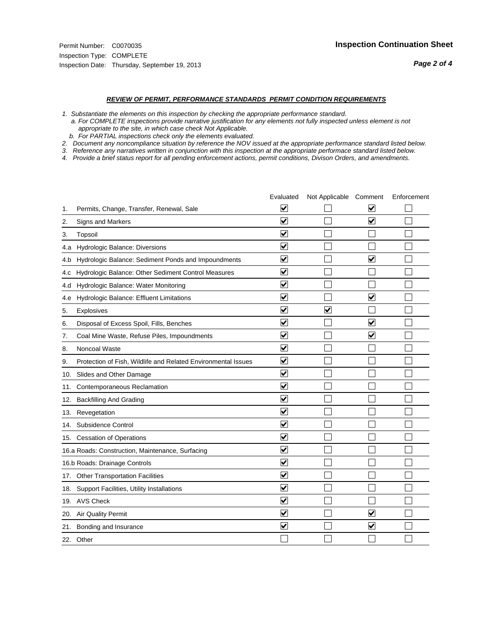#### *REVIEW OF PERMIT, PERFORMANCE STANDARDS PERMIT CONDITION REQUIREMENTS*

*1. Substantiate the elements on this inspection by checking the appropriate performance standard.*

 *a. For COMPLETE inspections provide narrative justification for any elements not fully inspected unless element is not appropriate to the site, in which case check Not Applicable.*

 *b. For PARTIAL inspections check only the elements evaluated.*

*2. Document any noncompliance situation by reference the NOV issued at the appropriate performance standard listed below.*

*3. Reference any narratives written in conjunction with this inspection at the appropriate performace standard listed below.*

|     |                                                               | Evaluated                       | Not Applicable Comment  |                                 | Enforcement |
|-----|---------------------------------------------------------------|---------------------------------|-------------------------|---------------------------------|-------------|
| 1.  | Permits, Change, Transfer, Renewal, Sale                      | V                               |                         | V                               |             |
| 2.  | <b>Signs and Markers</b>                                      | $\overline{\mathbf{v}}$         |                         | $\overline{\blacktriangledown}$ |             |
| 3.  | Topsoil                                                       | $\overline{\mathbf{v}}$         |                         |                                 |             |
| 4.a | Hydrologic Balance: Diversions                                | ⊽                               |                         |                                 |             |
| 4.b | Hydrologic Balance: Sediment Ponds and Impoundments           | $\blacktriangledown$            |                         | $\blacktriangledown$            |             |
| 4.C | Hydrologic Balance: Other Sediment Control Measures           | $\overline{\blacktriangledown}$ |                         |                                 |             |
| 4.d | Hydrologic Balance: Water Monitoring                          | ✓                               |                         |                                 |             |
| 4.e | Hydrologic Balance: Effluent Limitations                      | $\overline{\blacktriangledown}$ |                         | $\overline{\mathbf{v}}$         |             |
| 5.  | Explosives                                                    | $\overline{\mathbf{v}}$         | $\overline{\mathsf{v}}$ |                                 |             |
| 6.  | Disposal of Excess Spoil, Fills, Benches                      | $\overline{\mathbf{v}}$         |                         | ✓                               |             |
| 7.  | Coal Mine Waste, Refuse Piles, Impoundments                   | $\blacktriangledown$            |                         | $\blacktriangledown$            |             |
| 8.  | Noncoal Waste                                                 | ⊽                               |                         |                                 |             |
| 9.  | Protection of Fish, Wildlife and Related Environmental Issues | $\blacktriangledown$            |                         |                                 |             |
| 10. | Slides and Other Damage                                       | $\blacktriangledown$            |                         |                                 |             |
| 11. | Contemporaneous Reclamation                                   | V                               |                         |                                 |             |
| 12. | <b>Backfilling And Grading</b>                                | $\overline{\mathbf{v}}$         |                         |                                 |             |
| 13. | Revegetation                                                  | $\overline{\mathbf{v}}$         |                         |                                 |             |
| 14. | Subsidence Control                                            | $\overline{\mathbf{v}}$         |                         |                                 |             |
|     | 15. Cessation of Operations                                   | $\blacktriangledown$            |                         |                                 |             |
|     | 16.a Roads: Construction, Maintenance, Surfacing              | $\blacktriangledown$            |                         |                                 |             |
|     | 16.b Roads: Drainage Controls                                 | $\blacktriangledown$            |                         |                                 |             |
|     | 17. Other Transportation Facilities                           | $\overline{\mathbf{v}}$         |                         |                                 |             |
| 18. | Support Facilities, Utility Installations                     | $\overline{\mathbf{v}}$         |                         |                                 |             |
|     | 19. AVS Check                                                 | $\blacktriangledown$            |                         |                                 |             |
| 20. | <b>Air Quality Permit</b>                                     | ⊻                               |                         | V                               |             |
|     | 21. Bonding and Insurance                                     | $\overline{\blacktriangledown}$ |                         | $\blacktriangledown$            |             |
|     | 22. Other                                                     |                                 |                         |                                 |             |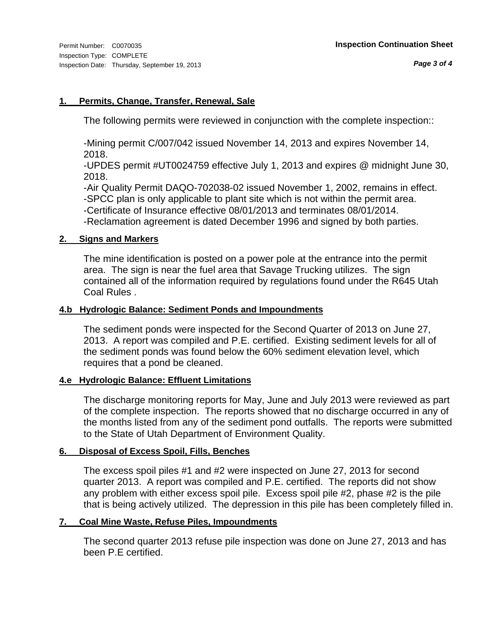#### **1. Permits, Change, Transfer, Renewal, Sale**

The following permits were reviewed in conjunction with the complete inspection::

-Mining permit C/007/042 issued November 14, 2013 and expires November 14, 2018.

-UPDES permit #UT0024759 effective July 1, 2013 and expires @ midnight June 30, 2018.

-Air Quality Permit DAQO-702038-02 issued November 1, 2002, remains in effect. -SPCC plan is only applicable to plant site which is not within the permit area.

-Certificate of Insurance effective 08/01/2013 and terminates 08/01/2014.

-Reclamation agreement is dated December 1996 and signed by both parties.

#### **2. Signs and Markers**

The mine identification is posted on a power pole at the entrance into the permit area. The sign is near the fuel area that Savage Trucking utilizes. The sign contained all of the information required by regulations found under the R645 Utah Coal Rules .

#### **4.b Hydrologic Balance: Sediment Ponds and Impoundments**

The sediment ponds were inspected for the Second Quarter of 2013 on June 27, 2013. A report was compiled and P.E. certified. Existing sediment levels for all of the sediment ponds was found below the 60% sediment elevation level, which requires that a pond be cleaned.

#### **4.e Hydrologic Balance: Effluent Limitations**

The discharge monitoring reports for May, June and July 2013 were reviewed as part of the complete inspection. The reports showed that no discharge occurred in any of the months listed from any of the sediment pond outfalls. The reports were submitted to the State of Utah Department of Environment Quality.

#### **6. Disposal of Excess Spoil, Fills, Benches**

The excess spoil piles #1 and #2 were inspected on June 27, 2013 for second quarter 2013. A report was compiled and P.E. certified. The reports did not show any problem with either excess spoil pile. Excess spoil pile #2, phase #2 is the pile that is being actively utilized. The depression in this pile has been completely filled in.

#### **7. Coal Mine Waste, Refuse Piles, Impoundments**

The second quarter 2013 refuse pile inspection was done on June 27, 2013 and has been P.E certified.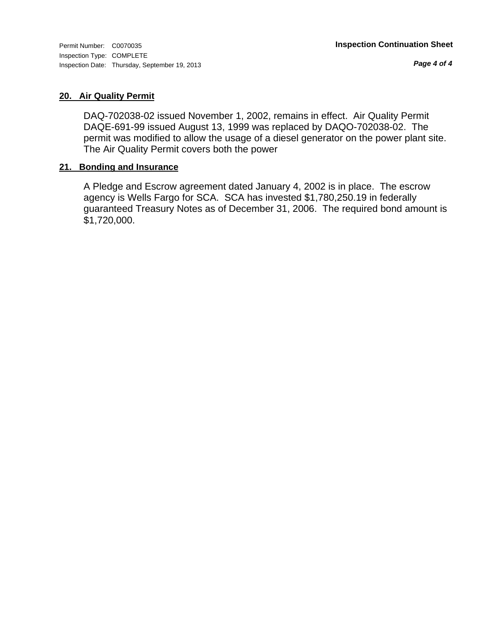*Page 4 of 4*

#### **20. Air Quality Permit**

DAQ-702038-02 issued November 1, 2002, remains in effect. Air Quality Permit DAQE-691-99 issued August 13, 1999 was replaced by DAQO-702038-02. The permit was modified to allow the usage of a diesel generator on the power plant site. The Air Quality Permit covers both the power

#### **21. Bonding and Insurance**

A Pledge and Escrow agreement dated January 4, 2002 is in place. The escrow agency is Wells Fargo for SCA. SCA has invested \$1,780,250.19 in federally guaranteed Treasury Notes as of December 31, 2006. The required bond amount is \$1,720,000.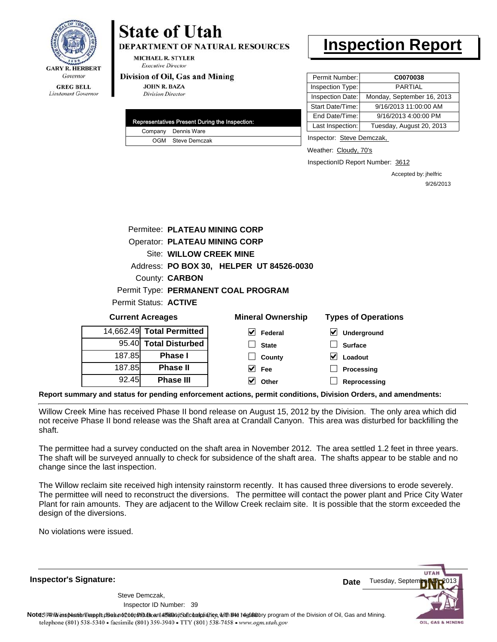

**DEPARTMENT OF NATURAL RESOURCES** 

**MICHAEL R. STYLER Executive Director** 

#### Division of Oil, Gas and Mining

**JOHN R. BAZA Division Director** 

| Representatives Present During the Inspection: |                     |  |  |
|------------------------------------------------|---------------------|--|--|
|                                                | Company Dennis Ware |  |  |
|                                                | OGM Steve Demczak   |  |  |

### **Inspection Report**

| Permit Number:   | C0070038                   |
|------------------|----------------------------|
| Inspection Type: | <b>PARTIAL</b>             |
| Inspection Date: | Monday, September 16, 2013 |
| Start Date/Time: | 9/16/2013 11:00:00 AM      |
| End Date/Time:   | 9/16/2013 4:00:00 PM       |
| Last Inspection: | Tuesday, August 20, 2013   |

Inspector: Steve Demczak,

Weather: Cloudy, 70's

InspectionID Report Number: 3612

**Processing Reprocessing** Accepted by: jhelfric 9/26/2013

|                         | Permitee: PLATEAU MINING CORP        |                                          |                            |
|-------------------------|--------------------------------------|------------------------------------------|----------------------------|
|                         | <b>Operator: PLATEAU MINING CORP</b> |                                          |                            |
|                         | <b>Site: WILLOW CREEK MINE</b>       |                                          |                            |
|                         |                                      | Address: PO BOX 30, HELPER UT 84526-0030 |                            |
|                         | County: <b>CARBON</b>                |                                          |                            |
|                         |                                      | Permit Type: PERMANENT COAL PROGRAM      |                            |
|                         | Permit Status: <b>ACTIVE</b>         |                                          |                            |
| <b>Current Acreages</b> |                                      | <b>Mineral Ownership</b>                 | <b>Types of Operations</b> |
|                         | 14,662.49 Total Permitted            | M<br>Federal                             | Underground                |
|                         | 95.40 Total Disturbed                | <b>State</b>                             | <b>Surface</b>             |
| 187.85                  | <b>Phase I</b>                       | County                                   | Loadout                    |

**Report summary and status for pending enforcement actions, permit conditions, Division Orders, and amendments:**

Willow Creek Mine has received Phase II bond release on August 15, 2012 by the Division. The only area which did not receive Phase II bond release was the Shaft area at Crandall Canyon. This area was disturbed for backfilling the shaft.

**Fee Other**

The permittee had a survey conducted on the shaft area in November 2012. The area settled 1.2 feet in three years. The shaft will be surveyed annually to check for subsidence of the shaft area. The shafts appear to be stable and no change since the last inspection.

The Willow reclaim site received high intensity rainstorm recently. It has caused three diversions to erode severely. The permittee will need to reconstruct the diversions. The permittee will contact the power plant and Price City Water Plant for rain amounts. They are adjacent to the Willow Creek reclaim site. It is possible that the storm exceeded the design of the diversions.

No violations were issued.

187.85 92.45

**Phase II Phase III**

**Inspector's Signature:**

39 Inspector ID Number:Steve Demczak,

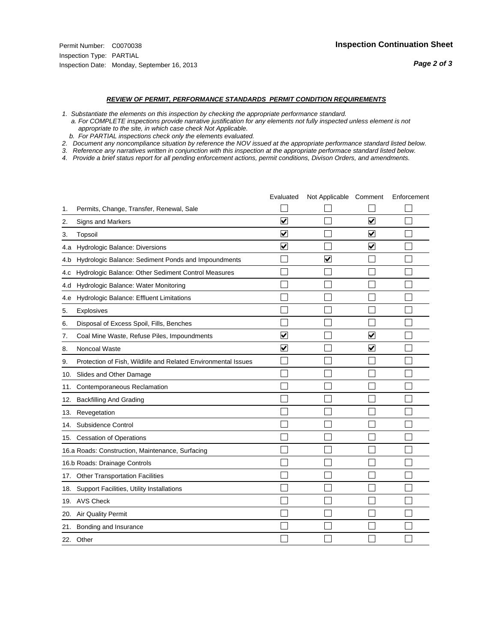#### *REVIEW OF PERMIT, PERFORMANCE STANDARDS PERMIT CONDITION REQUIREMENTS*

*1. Substantiate the elements on this inspection by checking the appropriate performance standard.*

 *a. For COMPLETE inspections provide narrative justification for any elements not fully inspected unless element is not appropriate to the site, in which case check Not Applicable.*

 *b. For PARTIAL inspections check only the elements evaluated.*

*2. Document any noncompliance situation by reference the NOV issued at the appropriate performance standard listed below.*

*3. Reference any narratives written in conjunction with this inspection at the appropriate performace standard listed below.*

|     |                                                               | Evaluated               | Not Applicable Comment |                         | Enforcement |
|-----|---------------------------------------------------------------|-------------------------|------------------------|-------------------------|-------------|
| 1.  | Permits, Change, Transfer, Renewal, Sale                      |                         |                        |                         |             |
| 2.  | <b>Signs and Markers</b>                                      | $\overline{\mathbf{v}}$ |                        | $\overline{\mathbf{v}}$ |             |
| 3.  | Topsoil                                                       | $\overline{\mathbf{v}}$ |                        | $\overline{\mathbf{v}}$ |             |
| 4.a | Hydrologic Balance: Diversions                                | ⊽                       |                        | $\blacktriangledown$    |             |
| 4.b | Hydrologic Balance: Sediment Ponds and Impoundments           |                         | V                      |                         |             |
| 4.C | Hydrologic Balance: Other Sediment Control Measures           |                         |                        |                         |             |
| 4.d | Hydrologic Balance: Water Monitoring                          |                         |                        |                         |             |
| 4.e | Hydrologic Balance: Effluent Limitations                      |                         |                        |                         |             |
| 5.  | Explosives                                                    |                         |                        |                         |             |
| 6.  | Disposal of Excess Spoil, Fills, Benches                      |                         |                        |                         |             |
| 7.  | Coal Mine Waste, Refuse Piles, Impoundments                   | $\overline{\mathbf{v}}$ |                        | $\overline{\mathsf{v}}$ |             |
| 8.  | Noncoal Waste                                                 | $\overline{\mathbf{v}}$ |                        | $\blacktriangledown$    |             |
| 9.  | Protection of Fish, Wildlife and Related Environmental Issues |                         |                        |                         |             |
| 10. | Slides and Other Damage                                       |                         |                        |                         |             |
| 11. | Contemporaneous Reclamation                                   |                         |                        |                         |             |
| 12. | <b>Backfilling And Grading</b>                                |                         |                        |                         |             |
| 13. | Revegetation                                                  |                         |                        |                         |             |
| 14. | Subsidence Control                                            |                         |                        |                         |             |
|     | 15. Cessation of Operations                                   |                         |                        |                         |             |
|     | 16.a Roads: Construction, Maintenance, Surfacing              |                         |                        |                         |             |
|     | 16.b Roads: Drainage Controls                                 |                         |                        |                         |             |
| 17. | <b>Other Transportation Facilities</b>                        |                         |                        |                         |             |
| 18. | Support Facilities, Utility Installations                     |                         |                        |                         |             |
|     | 19. AVS Check                                                 |                         |                        |                         |             |
| 20. | Air Quality Permit                                            |                         |                        |                         |             |
| 21. | Bonding and Insurance                                         |                         |                        |                         |             |
|     | 22. Other                                                     |                         |                        |                         |             |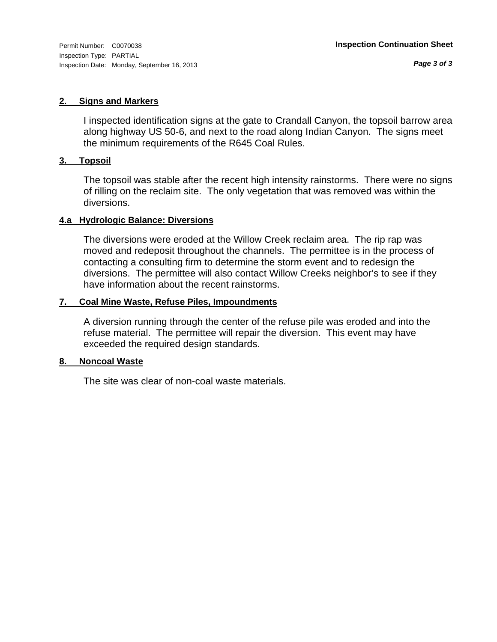#### **2. Signs and Markers**

I inspected identification signs at the gate to Crandall Canyon, the topsoil barrow area along highway US 50-6, and next to the road along Indian Canyon. The signs meet the minimum requirements of the R645 Coal Rules.

#### **3. Topsoil**

The topsoil was stable after the recent high intensity rainstorms. There were no signs of rilling on the reclaim site. The only vegetation that was removed was within the diversions.

#### **4.a Hydrologic Balance: Diversions**

The diversions were eroded at the Willow Creek reclaim area. The rip rap was moved and redeposit throughout the channels. The permittee is in the process of contacting a consulting firm to determine the storm event and to redesign the diversions. The permittee will also contact Willow Creeks neighbor's to see if they have information about the recent rainstorms.

#### **7. Coal Mine Waste, Refuse Piles, Impoundments**

A diversion running through the center of the refuse pile was eroded and into the refuse material. The permittee will repair the diversion. This event may have exceeded the required design standards.

#### **8. Noncoal Waste**

The site was clear of non-coal waste materials.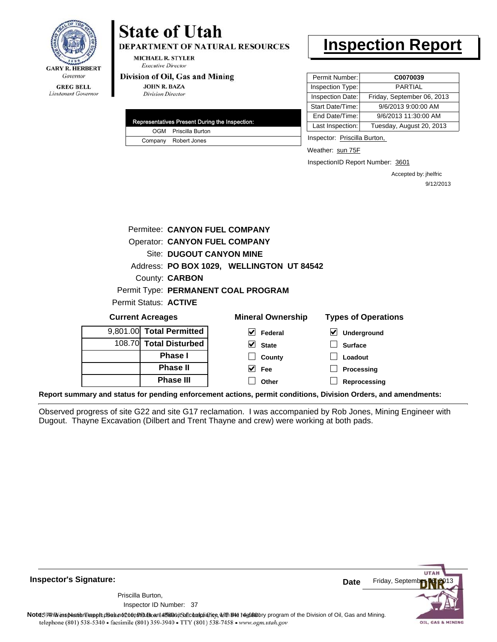

**DEPARTMENT OF NATURAL RESOURCES** 

**MICHAEL R. STYLER Executive Director** 

#### Division of Oil, Gas and Mining

**JOHN R. BAZA Division Director** 

| Representatives Present During the Inspection: |
|------------------------------------------------|
| OGM Priscilla Burton                           |
| Company Robert Jones                           |

### **Inspection Report**

| Permit Number:   | C0070039                   |
|------------------|----------------------------|
| Inspection Type: | <b>PARTIAL</b>             |
| Inspection Date: | Friday, September 06, 2013 |
| Start Date/Time: | 9/6/2013 9:00:00 AM        |
| End Date/Time:   | 9/6/2013 11:30:00 AM       |
| Last Inspection: | Tuesday, August 20, 2013   |

Inspector: Priscilla Burton,

Weather: sun 75F

InspectionID Report Number: 3601

**Reprocessing**

Accepted by: jhelfric 9/12/2013

| Permitee: CANYON FUEL COMPANY        |                                           |                                            |
|--------------------------------------|-------------------------------------------|--------------------------------------------|
| <b>Operator: CANYON FUEL COMPANY</b> |                                           |                                            |
| <b>Site: DUGOUT CANYON MINE</b>      |                                           |                                            |
|                                      | Address: PO BOX 1029, WELLINGTON UT 84542 |                                            |
| County: <b>CARBON</b>                |                                           |                                            |
|                                      | Permit Type: PERMANENT COAL PROGRAM       |                                            |
| Permit Status: ACTIVE                |                                           |                                            |
| <b>Current Acreages</b>              | <b>Mineral Ownership</b>                  | <b>Types of Operations</b>                 |
| 9,801.00 Total Permitted             | V<br>Federal                              | $\vert\bm{\mathsf{v}}\vert$<br>Underground |
| 108.70 Total Disturbed               | V<br><b>State</b>                         | <b>Surface</b>                             |
| Phase I                              | County                                    | Loadout                                    |
| <b>Phase II</b>                      | V<br>Fee                                  | Processing                                 |

**Other**

**Report summary and status for pending enforcement actions, permit conditions, Division Orders, and amendments:**

Observed progress of site G22 and site G17 reclamation. I was accompanied by Rob Jones, Mining Engineer with Dugout. Thayne Excavation (Dilbert and Trent Thayne and crew) were working at both pads.



**Inspector's Signature:**

Priscilla Burton,

**Phase III**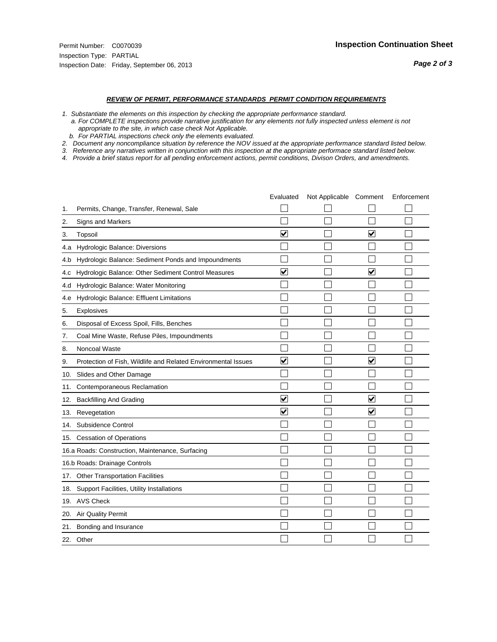#### *REVIEW OF PERMIT, PERFORMANCE STANDARDS PERMIT CONDITION REQUIREMENTS*

*1. Substantiate the elements on this inspection by checking the appropriate performance standard.*

 *a. For COMPLETE inspections provide narrative justification for any elements not fully inspected unless element is not appropriate to the site, in which case check Not Applicable.*

 *b. For PARTIAL inspections check only the elements evaluated.*

*2. Document any noncompliance situation by reference the NOV issued at the appropriate performance standard listed below.*

*3. Reference any narratives written in conjunction with this inspection at the appropriate performace standard listed below.*

|     |                                                               | Evaluated                       | Not Applicable Comment |                         | Enforcement |
|-----|---------------------------------------------------------------|---------------------------------|------------------------|-------------------------|-------------|
| 1.  | Permits, Change, Transfer, Renewal, Sale                      |                                 |                        |                         |             |
| 2.  | <b>Signs and Markers</b>                                      |                                 |                        |                         |             |
| 3.  | Topsoil                                                       | $\overline{\mathbf{v}}$         |                        | $\overline{\mathsf{v}}$ |             |
| 4.a | Hydrologic Balance: Diversions                                |                                 |                        |                         |             |
| 4.b | Hydrologic Balance: Sediment Ponds and Impoundments           |                                 |                        |                         |             |
| 4.C | Hydrologic Balance: Other Sediment Control Measures           | $\overline{\mathbf{v}}$         |                        | $\blacktriangledown$    |             |
| 4.d | Hydrologic Balance: Water Monitoring                          |                                 |                        |                         |             |
| 4.e | Hydrologic Balance: Effluent Limitations                      |                                 |                        |                         |             |
| 5.  | Explosives                                                    |                                 |                        |                         |             |
| 6.  | Disposal of Excess Spoil, Fills, Benches                      |                                 |                        |                         |             |
| 7.  | Coal Mine Waste, Refuse Piles, Impoundments                   |                                 |                        |                         |             |
| 8.  | Noncoal Waste                                                 |                                 |                        |                         |             |
| 9.  | Protection of Fish, Wildlife and Related Environmental Issues | $\overline{\blacktriangledown}$ |                        | $\overline{\mathbf{v}}$ |             |
| 10. | Slides and Other Damage                                       |                                 |                        |                         |             |
| 11. | Contemporaneous Reclamation                                   |                                 |                        |                         |             |
| 12. | <b>Backfilling And Grading</b>                                | $\overline{\mathbf{v}}$         |                        | $\overline{\mathbf{v}}$ |             |
| 13. | Revegetation                                                  | $\overline{\mathbf{v}}$         |                        | $\overline{\mathbf{v}}$ |             |
| 14. | Subsidence Control                                            |                                 |                        |                         |             |
| 15. | <b>Cessation of Operations</b>                                |                                 |                        |                         |             |
|     | 16.a Roads: Construction, Maintenance, Surfacing              |                                 |                        |                         |             |
|     | 16.b Roads: Drainage Controls                                 |                                 |                        |                         |             |
| 17. | <b>Other Transportation Facilities</b>                        |                                 |                        |                         |             |
| 18. | Support Facilities, Utility Installations                     |                                 |                        |                         |             |
|     | 19. AVS Check                                                 |                                 |                        |                         |             |
| 20. | Air Quality Permit                                            |                                 |                        |                         |             |
| 21. | Bonding and Insurance                                         |                                 |                        |                         |             |
|     | 22. Other                                                     |                                 |                        |                         |             |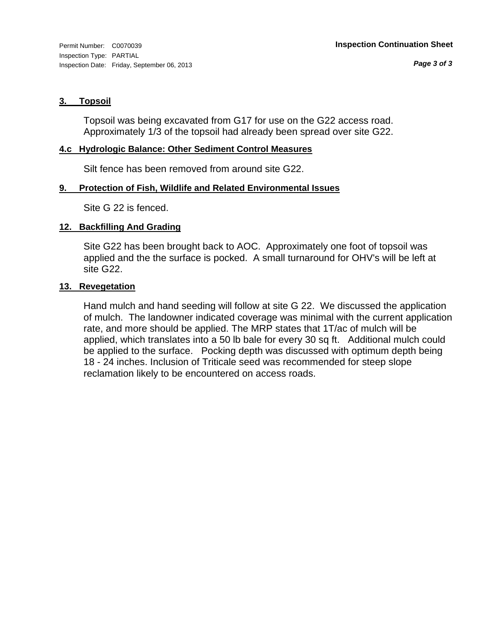#### **3. Topsoil**

Topsoil was being excavated from G17 for use on the G22 access road. Approximately 1/3 of the topsoil had already been spread over site G22.

#### **4.c Hydrologic Balance: Other Sediment Control Measures**

Silt fence has been removed from around site G22.

#### **9. Protection of Fish, Wildlife and Related Environmental Issues**

Site G 22 is fenced.

#### **12. Backfilling And Grading**

Site G22 has been brought back to AOC. Approximately one foot of topsoil was applied and the the surface is pocked. A small turnaround for OHV's will be left at site G22.

#### **13. Revegetation**

Hand mulch and hand seeding will follow at site G 22. We discussed the application of mulch. The landowner indicated coverage was minimal with the current application rate, and more should be applied. The MRP states that 1T/ac of mulch will be applied, which translates into a 50 lb bale for every 30 sq ft. Additional mulch could be applied to the surface. Pocking depth was discussed with optimum depth being 18 - 24 inches. Inclusion of Triticale seed was recommended for steep slope reclamation likely to be encountered on access roads.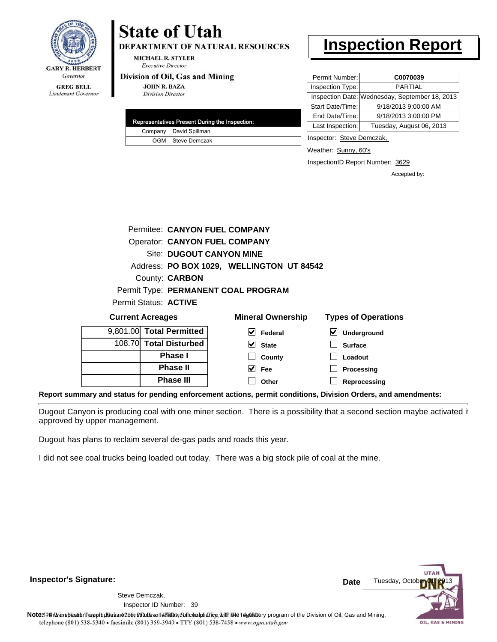

**DEPARTMENT OF NATURAL RESOURCES** 

**MICHAEL R. STYLER Executive Director** 

#### Division of Oil, Gas and Mining

**JOHN R. BAZA Division Director** 

|  | Representatives Present During the Inspection: |
|--|------------------------------------------------|
|  | Company David Spillman                         |
|  | OGM Steve Demczak                              |

### **Inspection Report**

| Permit Number:   | C0070039                                       |
|------------------|------------------------------------------------|
| Inspection Type: | <b>PARTIAL</b>                                 |
|                  | Inspection Date: Wednesday, September 18, 2013 |
| Start Date/Time: | 9/18/2013 9:00:00 AM                           |
| End Date/Time:   | 9/18/2013 3:00:00 PM                           |
| Last Inspection: | Tuesday, August 06, 2013                       |

Inspector: Steve Demczak,

Weather: Sunny, 60's

InspectionID Report Number: 3629

Accepted by:

| <b>Current Acreages</b>      |                                      | <b>Mineral Ownership</b>                  | <b>Types of Operations</b> |
|------------------------------|--------------------------------------|-------------------------------------------|----------------------------|
| Permit Status: <b>ACTIVE</b> |                                      |                                           |                            |
|                              |                                      | Permit Type: PERMANENT COAL PROGRAM       |                            |
|                              | County: <b>CARBON</b>                |                                           |                            |
|                              |                                      | Address: PO BOX 1029, WELLINGTON UT 84542 |                            |
|                              | <b>Site: DUGOUT CANYON MINE</b>      |                                           |                            |
|                              | <b>Operator: CANYON FUEL COMPANY</b> |                                           |                            |
|                              | Permitee: CANYON FUEL COMPANY        |                                           |                            |
|                              |                                      |                                           |                            |

| <b>UUITEIIL AUFGYES</b>  |                        | <b>INITICIAL OWTICI SHIP</b> | <b>I YUGO UI UUGI QUUIIO</b> |
|--------------------------|------------------------|------------------------------|------------------------------|
| 9,801.00 Total Permitted |                        | Federal                      | $\vee$ Underground           |
|                          | 108.70 Total Disturbed | $\vee$ State                 | <b>Surface</b>               |
|                          | <b>Phase I</b>         | County                       | Loadout                      |
|                          | <b>Phase II</b>        | Fee                          | Processing                   |
|                          | <b>Phase III</b>       | Other                        | Reprocessing                 |
|                          |                        |                              |                              |

**Report summary and status for pending enforcement actions, permit conditions, Division Orders, and amendments:**

Dugout Canyon is producing coal with one miner section. There is a possibility that a second section maybe activated if approved by upper management.

Dugout has plans to reclaim several de-gas pads and roads this year.

I did not see coal trucks being loaded out today. There was a big stock pile of coal at the mine.

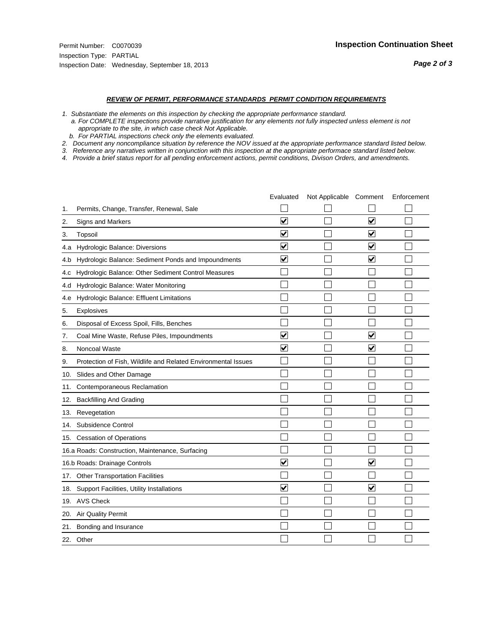#### *REVIEW OF PERMIT, PERFORMANCE STANDARDS PERMIT CONDITION REQUIREMENTS*

*1. Substantiate the elements on this inspection by checking the appropriate performance standard.*

 *a. For COMPLETE inspections provide narrative justification for any elements not fully inspected unless element is not appropriate to the site, in which case check Not Applicable.*

 *b. For PARTIAL inspections check only the elements evaluated.*

*2. Document any noncompliance situation by reference the NOV issued at the appropriate performance standard listed below.*

*3. Reference any narratives written in conjunction with this inspection at the appropriate performace standard listed below.*

|     |                                                               | Evaluated               | Not Applicable Comment |                         | Enforcement |
|-----|---------------------------------------------------------------|-------------------------|------------------------|-------------------------|-------------|
| 1.  | Permits, Change, Transfer, Renewal, Sale                      |                         |                        |                         |             |
| 2.  | <b>Signs and Markers</b>                                      | $\overline{\mathbf{v}}$ |                        | $\overline{\mathbf{v}}$ |             |
| 3.  | Topsoil                                                       | $\overline{\mathbf{v}}$ |                        | $\overline{\mathbf{v}}$ |             |
| 4.a | Hydrologic Balance: Diversions                                | ⊽                       |                        | $\blacktriangledown$    |             |
| 4.b | Hydrologic Balance: Sediment Ponds and Impoundments           | $\blacktriangledown$    |                        | ⊻                       |             |
| 4.C | Hydrologic Balance: Other Sediment Control Measures           |                         |                        |                         |             |
| 4.d | Hydrologic Balance: Water Monitoring                          |                         |                        |                         |             |
| 4.e | Hydrologic Balance: Effluent Limitations                      |                         |                        |                         |             |
| 5.  | Explosives                                                    |                         |                        |                         |             |
| 6.  | Disposal of Excess Spoil, Fills, Benches                      |                         |                        |                         |             |
| 7.  | Coal Mine Waste, Refuse Piles, Impoundments                   | $\overline{\mathbf{v}}$ |                        | $\overline{\mathsf{v}}$ |             |
| 8.  | Noncoal Waste                                                 | $\overline{\mathbf{v}}$ |                        | $\blacktriangledown$    |             |
| 9.  | Protection of Fish, Wildlife and Related Environmental Issues |                         |                        |                         |             |
| 10. | Slides and Other Damage                                       |                         |                        |                         |             |
| 11. | Contemporaneous Reclamation                                   |                         |                        |                         |             |
| 12. | <b>Backfilling And Grading</b>                                |                         |                        |                         |             |
| 13. | Revegetation                                                  |                         |                        |                         |             |
| 14. | Subsidence Control                                            |                         |                        |                         |             |
|     | 15. Cessation of Operations                                   |                         |                        |                         |             |
|     | 16.a Roads: Construction, Maintenance, Surfacing              |                         |                        |                         |             |
|     | 16.b Roads: Drainage Controls                                 | ⊽                       |                        | V                       |             |
| 17. | <b>Other Transportation Facilities</b>                        |                         |                        |                         |             |
| 18. | Support Facilities, Utility Installations                     | $\overline{\mathsf{v}}$ |                        | $\overline{\mathbf{v}}$ |             |
|     | 19. AVS Check                                                 |                         |                        |                         |             |
| 20. | Air Quality Permit                                            |                         |                        |                         |             |
| 21. | Bonding and Insurance                                         |                         |                        |                         |             |
|     | 22. Other                                                     |                         |                        |                         |             |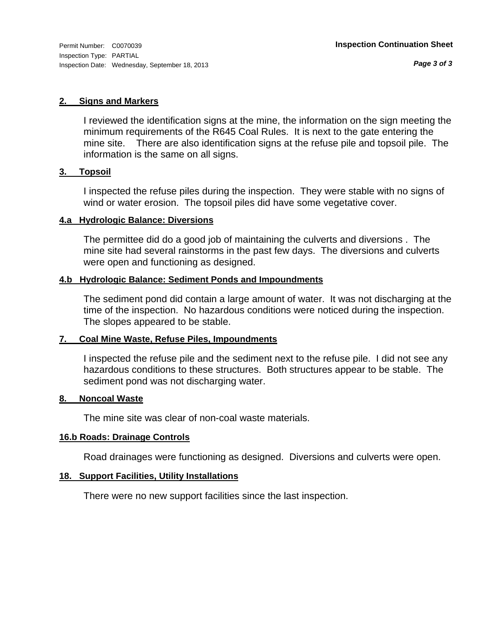#### **2. Signs and Markers**

I reviewed the identification signs at the mine, the information on the sign meeting the minimum requirements of the R645 Coal Rules. It is next to the gate entering the mine site. There are also identification signs at the refuse pile and topsoil pile. The information is the same on all signs.

#### **3. Topsoil**

I inspected the refuse piles during the inspection. They were stable with no signs of wind or water erosion. The topsoil piles did have some vegetative cover.

#### **4.a Hydrologic Balance: Diversions**

The permittee did do a good job of maintaining the culverts and diversions . The mine site had several rainstorms in the past few days. The diversions and culverts were open and functioning as designed.

#### **4.b Hydrologic Balance: Sediment Ponds and Impoundments**

The sediment pond did contain a large amount of water. It was not discharging at the time of the inspection. No hazardous conditions were noticed during the inspection. The slopes appeared to be stable.

#### **7. Coal Mine Waste, Refuse Piles, Impoundments**

I inspected the refuse pile and the sediment next to the refuse pile. I did not see any hazardous conditions to these structures. Both structures appear to be stable. The sediment pond was not discharging water.

#### **8. Noncoal Waste**

The mine site was clear of non-coal waste materials.

#### **16.b Roads: Drainage Controls**

Road drainages were functioning as designed. Diversions and culverts were open.

#### **18. Support Facilities, Utility Installations**

There were no new support facilities since the last inspection.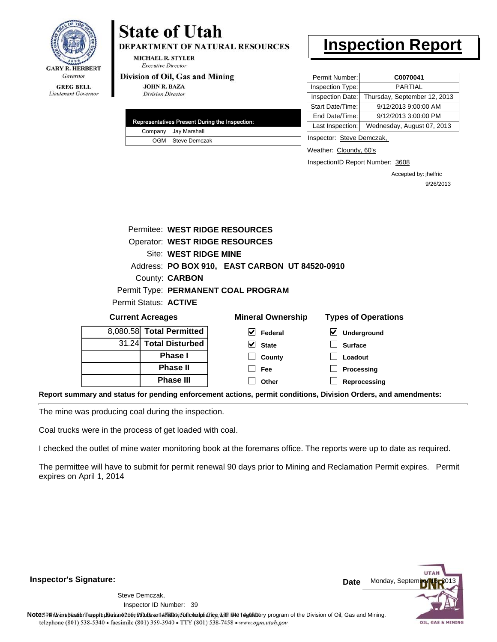

**DEPARTMENT OF NATURAL RESOURCES** 

**MICHAEL R. STYLER Executive Director** 

#### Division of Oil, Gas and Mining

**JOHN R. BAZA Division Director** 

| Representatives Present During the Inspection: |                      |  |  |  |
|------------------------------------------------|----------------------|--|--|--|
|                                                | Company Jay Marshall |  |  |  |
|                                                | OGM Steve Demczak    |  |  |  |

### **Inspection Report**

| Permit Number:   | C0070041                     |
|------------------|------------------------------|
| Inspection Type: | PARTIAL                      |
| Inspection Date: | Thursday, September 12, 2013 |
| Start Date/Time: | 9/12/2013 9:00:00 AM         |
| End Date/Time:   | 9/12/2013 3:00:00 PM         |
| Last Inspection: | Wednesday, August 07, 2013   |

Inspector: Steve Demczak,

Weather: Cloundy, 60's

InspectionID Report Number: 3608

**Reprocessing**

Accepted by: jhelfric 9/26/2013

| Permitee: WEST RIDGE RESOURCES |                                                |                            |  |  |
|--------------------------------|------------------------------------------------|----------------------------|--|--|
| Operator: WEST RIDGE RESOURCES |                                                |                            |  |  |
| Site: WEST RIDGE MINE          |                                                |                            |  |  |
|                                | Address: PO BOX 910, EAST CARBON UT 84520-0910 |                            |  |  |
| County: <b>CARBON</b>          |                                                |                            |  |  |
|                                | Permit Type: PERMANENT COAL PROGRAM            |                            |  |  |
| Permit Status: <b>ACTIVE</b>   |                                                |                            |  |  |
| <b>Current Acreages</b>        | <b>Mineral Ownership</b>                       | <b>Types of Operations</b> |  |  |
| 8,080.58 Total Permitted       | M<br>Federal                                   | V<br>Underground           |  |  |
| 31.24 Total Disturbed          | M<br><b>State</b>                              | <b>Surface</b>             |  |  |
| Phase I                        | County                                         | Loadout                    |  |  |
| <b>Phase II</b>                | Fee                                            | Processing                 |  |  |

**Other**

**Report summary and status for pending enforcement actions, permit conditions, Division Orders, and amendments:**

The mine was producing coal during the inspection.

Coal trucks were in the process of get loaded with coal.

**Phase III**

I checked the outlet of mine water monitoring book at the foremans office. The reports were up to date as required.

The permittee will have to submit for permit renewal 90 days prior to Mining and Reclamation Permit expires. Permit expires on April 1, 2014

**Inspector's Signature:**

39 Inspector ID Number:Steve Demczak,

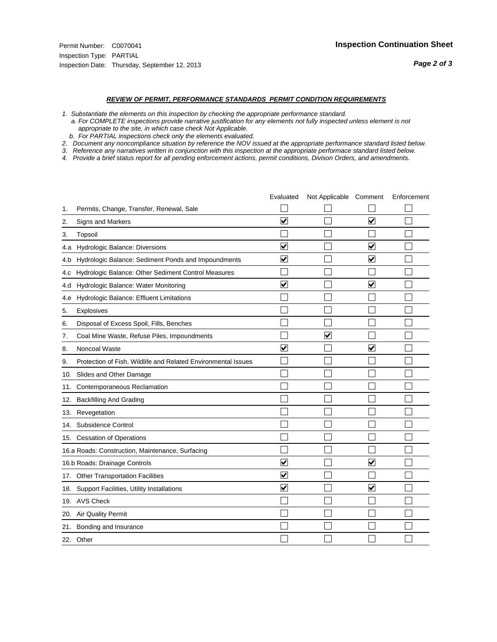#### *REVIEW OF PERMIT, PERFORMANCE STANDARDS PERMIT CONDITION REQUIREMENTS*

*1. Substantiate the elements on this inspection by checking the appropriate performance standard.*

 *a. For COMPLETE inspections provide narrative justification for any elements not fully inspected unless element is not appropriate to the site, in which case check Not Applicable.*

 *b. For PARTIAL inspections check only the elements evaluated.*

*2. Document any noncompliance situation by reference the NOV issued at the appropriate performance standard listed below.*

*3. Reference any narratives written in conjunction with this inspection at the appropriate performace standard listed below.*

|     |                                                               | Evaluated               | Not Applicable Comment  |                         | Enforcement |
|-----|---------------------------------------------------------------|-------------------------|-------------------------|-------------------------|-------------|
| 1.  | Permits, Change, Transfer, Renewal, Sale                      |                         |                         |                         |             |
| 2.  | Signs and Markers                                             | $\overline{\mathbf{v}}$ |                         | $\overline{\mathbf{v}}$ |             |
| 3.  | Topsoil                                                       |                         |                         |                         |             |
| 4.a | Hydrologic Balance: Diversions                                | $\blacktriangledown$    |                         | $\blacktriangledown$    |             |
| 4.b | Hydrologic Balance: Sediment Ponds and Impoundments           | $\blacktriangledown$    |                         | $\blacktriangledown$    |             |
| 4.C | Hydrologic Balance: Other Sediment Control Measures           |                         |                         |                         |             |
| 4.d | Hydrologic Balance: Water Monitoring                          | $\overline{\mathbf{v}}$ |                         | $\overline{\mathsf{v}}$ |             |
| 4.e | Hydrologic Balance: Effluent Limitations                      |                         |                         |                         |             |
| 5.  | Explosives                                                    |                         |                         |                         |             |
| 6.  | Disposal of Excess Spoil, Fills, Benches                      |                         |                         |                         |             |
| 7.  | Coal Mine Waste, Refuse Piles, Impoundments                   |                         | $\overline{\mathbf{v}}$ |                         |             |
| 8.  | Noncoal Waste                                                 | $\overline{\mathsf{v}}$ |                         | $\blacktriangledown$    |             |
| 9.  | Protection of Fish, Wildlife and Related Environmental Issues |                         |                         |                         |             |
| 10. | Slides and Other Damage                                       |                         |                         |                         |             |
| 11. | Contemporaneous Reclamation                                   |                         |                         |                         |             |
| 12. | <b>Backfilling And Grading</b>                                |                         |                         |                         |             |
| 13. | Revegetation                                                  |                         |                         |                         |             |
| 14. | Subsidence Control                                            |                         |                         |                         |             |
|     | 15. Cessation of Operations                                   |                         |                         |                         |             |
|     | 16.a Roads: Construction, Maintenance, Surfacing              |                         |                         |                         |             |
|     | 16.b Roads: Drainage Controls                                 | ⊻                       |                         | $\blacktriangledown$    |             |
|     | 17. Other Transportation Facilities                           | $\overline{\mathbf{v}}$ |                         |                         |             |
| 18. | Support Facilities, Utility Installations                     | $\overline{\mathbf{v}}$ |                         | $\overline{\mathbf{v}}$ |             |
|     | 19. AVS Check                                                 |                         |                         |                         |             |
| 20. | <b>Air Quality Permit</b>                                     |                         |                         |                         |             |
| 21. | Bonding and Insurance                                         |                         |                         |                         |             |
|     | 22. Other                                                     |                         |                         |                         |             |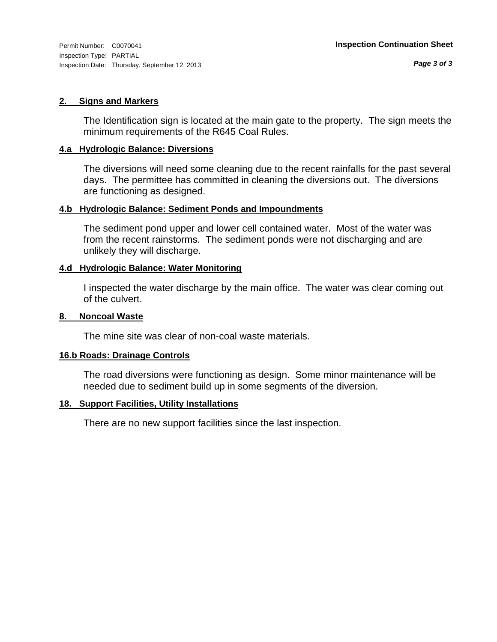#### **2. Signs and Markers**

The Identification sign is located at the main gate to the property. The sign meets the minimum requirements of the R645 Coal Rules.

#### **4.a Hydrologic Balance: Diversions**

The diversions will need some cleaning due to the recent rainfalls for the past several days. The permittee has committed in cleaning the diversions out. The diversions are functioning as designed.

#### **4.b Hydrologic Balance: Sediment Ponds and Impoundments**

The sediment pond upper and lower cell contained water. Most of the water was from the recent rainstorms. The sediment ponds were not discharging and are unlikely they will discharge.

#### **4.d Hydrologic Balance: Water Monitoring**

I inspected the water discharge by the main office. The water was clear coming out of the culvert.

#### **8. Noncoal Waste**

The mine site was clear of non-coal waste materials.

#### **16.b Roads: Drainage Controls**

The road diversions were functioning as design. Some minor maintenance will be needed due to sediment build up in some segments of the diversion.

#### **18. Support Facilities, Utility Installations**

There are no new support facilities since the last inspection.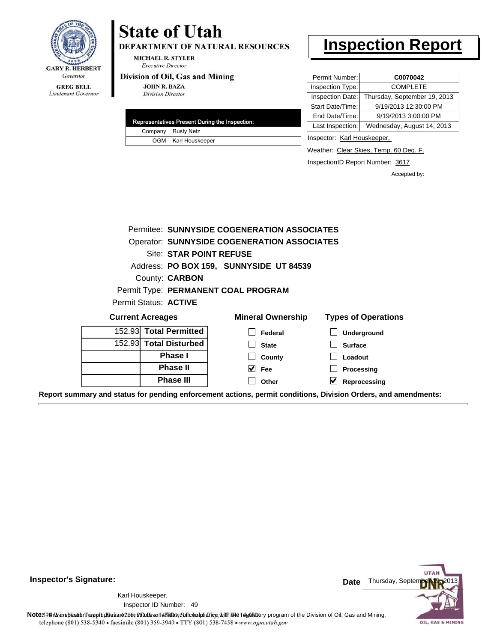

DEPARTMENT OF NATURAL RESOURCES

**MICHAEL R. STYLER Executive Director** 

#### Division of Oil, Gas and Mining

**JOHN R. BAZA Division Director** 

| Representatives Present During the Inspection: |                     |  |  |
|------------------------------------------------|---------------------|--|--|
|                                                | Company Rusty Netz  |  |  |
|                                                | OGM Karl Houskeeper |  |  |

## **Inspection Report**

| Permit Number:   | C0070042                     |
|------------------|------------------------------|
| Inspection Type: | <b>COMPLETE</b>              |
| Inspection Date: | Thursday, September 19, 2013 |
| Start Date/Time: | 9/19/2013 12:30:00 PM        |
| End Date/Time:   | 9/19/2013 3:00:00 PM         |
| Last Inspection: | Wednesday, August 14, 2013   |

Inspector: Karl Houskeeper,

Weather: Clear Skies, Temp. 60 Deg. F.

InspectionID Report Number: 3617

Accepted by:

|                         | Permitee: SUNNYSIDE COGENERATION ASSOCIATES        |                            |
|-------------------------|----------------------------------------------------|----------------------------|
|                         | <b>Operator: SUNNYSIDE COGENERATION ASSOCIATES</b> |                            |
| Site: STAR POINT REFUSE |                                                    |                            |
|                         | Address: PO BOX 159, SUNNYSIDE UT 84539            |                            |
| County: <b>CARBON</b>   |                                                    |                            |
|                         | Permit Type: PERMANENT COAL PROGRAM                |                            |
| Permit Status: ACTIVE   |                                                    |                            |
| <b>Current Acreages</b> | <b>Mineral Ownership</b>                           | <b>Types of Operations</b> |
| 152.93 Total Permitted  | Federal                                            | Underground                |
| 152.93 Total Disturbed  | <b>State</b>                                       | <b>Surface</b>             |
| <b>Phase I</b>          | County                                             | Loadout                    |
| <b>Phase II</b>         | <b>Fee</b>                                         | Processing                 |
| <b>Phase III</b>        | Other                                              | V<br>Reprocessing          |

**Report summary and status for pending enforcement actions, permit conditions, Division Orders, and amendments:**

**Inspector's Signature:**

49 Inspector ID Number:Karl Houskeeper,



Note: This inspection report does not constitute and affidavitor compliance with the regulatory program of the Division of Oil, Gas and Mining. telephone (801) 538-5340 · facsimile (801) 359-3940 · TTY (801) 538-7458 · www.ogm.utah.gov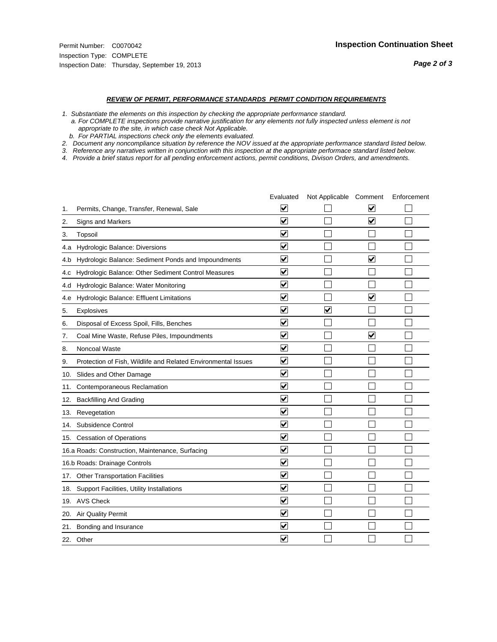#### *REVIEW OF PERMIT, PERFORMANCE STANDARDS PERMIT CONDITION REQUIREMENTS*

*1. Substantiate the elements on this inspection by checking the appropriate performance standard.*

 *a. For COMPLETE inspections provide narrative justification for any elements not fully inspected unless element is not appropriate to the site, in which case check Not Applicable.*

 *b. For PARTIAL inspections check only the elements evaluated.*

*2. Document any noncompliance situation by reference the NOV issued at the appropriate performance standard listed below.*

*3. Reference any narratives written in conjunction with this inspection at the appropriate performace standard listed below.*

|     |                                                               | Evaluated               | Not Applicable Comment |                                 | Enforcement |
|-----|---------------------------------------------------------------|-------------------------|------------------------|---------------------------------|-------------|
| 1.  | Permits, Change, Transfer, Renewal, Sale                      | ⊻                       |                        | V                               |             |
| 2.  | <b>Signs and Markers</b>                                      | $\overline{\mathbf{v}}$ |                        | $\overline{\blacktriangledown}$ |             |
| 3.  | Topsoil                                                       | $\overline{\mathbf{v}}$ |                        |                                 |             |
| 4.a | Hydrologic Balance: Diversions                                | ⊽                       |                        |                                 |             |
| 4.b | Hydrologic Balance: Sediment Ponds and Impoundments           | $\blacktriangledown$    |                        | ⊻                               |             |
| 4.C | Hydrologic Balance: Other Sediment Control Measures           | $\blacktriangledown$    |                        |                                 |             |
| 4.d | Hydrologic Balance: Water Monitoring                          | ☑                       |                        |                                 |             |
| 4.e | Hydrologic Balance: Effluent Limitations                      | ✔                       |                        | $\overline{\mathsf{v}}$         |             |
| 5.  | Explosives                                                    | $\blacktriangledown$    | ⊽                      |                                 |             |
| 6.  | Disposal of Excess Spoil, Fills, Benches                      | $\blacktriangledown$    |                        |                                 |             |
| 7.  | Coal Mine Waste, Refuse Piles, Impoundments                   | $\overline{\mathbf{v}}$ |                        | $\overline{\mathbf{v}}$         |             |
| 8.  | Noncoal Waste                                                 | $\overline{\mathbf{v}}$ |                        |                                 |             |
| 9.  | Protection of Fish, Wildlife and Related Environmental Issues | $\blacktriangledown$    |                        |                                 |             |
| 10. | Slides and Other Damage                                       | ⊻                       |                        |                                 |             |
| 11. | Contemporaneous Reclamation                                   | ☑                       |                        |                                 |             |
| 12. | <b>Backfilling And Grading</b>                                | $\overline{\mathbf{v}}$ |                        |                                 |             |
| 13. | Revegetation                                                  | $\overline{\mathbf{v}}$ |                        |                                 |             |
| 14. | Subsidence Control                                            | $\overline{\mathbf{v}}$ |                        |                                 |             |
|     | 15. Cessation of Operations                                   | $\blacktriangledown$    |                        |                                 |             |
|     | 16.a Roads: Construction, Maintenance, Surfacing              | $\blacktriangledown$    |                        |                                 |             |
|     | 16.b Roads: Drainage Controls                                 | ⊽                       |                        |                                 |             |
|     | 17. Other Transportation Facilities                           | $\blacktriangledown$    |                        |                                 |             |
| 18. | Support Facilities, Utility Installations                     | $\overline{\mathbf{v}}$ |                        |                                 |             |
|     | 19. AVS Check                                                 | $\overline{\mathsf{v}}$ |                        |                                 |             |
| 20. | Air Quality Permit                                            | $\blacktriangledown$    |                        |                                 |             |
|     | 21. Bonding and Insurance                                     | V                       |                        |                                 |             |
|     | 22. Other                                                     | $\blacktriangledown$    |                        |                                 |             |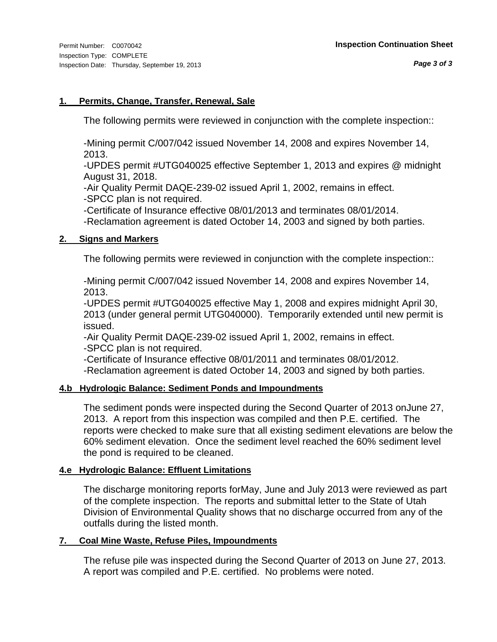#### **1. Permits, Change, Transfer, Renewal, Sale**

The following permits were reviewed in conjunction with the complete inspection::

-Mining permit C/007/042 issued November 14, 2008 and expires November 14, 2013.

-UPDES permit #UTG040025 effective September 1, 2013 and expires @ midnight August 31, 2018.

-Air Quality Permit DAQE-239-02 issued April 1, 2002, remains in effect. -SPCC plan is not required.

-Certificate of Insurance effective 08/01/2013 and terminates 08/01/2014.

-Reclamation agreement is dated October 14, 2003 and signed by both parties.

#### **2. Signs and Markers**

The following permits were reviewed in conjunction with the complete inspection::

-Mining permit C/007/042 issued November 14, 2008 and expires November 14, 2013.

-UPDES permit #UTG040025 effective May 1, 2008 and expires midnight April 30, 2013 (under general permit UTG040000). Temporarily extended until new permit is issued.

-Air Quality Permit DAQE-239-02 issued April 1, 2002, remains in effect. -SPCC plan is not required.

-Certificate of Insurance effective 08/01/2011 and terminates 08/01/2012.

-Reclamation agreement is dated October 14, 2003 and signed by both parties.

#### **4.b Hydrologic Balance: Sediment Ponds and Impoundments**

The sediment ponds were inspected during the Second Quarter of 2013 onJune 27, 2013. A report from this inspection was compiled and then P.E. certified. The reports were checked to make sure that all existing sediment elevations are below the 60% sediment elevation. Once the sediment level reached the 60% sediment level the pond is required to be cleaned.

#### **4.e Hydrologic Balance: Effluent Limitations**

The discharge monitoring reports forMay, June and July 2013 were reviewed as part of the complete inspection. The reports and submittal letter to the State of Utah Division of Environmental Quality shows that no discharge occurred from any of the outfalls during the listed month.

#### **7. Coal Mine Waste, Refuse Piles, Impoundments**

The refuse pile was inspected during the Second Quarter of 2013 on June 27, 2013. A report was compiled and P.E. certified. No problems were noted.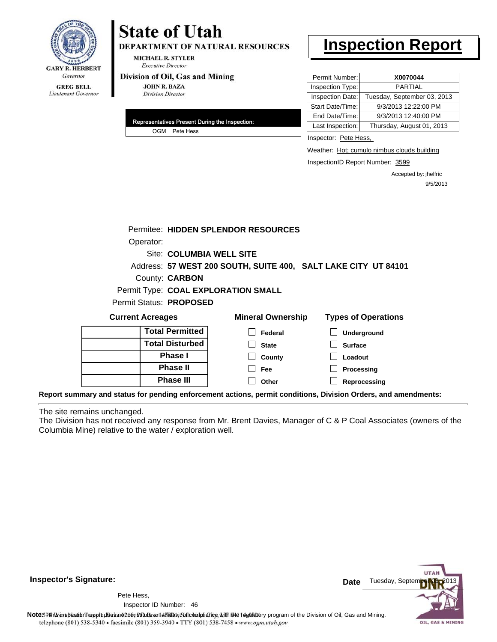

DEPARTMENT OF NATURAL RESOURCES

**MICHAEL R. STYLER Executive Director** 

#### Division of Oil, Gas and Mining

**JOHN R. BAZA Division Director** 

| Representatives Present During the Inspection: |               |  |  |
|------------------------------------------------|---------------|--|--|
|                                                | OGM Pete Hess |  |  |

## **Inspection Report**

| Permit Number:   | X0070044                    |
|------------------|-----------------------------|
| Inspection Type: | <b>PARTIAL</b>              |
| Inspection Date: | Tuesday, September 03, 2013 |
| Start Date/Time: | 9/3/2013 12:22:00 PM        |
| End Date/Time:   | 9/3/2013 12:40:00 PM        |
| Last Inspection: | Thursday, August 01, 2013   |

Inspector: Pete Hess,

Weather: Hot; cumulo nimbus clouds building

InspectionID Report Number: 3599

Accepted by: jhelfric 9/5/2013

|                                                                                                                | Permitee: HIDDEN SPLENDOR RESOURCES                            |                            |
|----------------------------------------------------------------------------------------------------------------|----------------------------------------------------------------|----------------------------|
| Operator:                                                                                                      |                                                                |                            |
|                                                                                                                | Site: COLUMBIA WELL SITE                                       |                            |
|                                                                                                                | Address: 57 WEST 200 SOUTH, SUITE 400, SALT LAKE CITY UT 84101 |                            |
| County: <b>CARBON</b>                                                                                          |                                                                |                            |
|                                                                                                                | Permit Type: COAL EXPLORATION SMALL                            |                            |
| Permit Status: PROPOSED                                                                                        |                                                                |                            |
| <b>Current Acreages</b>                                                                                        | <b>Mineral Ownership</b>                                       | <b>Types of Operations</b> |
| <b>Total Permitted</b>                                                                                         | Federal                                                        | Underground                |
| <b>Total Disturbed</b>                                                                                         | <b>State</b>                                                   | <b>Surface</b>             |
| <b>Phase I</b>                                                                                                 | County                                                         | Loadout                    |
| <b>Phase II</b>                                                                                                | <b>Fee</b>                                                     | Processing                 |
| <b>Phase III</b>                                                                                               | Other                                                          | Reprocessing               |
| Report summary and status for pending enforcement actions, permit conditions, Division Orders, and amendments: |                                                                |                            |

The site remains unchanged.

The Division has not received any response from Mr. Brent Davies, Manager of C & P Coal Associates (owners of the Columbia Mine) relative to the water / exploration well.



**Inspector's Signature:**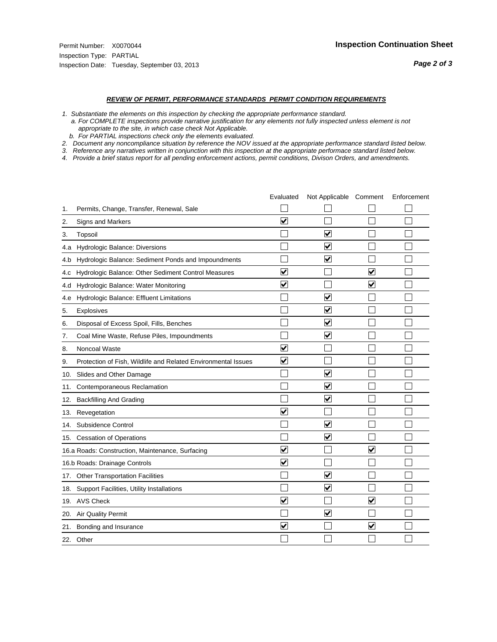#### *REVIEW OF PERMIT, PERFORMANCE STANDARDS PERMIT CONDITION REQUIREMENTS*

*1. Substantiate the elements on this inspection by checking the appropriate performance standard.*

 *a. For COMPLETE inspections provide narrative justification for any elements not fully inspected unless element is not appropriate to the site, in which case check Not Applicable.*

 *b. For PARTIAL inspections check only the elements evaluated.*

*2. Document any noncompliance situation by reference the NOV issued at the appropriate performance standard listed below.*

*3. Reference any narratives written in conjunction with this inspection at the appropriate performace standard listed below.*

|     |                                                               | Evaluated               | Not Applicable Comment          |                         | Enforcement |
|-----|---------------------------------------------------------------|-------------------------|---------------------------------|-------------------------|-------------|
| 1.  | Permits, Change, Transfer, Renewal, Sale                      |                         |                                 |                         |             |
| 2.  | <b>Signs and Markers</b>                                      | $\overline{\mathbf{v}}$ |                                 |                         |             |
| 3.  | Topsoil                                                       |                         | $\overline{\blacktriangledown}$ |                         |             |
| 4.a | Hydrologic Balance: Diversions                                |                         | ⊽                               |                         |             |
| 4.b | Hydrologic Balance: Sediment Ponds and Impoundments           |                         | $\blacktriangledown$            |                         |             |
| 4.c | Hydrologic Balance: Other Sediment Control Measures           | $\overline{\mathbf{v}}$ |                                 | $\overline{\mathbf{v}}$ |             |
| 4.d | Hydrologic Balance: Water Monitoring                          | $\overline{\mathbf{v}}$ |                                 | $\blacktriangledown$    |             |
| 4.e | Hydrologic Balance: Effluent Limitations                      |                         | $\overline{\mathbf{v}}$         |                         |             |
| 5.  | Explosives                                                    |                         | $\blacktriangledown$            |                         |             |
| 6.  | Disposal of Excess Spoil, Fills, Benches                      |                         | $\overline{\mathsf{v}}$         |                         |             |
| 7.  | Coal Mine Waste, Refuse Piles, Impoundments                   |                         | $\blacktriangledown$            |                         |             |
| 8.  | Noncoal Waste                                                 | $\overline{\mathsf{v}}$ |                                 |                         |             |
| 9.  | Protection of Fish, Wildlife and Related Environmental Issues | $\blacktriangledown$    |                                 |                         |             |
| 10. | Slides and Other Damage                                       |                         | $\overline{\mathbf{v}}$         |                         |             |
| 11. | Contemporaneous Reclamation                                   |                         | ☑                               |                         |             |
| 12. | <b>Backfilling And Grading</b>                                |                         | $\overline{\mathbf{v}}$         |                         |             |
| 13. | Revegetation                                                  | $\overline{\mathbf{v}}$ |                                 |                         |             |
| 14. | Subsidence Control                                            |                         | $\overline{\mathbf{v}}$         |                         |             |
| 15. | <b>Cessation of Operations</b>                                |                         | $\blacktriangledown$            |                         |             |
|     | 16.a Roads: Construction, Maintenance, Surfacing              | $\overline{\mathbf{v}}$ |                                 | $\overline{\mathbf{v}}$ |             |
|     | 16.b Roads: Drainage Controls                                 | $\overline{\mathbf{v}}$ |                                 |                         |             |
| 17. | <b>Other Transportation Facilities</b>                        |                         | $\overline{\mathbf{v}}$         |                         |             |
| 18. | Support Facilities, Utility Installations                     |                         | $\overline{\mathbf{v}}$         |                         |             |
|     | 19. AVS Check                                                 | $\blacktriangledown$    |                                 | $\blacktriangledown$    |             |
| 20. | Air Quality Permit                                            |                         | $\blacktriangledown$            |                         |             |
| 21. | Bonding and Insurance                                         | $\overline{\mathbf{v}}$ |                                 | $\blacktriangledown$    |             |
|     | 22. Other                                                     |                         |                                 |                         |             |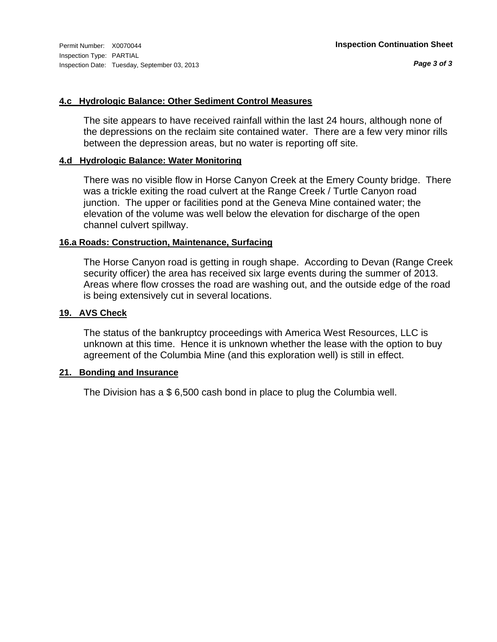#### **4.c Hydrologic Balance: Other Sediment Control Measures**

The site appears to have received rainfall within the last 24 hours, although none of the depressions on the reclaim site contained water. There are a few very minor rills between the depression areas, but no water is reporting off site.

#### **4.d Hydrologic Balance: Water Monitoring**

There was no visible flow in Horse Canyon Creek at the Emery County bridge. There was a trickle exiting the road culvert at the Range Creek / Turtle Canyon road junction. The upper or facilities pond at the Geneva Mine contained water; the elevation of the volume was well below the elevation for discharge of the open channel culvert spillway.

#### **16.a Roads: Construction, Maintenance, Surfacing**

The Horse Canyon road is getting in rough shape. According to Devan (Range Creek security officer) the area has received six large events during the summer of 2013. Areas where flow crosses the road are washing out, and the outside edge of the road is being extensively cut in several locations.

#### **19. AVS Check**

The status of the bankruptcy proceedings with America West Resources, LLC is unknown at this time. Hence it is unknown whether the lease with the option to buy agreement of the Columbia Mine (and this exploration well) is still in effect.

#### **21. Bonding and Insurance**

The Division has a \$ 6,500 cash bond in place to plug the Columbia well.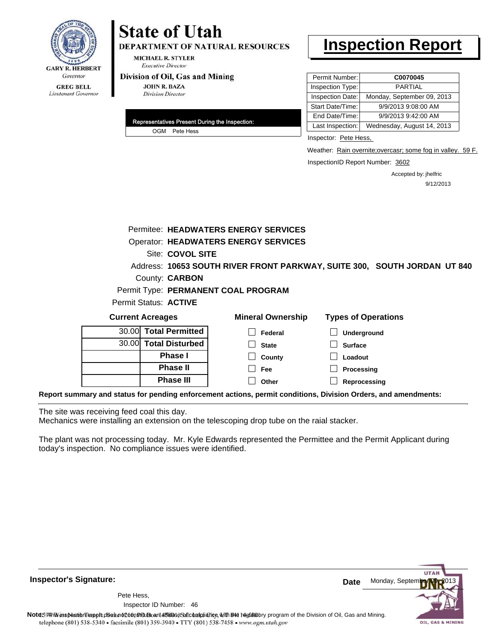

**DEPARTMENT OF NATURAL RESOURCES** 

**MICHAEL R. STYLER Executive Director** 

#### Division of Oil, Gas and Mining

**JOHN R. BAZA Division Director** 

| Representatives Present During the Inspection: |
|------------------------------------------------|
| OGM Pete Hess                                  |

### **Inspection Report**

| Permit Number:   | C0070045                   |
|------------------|----------------------------|
| Inspection Type: | PARTIAI                    |
| Inspection Date: | Monday, September 09, 2013 |
| Start Date/Time: | 9/9/2013 9:08:00 AM        |
| End Date/Time:   | 9/9/2013 9:42:00 AM        |
| Last Inspection: | Wednesday, August 14, 2013 |

Inspector: Pete Hess,

Weather: Rain overnite; overcasr; some fog in valley. 59 F.

InspectionID Report Number: 3602

Accepted by: jhelfric 9/12/2013

|                                                                                                                |                        | Permitee: HEADWATERS ENERGY SERVICES        |                                                                          |
|----------------------------------------------------------------------------------------------------------------|------------------------|---------------------------------------------|--------------------------------------------------------------------------|
|                                                                                                                |                        | <b>Operator: HEADWATERS ENERGY SERVICES</b> |                                                                          |
|                                                                                                                | Site: COVOL SITE       |                                             |                                                                          |
|                                                                                                                |                        |                                             | Address: 10653 SOUTH RIVER FRONT PARKWAY, SUITE 300, SOUTH JORDAN UT 840 |
|                                                                                                                | County: <b>CARBON</b>  |                                             |                                                                          |
|                                                                                                                |                        | Permit Type: PERMANENT COAL PROGRAM         |                                                                          |
| Permit Status: ACTIVE                                                                                          |                        |                                             |                                                                          |
| <b>Current Acreages</b>                                                                                        |                        | <b>Mineral Ownership</b>                    | <b>Types of Operations</b>                                               |
| 30.00                                                                                                          | <b>Total Permitted</b> | Federal                                     | <b>Underground</b>                                                       |
| 30.00                                                                                                          | <b>Total Disturbed</b> | <b>State</b>                                | <b>Surface</b>                                                           |
|                                                                                                                | <b>Phase I</b>         | County                                      | Loadout                                                                  |
|                                                                                                                | <b>Phase II</b>        | Fee                                         | Processing                                                               |
|                                                                                                                | <b>Phase III</b>       | Other                                       | Reprocessing                                                             |
| Report summary and status for pending enforcement actions, permit conditions, Division Orders, and amendments: |                        |                                             |                                                                          |

The site was receiving feed coal this day.

Mechanics were installing an extension on the telescoping drop tube on the raial stacker.

The plant was not processing today. Mr. Kyle Edwards represented the Permittee and the Permit Applicant during today's inspection. No compliance issues were identified.

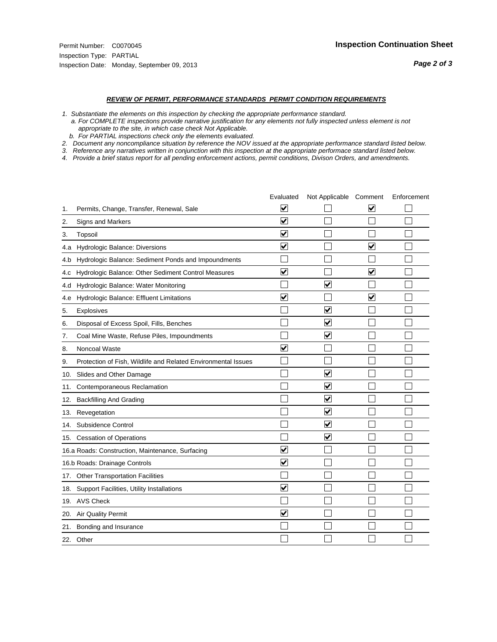#### *REVIEW OF PERMIT, PERFORMANCE STANDARDS PERMIT CONDITION REQUIREMENTS*

*1. Substantiate the elements on this inspection by checking the appropriate performance standard.*

 *a. For COMPLETE inspections provide narrative justification for any elements not fully inspected unless element is not appropriate to the site, in which case check Not Applicable.*

 *b. For PARTIAL inspections check only the elements evaluated.*

*2. Document any noncompliance situation by reference the NOV issued at the appropriate performance standard listed below.*

*3. Reference any narratives written in conjunction with this inspection at the appropriate performace standard listed below.*

|     |                                                               | Evaluated               | Not Applicable Comment          |                         | Enforcement |
|-----|---------------------------------------------------------------|-------------------------|---------------------------------|-------------------------|-------------|
| 1.  | Permits, Change, Transfer, Renewal, Sale                      | $\overline{\mathsf{v}}$ |                                 | V                       |             |
| 2.  | Signs and Markers                                             | $\overline{\mathbf{v}}$ |                                 |                         |             |
| 3.  | Topsoil                                                       | $\overline{\mathbf{v}}$ |                                 |                         |             |
| 4.a | Hydrologic Balance: Diversions                                | $\overline{\mathsf{v}}$ |                                 | $\overline{\mathbf{v}}$ |             |
| 4.b | Hydrologic Balance: Sediment Ponds and Impoundments           |                         |                                 |                         |             |
| 4.c | Hydrologic Balance: Other Sediment Control Measures           | $\overline{\mathbf{v}}$ |                                 | $\blacktriangledown$    |             |
| 4.d | Hydrologic Balance: Water Monitoring                          |                         | $\overline{\mathbf{v}}$         |                         |             |
| 4.e | Hydrologic Balance: Effluent Limitations                      | $\blacktriangledown$    |                                 | $\blacktriangledown$    |             |
| 5.  | <b>Explosives</b>                                             |                         | ⊽                               |                         |             |
| 6.  | Disposal of Excess Spoil, Fills, Benches                      |                         | $\blacktriangledown$            |                         |             |
| 7.  | Coal Mine Waste, Refuse Piles, Impoundments                   |                         | $\overline{\mathbf{v}}$         |                         |             |
| 8.  | Noncoal Waste                                                 | $\overline{\mathsf{v}}$ |                                 |                         |             |
| 9.  | Protection of Fish, Wildlife and Related Environmental Issues |                         |                                 |                         |             |
| 10. | Slides and Other Damage                                       |                         | ☑                               |                         |             |
| 11. | Contemporaneous Reclamation                                   |                         | ☑                               |                         |             |
| 12. | <b>Backfilling And Grading</b>                                |                         | $\overline{\mathbf{v}}$         |                         |             |
| 13. | Revegetation                                                  |                         | $\overline{\blacktriangledown}$ |                         |             |
| 14. | Subsidence Control                                            |                         | $\overline{\mathbf{v}}$         |                         |             |
| 15. | <b>Cessation of Operations</b>                                |                         | $\overline{\blacktriangledown}$ |                         |             |
|     | 16.a Roads: Construction, Maintenance, Surfacing              | ⊽                       |                                 |                         |             |
|     | 16.b Roads: Drainage Controls                                 | $\overline{\mathbf{v}}$ |                                 |                         |             |
| 17. | <b>Other Transportation Facilities</b>                        |                         |                                 |                         |             |
| 18. | Support Facilities, Utility Installations                     | $\overline{\mathbf{v}}$ |                                 |                         |             |
|     | 19. AVS Check                                                 |                         |                                 |                         |             |
| 20. | Air Quality Permit                                            | $\checkmark$            |                                 |                         |             |
| 21. | Bonding and Insurance                                         |                         |                                 |                         |             |
|     | 22. Other                                                     |                         |                                 |                         |             |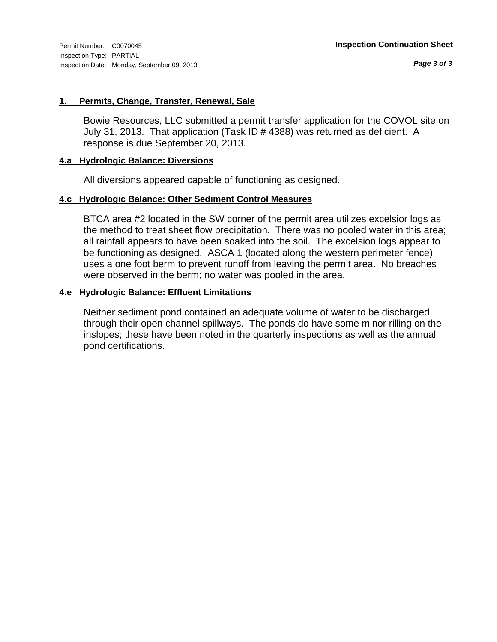#### **1. Permits, Change, Transfer, Renewal, Sale**

Bowie Resources, LLC submitted a permit transfer application for the COVOL site on July 31, 2013. That application (Task ID # 4388) was returned as deficient. A response is due September 20, 2013.

#### **4.a Hydrologic Balance: Diversions**

All diversions appeared capable of functioning as designed.

#### **4.c Hydrologic Balance: Other Sediment Control Measures**

BTCA area #2 located in the SW corner of the permit area utilizes excelsior logs as the method to treat sheet flow precipitation. There was no pooled water in this area; all rainfall appears to have been soaked into the soil. The excelsion logs appear to be functioning as designed. ASCA 1 (located along the western perimeter fence) uses a one foot berm to prevent runoff from leaving the permit area. No breaches were observed in the berm; no water was pooled in the area.

#### **4.e Hydrologic Balance: Effluent Limitations**

Neither sediment pond contained an adequate volume of water to be discharged through their open channel spillways. The ponds do have some minor rilling on the inslopes; these have been noted in the quarterly inspections as well as the annual pond certifications.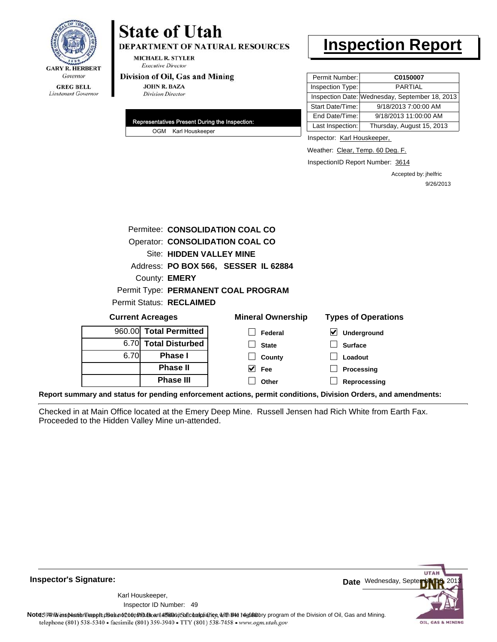

# **State of Utah**

DEPARTMENT OF NATURAL RESOURCES

**MICHAEL R. STYLER Executive Director** 

#### Division of Oil, Gas and Mining

**JOHN R. BAZA Division Director** 

| Representatives Present During the Inspection: |  |
|------------------------------------------------|--|
| OGM Karl Houskeeper                            |  |

## **Inspection Report**

| Permit Number:   | C0150007                                       |
|------------------|------------------------------------------------|
| Inspection Type: | <b>PARTIAL</b>                                 |
|                  | Inspection Date: Wednesday, September 18, 2013 |
| Start Date/Time: | 9/18/2013 7:00:00 AM                           |
| End Date/Time:   | 9/18/2013 11:00:00 AM                          |
| Last Inspection: | Thursday, August 15, 2013                      |

Inspector: Karl Houskeeper,

Weather: Clear, Temp. 60 Deg. F.

InspectionID Report Number: 3614

Accepted by: jhelfric 9/26/2013

| Permitee: CONSOLIDATION COAL CO        |                                      |                            |  |  |  |  |  |
|----------------------------------------|--------------------------------------|----------------------------|--|--|--|--|--|
| <b>Operator: CONSOLIDATION COAL CO</b> |                                      |                            |  |  |  |  |  |
| Site: HIDDEN VALLEY MINE               |                                      |                            |  |  |  |  |  |
|                                        | Address: PO BOX 566, SESSER IL 62884 |                            |  |  |  |  |  |
| County: <b>EMERY</b>                   |                                      |                            |  |  |  |  |  |
|                                        | Permit Type: PERMANENT COAL PROGRAM  |                            |  |  |  |  |  |
| Permit Status: RECLAIMED               |                                      |                            |  |  |  |  |  |
| <b>Current Acreages</b>                | <b>Mineral Ownership</b>             | <b>Types of Operations</b> |  |  |  |  |  |
| <b>Total Permitted</b><br>960.00       | Federal                              | ⊻<br>Underground           |  |  |  |  |  |
| <b>Total Disturbed</b><br>6.70         | <b>State</b>                         | <b>Surface</b>             |  |  |  |  |  |
| 6.70<br><b>Phase I</b>                 | County                               | Loadout                    |  |  |  |  |  |
| <b>Phase II</b>                        | V<br>Fee                             | Processing                 |  |  |  |  |  |
| <b>Phase III</b>                       | Other                                | Reprocessing               |  |  |  |  |  |

**Report summary and status for pending enforcement actions, permit conditions, Division Orders, and amendments:**

Checked in at Main Office located at the Emery Deep Mine. Russell Jensen had Rich White from Earth Fax. Proceeded to the Hidden Valley Mine un-attended.

**Inspector's Signature:**

49 Inspector ID Number:Karl Houskeeper,



Note: This inspection report does not constitute and affidavitor compliance with the regulatory program of the Division of Oil, Gas and Mining. telephone (801) 538-5340 · facsimile (801) 359-3940 · TTY (801) 538-7458 · www.ogm.utah.gov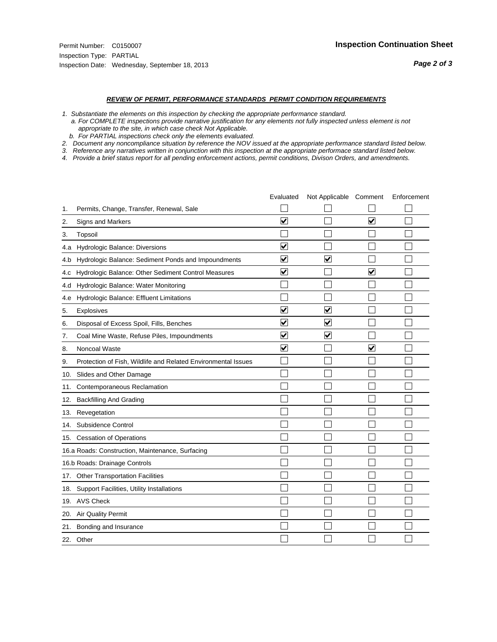#### *REVIEW OF PERMIT, PERFORMANCE STANDARDS PERMIT CONDITION REQUIREMENTS*

*1. Substantiate the elements on this inspection by checking the appropriate performance standard.*

 *a. For COMPLETE inspections provide narrative justification for any elements not fully inspected unless element is not appropriate to the site, in which case check Not Applicable.*

 *b. For PARTIAL inspections check only the elements evaluated.*

*2. Document any noncompliance situation by reference the NOV issued at the appropriate performance standard listed below.*

*3. Reference any narratives written in conjunction with this inspection at the appropriate performace standard listed below.*

|     |                                                               | Evaluated               | Not Applicable Comment  |                         | Enforcement |
|-----|---------------------------------------------------------------|-------------------------|-------------------------|-------------------------|-------------|
| 1.  | Permits, Change, Transfer, Renewal, Sale                      |                         |                         |                         |             |
| 2.  | <b>Signs and Markers</b>                                      | $\overline{\mathbf{v}}$ |                         | $\overline{\mathbf{v}}$ |             |
| 3.  | Topsoil                                                       |                         |                         |                         |             |
| 4.a | Hydrologic Balance: Diversions                                | ⊽                       |                         |                         |             |
| 4.b | Hydrologic Balance: Sediment Ponds and Impoundments           | $\blacktriangledown$    | ⊻                       |                         |             |
| 4.C | Hydrologic Balance: Other Sediment Control Measures           | $\overline{\mathbf{v}}$ |                         | $\overline{\mathbf{v}}$ |             |
| 4.d | Hydrologic Balance: Water Monitoring                          |                         |                         |                         |             |
| 4.e | Hydrologic Balance: Effluent Limitations                      |                         |                         |                         |             |
| 5.  | Explosives                                                    | $\overline{\mathbf{v}}$ | $\overline{\mathbf{v}}$ |                         |             |
| 6.  | Disposal of Excess Spoil, Fills, Benches                      | ⊽                       | $\blacktriangledown$    |                         |             |
| 7.  | Coal Mine Waste, Refuse Piles, Impoundments                   | $\overline{\mathbf{v}}$ | $\blacktriangledown$    |                         |             |
| 8.  | Noncoal Waste                                                 | $\overline{\mathbf{v}}$ |                         | $\overline{\mathbf{v}}$ |             |
| 9.  | Protection of Fish, Wildlife and Related Environmental Issues |                         |                         |                         |             |
| 10. | Slides and Other Damage                                       |                         |                         |                         |             |
| 11. | Contemporaneous Reclamation                                   |                         |                         |                         |             |
| 12. | <b>Backfilling And Grading</b>                                |                         |                         |                         |             |
| 13. | Revegetation                                                  |                         |                         |                         |             |
| 14. | Subsidence Control                                            |                         |                         |                         |             |
|     | 15. Cessation of Operations                                   |                         |                         |                         |             |
|     | 16.a Roads: Construction, Maintenance, Surfacing              |                         |                         |                         |             |
|     | 16.b Roads: Drainage Controls                                 |                         |                         |                         |             |
| 17. | <b>Other Transportation Facilities</b>                        |                         |                         |                         |             |
| 18. | Support Facilities, Utility Installations                     |                         |                         |                         |             |
|     | 19. AVS Check                                                 |                         |                         |                         |             |
| 20. | Air Quality Permit                                            |                         |                         |                         |             |
| 21. | Bonding and Insurance                                         |                         |                         |                         |             |
|     | 22. Other                                                     |                         |                         |                         |             |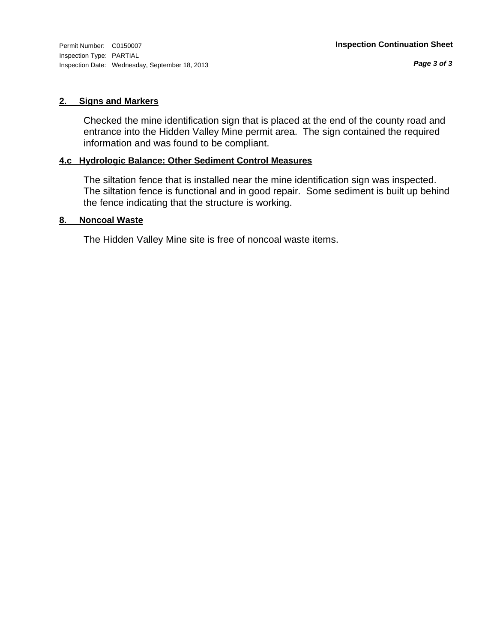#### **2. Signs and Markers**

Checked the mine identification sign that is placed at the end of the county road and entrance into the Hidden Valley Mine permit area. The sign contained the required information and was found to be compliant.

#### **4.c Hydrologic Balance: Other Sediment Control Measures**

The siltation fence that is installed near the mine identification sign was inspected. The siltation fence is functional and in good repair. Some sediment is built up behind the fence indicating that the structure is working.

#### **8. Noncoal Waste**

The Hidden Valley Mine site is free of noncoal waste items.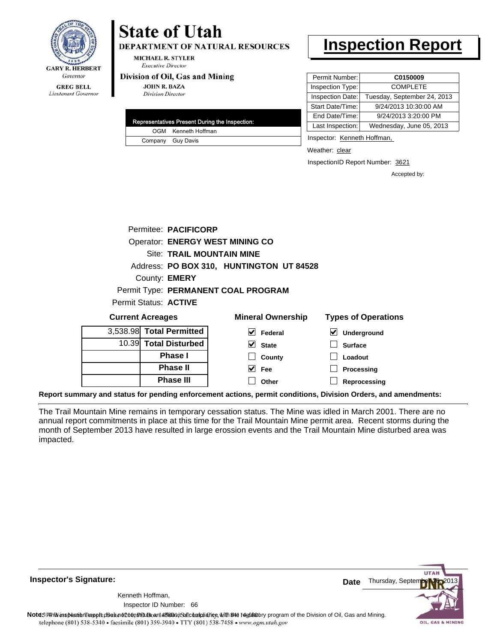

Lieutenant Governor

# **State of Utah**

**DEPARTMENT OF NATURAL RESOURCES** 

**MICHAEL R. STYLER Executive Director** 

#### Division of Oil, Gas and Mining

**Phase II Phase III**

**JOHN R. BAZA Division Director** 

| Representatives Present During the Inspection: |
|------------------------------------------------|
| OGM Kenneth Hoffman                            |
| Company Guy Davis                              |

### **Inspection Report**

| Permit Number:   | C0150009                    |
|------------------|-----------------------------|
| Inspection Type: | <b>COMPLETE</b>             |
| Inspection Date: | Tuesday, September 24, 2013 |
| Start Date/Time: | 9/24/2013 10:30:00 AM       |
| End Date/Time:   | 9/24/2013 3:20:00 PM        |
| Last Inspection: | Wednesday, June 05, 2013    |
|                  |                             |

Inspector: Kenneth Hoffman,

Weather: clear

InspectionID Report Number: 3621

**Processing Reprocessing** Accepted by:

|                                     |  | Permitee: PACIFICORP         |                                          |                            |  |  |  |
|-------------------------------------|--|------------------------------|------------------------------------------|----------------------------|--|--|--|
|                                     |  |                              | Operator: ENERGY WEST MINING CO          |                            |  |  |  |
|                                     |  |                              | <b>Site: TRAIL MOUNTAIN MINE</b>         |                            |  |  |  |
|                                     |  |                              | Address: PO BOX 310, HUNTINGTON UT 84528 |                            |  |  |  |
|                                     |  | County: <b>EMERY</b>         |                                          |                            |  |  |  |
| Permit Type: PERMANENT COAL PROGRAM |  |                              |                                          |                            |  |  |  |
|                                     |  | Permit Status: <b>ACTIVE</b> |                                          |                            |  |  |  |
| <b>Current Acreages</b>             |  |                              | <b>Mineral Ownership</b>                 | <b>Types of Operations</b> |  |  |  |
|                                     |  | 3,538.98 Total Permitted     | V<br>Federal                             | Underground<br>V           |  |  |  |
|                                     |  | 10.39 Total Disturbed        | M<br><b>State</b>                        | <b>Surface</b>             |  |  |  |
|                                     |  | <b>Phase I</b>               | County                                   | Loadout                    |  |  |  |

**Fee Other**

**Report summary and status for pending enforcement actions, permit conditions, Division Orders, and amendments:**

The Trail Mountain Mine remains in temporary cessation status. The Mine was idled in March 2001. There are no annual report commitments in place at this time for the Trail Mountain Mine permit area. Recent storms during the month of September 2013 have resulted in large erossion events and the Trail Mountain Mine disturbed area was impacted.



**Inspector's Signature:**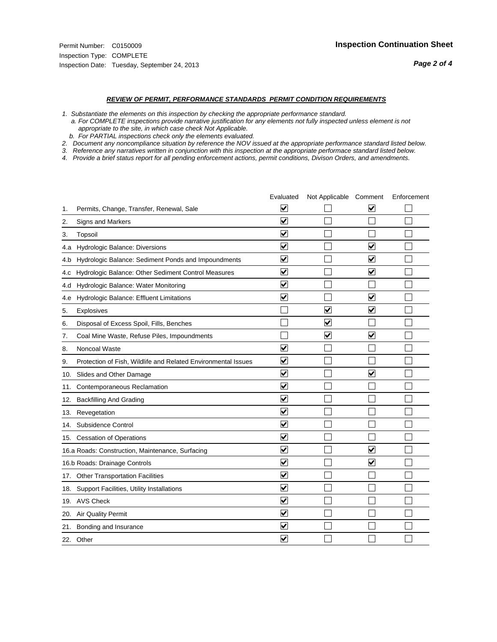#### *REVIEW OF PERMIT, PERFORMANCE STANDARDS PERMIT CONDITION REQUIREMENTS*

*1. Substantiate the elements on this inspection by checking the appropriate performance standard.*

 *a. For COMPLETE inspections provide narrative justification for any elements not fully inspected unless element is not appropriate to the site, in which case check Not Applicable.*

 *b. For PARTIAL inspections check only the elements evaluated.*

*2. Document any noncompliance situation by reference the NOV issued at the appropriate performance standard listed below.*

*3. Reference any narratives written in conjunction with this inspection at the appropriate performace standard listed below.*

|     |                                                               | Evaluated                       | Not Applicable Comment  |                         | Enforcement |
|-----|---------------------------------------------------------------|---------------------------------|-------------------------|-------------------------|-------------|
| 1.  | Permits, Change, Transfer, Renewal, Sale                      | V                               |                         | V                       |             |
| 2.  | Signs and Markers                                             | $\overline{\mathbf{v}}$         |                         |                         |             |
| 3.  | Topsoil                                                       | $\overline{\blacktriangledown}$ |                         |                         |             |
| 4.a | Hydrologic Balance: Diversions                                | $\blacktriangledown$            |                         | $\blacktriangledown$    |             |
| 4.b | Hydrologic Balance: Sediment Ponds and Impoundments           | $\blacktriangledown$            |                         | $\blacktriangledown$    |             |
| 4.c | Hydrologic Balance: Other Sediment Control Measures           | $\overline{\blacktriangledown}$ |                         | $\blacktriangledown$    |             |
| 4.d | Hydrologic Balance: Water Monitoring                          | $\overline{\blacktriangledown}$ |                         |                         |             |
| 4.e | Hydrologic Balance: Effluent Limitations                      | ✔                               |                         | $\overline{\mathbf{v}}$ |             |
| 5.  | Explosives                                                    |                                 | $\overline{\mathsf{v}}$ | $\blacktriangledown$    |             |
| 6.  | Disposal of Excess Spoil, Fills, Benches                      |                                 | V                       |                         |             |
| 7.  | Coal Mine Waste, Refuse Piles, Impoundments                   |                                 | $\overline{\mathsf{v}}$ | $\blacktriangledown$    |             |
| 8.  | Noncoal Waste                                                 | $\overline{\mathbf{v}}$         |                         |                         |             |
| 9.  | Protection of Fish, Wildlife and Related Environmental Issues | $\overline{\blacktriangledown}$ |                         |                         |             |
| 10. | Slides and Other Damage                                       | $\blacktriangledown$            |                         | $\overline{\mathbf{v}}$ |             |
| 11. | Contemporaneous Reclamation                                   | ⊻                               |                         |                         |             |
| 12. | <b>Backfilling And Grading</b>                                | $\overline{\mathbf{v}}$         |                         |                         |             |
| 13. | Revegetation                                                  | $\overline{\blacktriangledown}$ |                         |                         |             |
| 14. | Subsidence Control                                            | $\blacktriangledown$            |                         |                         |             |
|     | 15. Cessation of Operations                                   | $\overline{\mathbf{v}}$         |                         |                         |             |
|     | 16.a Roads: Construction, Maintenance, Surfacing              | ☑                               |                         | $\overline{\mathbf{v}}$ |             |
|     | 16.b Roads: Drainage Controls                                 | $\overline{\mathbf{v}}$         |                         | $\blacktriangledown$    |             |
|     | 17. Other Transportation Facilities                           | $\overline{\mathbf{v}}$         |                         |                         |             |
| 18. | Support Facilities, Utility Installations                     | $\overline{\blacktriangledown}$ |                         |                         |             |
|     | 19. AVS Check                                                 | ▽                               |                         |                         |             |
|     | 20. Air Quality Permit                                        | $\blacktriangledown$            |                         |                         |             |
| 21. | Bonding and Insurance                                         | $\overline{\mathbf{v}}$         |                         |                         |             |
|     | 22. Other                                                     | $\overline{\mathbf{v}}$         |                         |                         |             |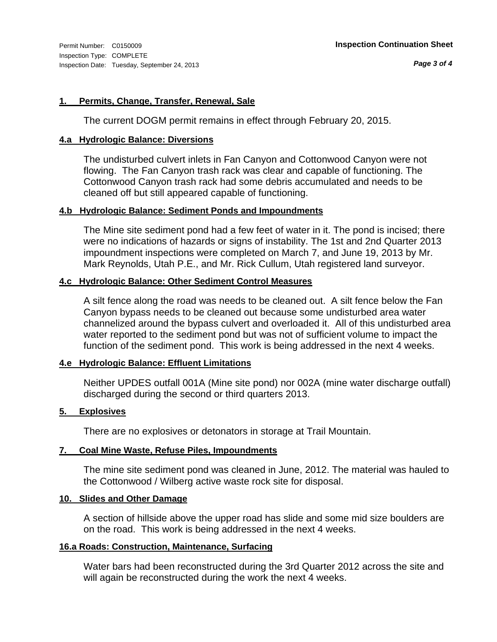#### **1. Permits, Change, Transfer, Renewal, Sale**

The current DOGM permit remains in effect through February 20, 2015.

#### **4.a Hydrologic Balance: Diversions**

The undisturbed culvert inlets in Fan Canyon and Cottonwood Canyon were not flowing. The Fan Canyon trash rack was clear and capable of functioning. The Cottonwood Canyon trash rack had some debris accumulated and needs to be cleaned off but still appeared capable of functioning.

#### **4.b Hydrologic Balance: Sediment Ponds and Impoundments**

The Mine site sediment pond had a few feet of water in it. The pond is incised; there were no indications of hazards or signs of instability. The 1st and 2nd Quarter 2013 impoundment inspections were completed on March 7, and June 19, 2013 by Mr. Mark Reynolds, Utah P.E., and Mr. Rick Cullum, Utah registered land surveyor.

#### **4.c Hydrologic Balance: Other Sediment Control Measures**

A silt fence along the road was needs to be cleaned out. A silt fence below the Fan Canyon bypass needs to be cleaned out because some undisturbed area water channelized around the bypass culvert and overloaded it. All of this undisturbed area water reported to the sediment pond but was not of sufficient volume to impact the function of the sediment pond. This work is being addressed in the next 4 weeks.

#### **4.e Hydrologic Balance: Effluent Limitations**

Neither UPDES outfall 001A (Mine site pond) nor 002A (mine water discharge outfall) discharged during the second or third quarters 2013.

#### **5. Explosives**

There are no explosives or detonators in storage at Trail Mountain.

#### **7. Coal Mine Waste, Refuse Piles, Impoundments**

The mine site sediment pond was cleaned in June, 2012. The material was hauled to the Cottonwood / Wilberg active waste rock site for disposal.

#### **10. Slides and Other Damage**

A section of hillside above the upper road has slide and some mid size boulders are on the road. This work is being addressed in the next 4 weeks.

#### **16.a Roads: Construction, Maintenance, Surfacing**

Water bars had been reconstructed during the 3rd Quarter 2012 across the site and will again be reconstructed during the work the next 4 weeks.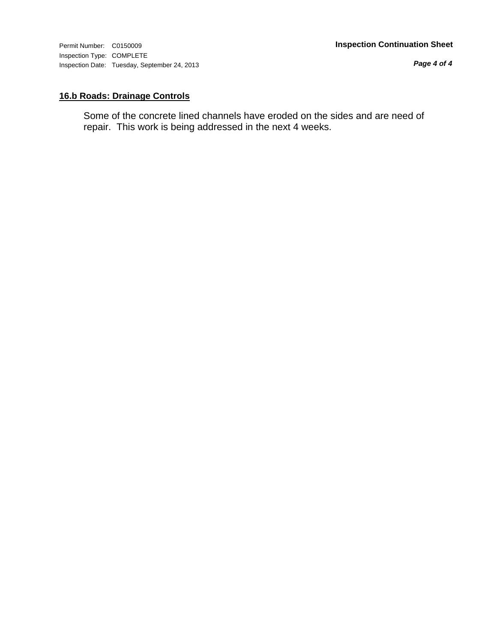*Page 4 of 4*

#### **16.b Roads: Drainage Controls**

Some of the concrete lined channels have eroded on the sides and are need of repair. This work is being addressed in the next 4 weeks.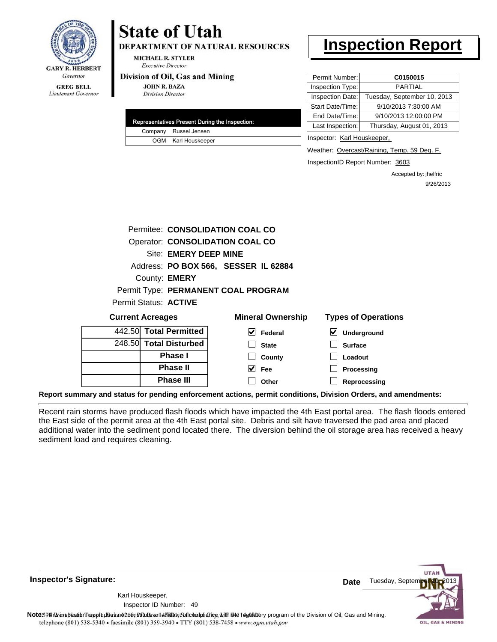

## **State of Utah**

**DEPARTMENT OF NATURAL RESOURCES** 

**MICHAEL R. STYLER Executive Director** 

#### Division of Oil, Gas and Mining

**JOHN R. BAZA Division Director** 

|  | Representatives Present During the Inspection: |
|--|------------------------------------------------|
|  | Company Russel Jensen                          |
|  | OGM Karl Houskeeper                            |

## **Inspection Report**

| Permit Number:   | C0150015                    |
|------------------|-----------------------------|
| Inspection Type: | <b>PARTIAL</b>              |
| Inspection Date: | Tuesday, September 10, 2013 |
| Start Date/Time: | 9/10/2013 7:30:00 AM        |
| End Date/Time:   | 9/10/2013 12:00:00 PM       |
| Last Inspection: | Thursday, August 01, 2013   |
|                  |                             |

Inspector: Karl Houskeeper,

Weather: Overcast/Raining, Temp. 59 Deg. F.

InspectionID Report Number: 3603

Accepted by: jhelfric 9/26/2013

|                                     |                                      | Permitee: CONSOLIDATION COAL CO     |                            |  |  |  |
|-------------------------------------|--------------------------------------|-------------------------------------|----------------------------|--|--|--|
| Operator: CONSOLIDATION COAL CO     |                                      |                                     |                            |  |  |  |
| <b>Site: EMERY DEEP MINE</b>        |                                      |                                     |                            |  |  |  |
|                                     | Address: PO BOX 566, SESSER IL 62884 |                                     |                            |  |  |  |
|                                     | County: <b>EMERY</b>                 |                                     |                            |  |  |  |
|                                     |                                      | Permit Type: PERMANENT COAL PROGRAM |                            |  |  |  |
|                                     | Permit Status: ACTIVE                |                                     |                            |  |  |  |
|                                     | <b>Current Acreages</b>              | <b>Mineral Ownership</b>            | <b>Types of Operations</b> |  |  |  |
|                                     | 442.50 Total Permitted               | V<br>Federal                        | M<br>Underground           |  |  |  |
|                                     | 248.50 Total Disturbed               | <b>State</b>                        | <b>Surface</b>             |  |  |  |
| <b>Phase I</b><br>Loadout<br>County |                                      |                                     |                            |  |  |  |
| <b>Phase II</b>                     |                                      |                                     |                            |  |  |  |
|                                     |                                      | $\vee$ Fee                          | Processing                 |  |  |  |

**Report summary and status for pending enforcement actions, permit conditions, Division Orders, and amendments:**

Recent rain storms have produced flash floods which have impacted the 4th East portal area. The flash floods entered the East side of the permit area at the 4th East portal site. Debris and silt have traversed the pad area and placed additional water into the sediment pond located there. The diversion behind the oil storage area has received a heavy sediment load and requires cleaning.

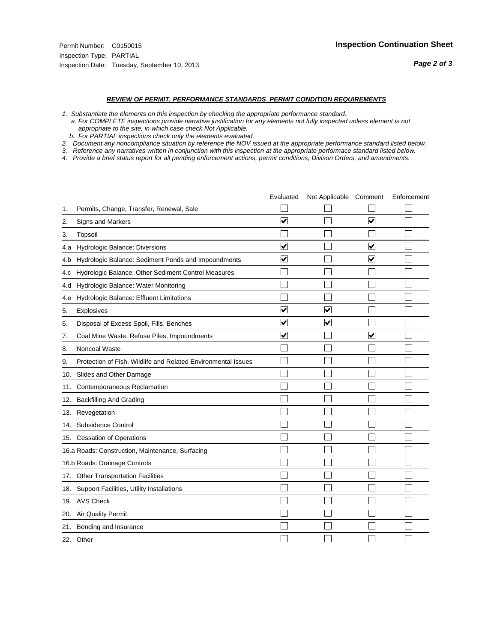#### *REVIEW OF PERMIT, PERFORMANCE STANDARDS PERMIT CONDITION REQUIREMENTS*

*1. Substantiate the elements on this inspection by checking the appropriate performance standard.*

 *a. For COMPLETE inspections provide narrative justification for any elements not fully inspected unless element is not appropriate to the site, in which case check Not Applicable.*

 *b. For PARTIAL inspections check only the elements evaluated.*

*2. Document any noncompliance situation by reference the NOV issued at the appropriate performance standard listed below.*

*3. Reference any narratives written in conjunction with this inspection at the appropriate performace standard listed below.*

|     |                                                               | Evaluated               | Not Applicable Comment  |                         | Enforcement |
|-----|---------------------------------------------------------------|-------------------------|-------------------------|-------------------------|-------------|
| 1.  | Permits, Change, Transfer, Renewal, Sale                      |                         |                         |                         |             |
| 2.  | Signs and Markers                                             | $\overline{\mathbf{v}}$ |                         | $\overline{\mathbf{v}}$ |             |
| 3.  | Topsoil                                                       |                         |                         |                         |             |
| 4.a | Hydrologic Balance: Diversions                                | $\overline{\mathsf{v}}$ |                         | $\blacktriangledown$    |             |
| 4.b | Hydrologic Balance: Sediment Ponds and Impoundments           | $\blacktriangledown$    |                         | $\blacktriangledown$    |             |
| 4.C | Hydrologic Balance: Other Sediment Control Measures           |                         |                         |                         |             |
| 4.d | Hydrologic Balance: Water Monitoring                          |                         |                         |                         |             |
| 4.e | Hydrologic Balance: Effluent Limitations                      |                         |                         |                         |             |
| 5.  | <b>Explosives</b>                                             | $\overline{\mathbf{v}}$ | $\overline{\mathbf{v}}$ |                         |             |
| 6.  | Disposal of Excess Spoil, Fills, Benches                      | $\blacktriangledown$    | ⊻                       |                         |             |
| 7.  | Coal Mine Waste, Refuse Piles, Impoundments                   | $\overline{\mathbf{v}}$ |                         | $\overline{\mathbf{v}}$ |             |
| 8.  | Noncoal Waste                                                 |                         |                         |                         |             |
| 9.  | Protection of Fish, Wildlife and Related Environmental Issues |                         |                         |                         |             |
| 10. | Slides and Other Damage                                       |                         |                         |                         |             |
| 11. | Contemporaneous Reclamation                                   |                         |                         |                         |             |
| 12. | <b>Backfilling And Grading</b>                                |                         |                         |                         |             |
| 13. | Revegetation                                                  |                         |                         |                         |             |
| 14. | Subsidence Control                                            |                         |                         |                         |             |
|     | 15. Cessation of Operations                                   |                         |                         |                         |             |
|     | 16.a Roads: Construction, Maintenance, Surfacing              |                         |                         |                         |             |
|     | 16.b Roads: Drainage Controls                                 |                         |                         |                         |             |
| 17. | <b>Other Transportation Facilities</b>                        |                         |                         |                         |             |
| 18. | Support Facilities, Utility Installations                     |                         |                         |                         |             |
| 19. | <b>AVS Check</b>                                              |                         |                         |                         |             |
| 20. | Air Quality Permit                                            |                         |                         |                         |             |
| 21. | Bonding and Insurance                                         |                         |                         |                         |             |
|     | 22. Other                                                     |                         |                         |                         |             |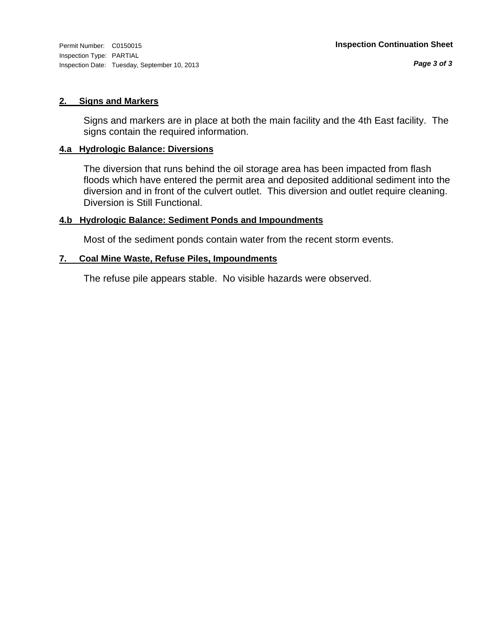#### **2. Signs and Markers**

Signs and markers are in place at both the main facility and the 4th East facility. The signs contain the required information.

#### **4.a Hydrologic Balance: Diversions**

The diversion that runs behind the oil storage area has been impacted from flash floods which have entered the permit area and deposited additional sediment into the diversion and in front of the culvert outlet. This diversion and outlet require cleaning. Diversion is Still Functional.

#### **4.b Hydrologic Balance: Sediment Ponds and Impoundments**

Most of the sediment ponds contain water from the recent storm events.

#### **7. Coal Mine Waste, Refuse Piles, Impoundments**

The refuse pile appears stable. No visible hazards were observed.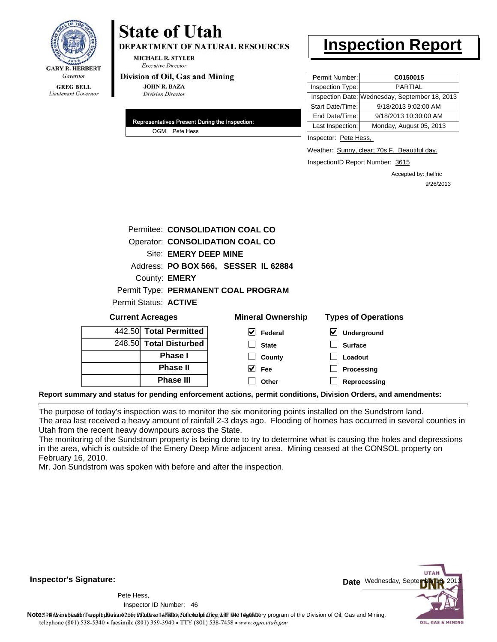

# **State of Utah**

**DEPARTMENT OF NATURAL RESOURCES** 

**MICHAEL R. STYLER Executive Director** 

#### Division of Oil, Gas and Mining

**JOHN R. BAZA Division Director** 

| Representatives Present During the Inspection: |  |
|------------------------------------------------|--|
| OGM Pete Hess                                  |  |

## **Inspection Report**

| Permit Number:   | C0150015                                       |
|------------------|------------------------------------------------|
| Inspection Type: | <b>PARTIAL</b>                                 |
|                  | Inspection Date: Wednesday, September 18, 2013 |
| Start Date/Time: | 9/18/2013 9:02:00 AM                           |
| End Date/Time:   | 9/18/2013 10:30:00 AM                          |
| Last Inspection: | Monday, August 05, 2013                        |

Inspector: Pete Hess,

Weather: Sunny, clear; 70s F. Beautiful day.

InspectionID Report Number: 3615

Accepted by: jhelfric 9/26/2013

| Permitee: CONSOLIDATION COAL CO |                                      |                            |  |  |
|---------------------------------|--------------------------------------|----------------------------|--|--|
| Operator: CONSOLIDATION COAL CO |                                      |                            |  |  |
| Site: EMERY DEEP MINE           |                                      |                            |  |  |
|                                 | Address: PO BOX 566, SESSER IL 62884 |                            |  |  |
| County: <b>EMERY</b>            |                                      |                            |  |  |
|                                 | Permit Type: PERMANENT COAL PROGRAM  |                            |  |  |
| Permit Status: ACTIVE           |                                      |                            |  |  |
| <b>Current Acreages</b>         | <b>Mineral Ownership</b>             | <b>Types of Operations</b> |  |  |
| 442.50 Total Permitted          | M<br>Federal                         | ⊻<br>Underground           |  |  |
| 248.50 Total Disturbed          | <b>State</b>                         | <b>Surface</b>             |  |  |
| <b>Phase I</b>                  | County                               | Loadout                    |  |  |
| <b>Phase II</b>                 | M<br><b>Fee</b>                      | Processing                 |  |  |
| <b>Phase III</b>                | Other                                | Reprocessing               |  |  |

**Report summary and status for pending enforcement actions, permit conditions, Division Orders, and amendments:**

The purpose of today's inspection was to monitor the six monitoring points installed on the Sundstrom land. The area last received a heavy amount of rainfall 2-3 days ago. Flooding of homes has occurred in several counties in Utah from the recent heavy downpours across the State.

The monitoring of the Sundstrom property is being done to try to determine what is causing the holes and depressions in the area, which is outside of the Emery Deep Mine adjacent area. Mining ceased at the CONSOL property on February 16, 2010.

Mr. Jon Sundstrom was spoken with before and after the inspection.

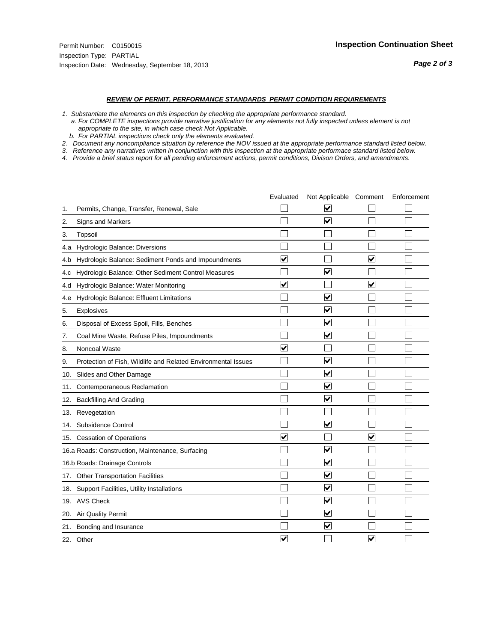#### *REVIEW OF PERMIT, PERFORMANCE STANDARDS PERMIT CONDITION REQUIREMENTS*

*1. Substantiate the elements on this inspection by checking the appropriate performance standard.*

 *a. For COMPLETE inspections provide narrative justification for any elements not fully inspected unless element is not appropriate to the site, in which case check Not Applicable.*

 *b. For PARTIAL inspections check only the elements evaluated.*

*2. Document any noncompliance situation by reference the NOV issued at the appropriate performance standard listed below.*

*3. Reference any narratives written in conjunction with this inspection at the appropriate performace standard listed below.*

|     |                                                               | Evaluated               | Not Applicable Comment  |                         | Enforcement |
|-----|---------------------------------------------------------------|-------------------------|-------------------------|-------------------------|-------------|
| 1.  | Permits, Change, Transfer, Renewal, Sale                      |                         | $\overline{\mathsf{v}}$ |                         |             |
| 2.  | Signs and Markers                                             |                         | $\overline{\mathbf{v}}$ |                         |             |
| 3.  | Topsoil                                                       |                         |                         |                         |             |
| 4.a | Hydrologic Balance: Diversions                                |                         |                         |                         |             |
| 4.b | Hydrologic Balance: Sediment Ponds and Impoundments           | V                       |                         | V                       |             |
| 4.C | Hydrologic Balance: Other Sediment Control Measures           |                         | $\overline{\mathbf{v}}$ |                         |             |
| 4.d | Hydrologic Balance: Water Monitoring                          | $\overline{\mathbf{v}}$ |                         | $\overline{\mathbf{v}}$ |             |
| 4.e | Hydrologic Balance: Effluent Limitations                      |                         | ⊽                       |                         |             |
| 5.  | <b>Explosives</b>                                             |                         | $\overline{\mathbf{v}}$ |                         |             |
| 6.  | Disposal of Excess Spoil, Fills, Benches                      |                         | $\blacktriangledown$    |                         |             |
| 7.  | Coal Mine Waste, Refuse Piles, Impoundments                   |                         | $\overline{\mathbf{v}}$ |                         |             |
| 8.  | Noncoal Waste                                                 | $\overline{\mathsf{v}}$ |                         |                         |             |
| 9.  | Protection of Fish, Wildlife and Related Environmental Issues |                         | ☑                       |                         |             |
| 10. | Slides and Other Damage                                       |                         | ☑                       |                         |             |
| 11. | Contemporaneous Reclamation                                   |                         | $\overline{\mathsf{v}}$ |                         |             |
| 12. | <b>Backfilling And Grading</b>                                |                         | $\overline{\mathbf{v}}$ |                         |             |
| 13. | Revegetation                                                  |                         |                         |                         |             |
| 14. | Subsidence Control                                            |                         | $\overline{\mathbf{v}}$ |                         |             |
| 15. | <b>Cessation of Operations</b>                                | $\blacktriangledown$    |                         | $\blacktriangledown$    |             |
|     | 16.a Roads: Construction, Maintenance, Surfacing              |                         | ☑                       |                         |             |
|     | 16.b Roads: Drainage Controls                                 |                         | $\blacktriangledown$    |                         |             |
| 17. | <b>Other Transportation Facilities</b>                        |                         | $\overline{\mathbf{v}}$ |                         |             |
| 18. | Support Facilities, Utility Installations                     |                         | $\overline{\mathbf{v}}$ |                         |             |
|     | 19. AVS Check                                                 |                         | $\blacktriangledown$    |                         |             |
| 20. | Air Quality Permit                                            |                         | $\blacktriangledown$    |                         |             |
| 21. | Bonding and Insurance                                         |                         | $\overline{\mathbf{v}}$ |                         |             |
|     | 22. Other                                                     | $\overline{\mathbf{v}}$ |                         | V                       |             |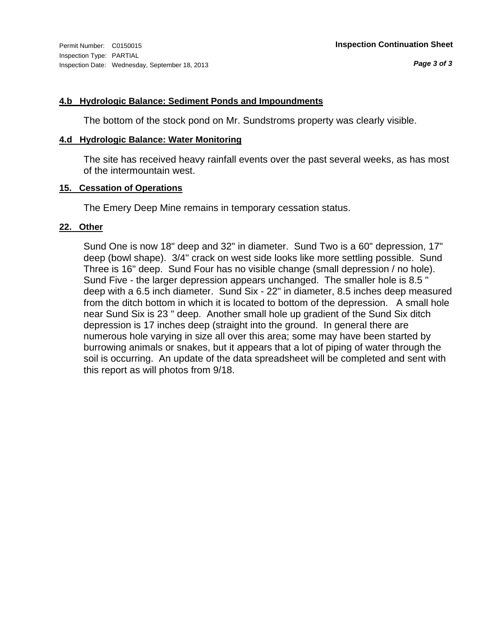#### **4.b Hydrologic Balance: Sediment Ponds and Impoundments**

The bottom of the stock pond on Mr. Sundstroms property was clearly visible.

#### **4.d Hydrologic Balance: Water Monitoring**

The site has received heavy rainfall events over the past several weeks, as has most of the intermountain west.

#### **15. Cessation of Operations**

The Emery Deep Mine remains in temporary cessation status.

#### **22. Other**

Sund One is now 18" deep and 32" in diameter. Sund Two is a 60" depression, 17" deep (bowl shape). 3/4" crack on west side looks like more settling possible. Sund Three is 16" deep. Sund Four has no visible change (small depression / no hole). Sund Five - the larger depression appears unchanged. The smaller hole is 8.5 " deep with a 6.5 inch diameter. Sund Six - 22" in diameter, 8.5 inches deep measured from the ditch bottom in which it is located to bottom of the depression. A small hole near Sund Six is 23 " deep. Another small hole up gradient of the Sund Six ditch depression is 17 inches deep (straight into the ground. In general there are numerous hole varying in size all over this area; some may have been started by burrowing animals or snakes, but it appears that a lot of piping of water through the soil is occurring. An update of the data spreadsheet will be completed and sent with this report as will photos from 9/18.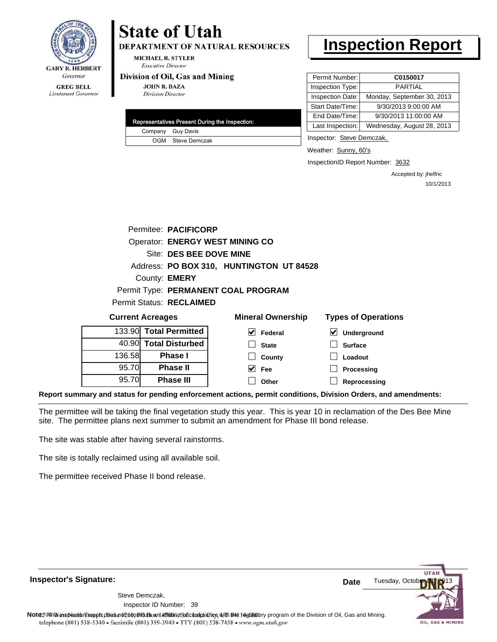

## **State of Utah**

**DEPARTMENT OF NATURAL RESOURCES** 

**MICHAEL R. STYLER Executive Director** 

#### Division of Oil, Gas and Mining

**JOHN R. BAZA Division Director** 

|  | Representatives Present During the Inspection: |
|--|------------------------------------------------|
|  | Company Guy Davis                              |
|  | OGM Steve Demczak                              |

## **Inspection Report**

| Permit Number:   | C0150017                   |
|------------------|----------------------------|
| Inspection Type: | <b>PARTIAL</b>             |
| Inspection Date: | Monday, September 30, 2013 |
| Start Date/Time: | 9/30/2013 9:00:00 AM       |
| End Date/Time:   | 9/30/2013 11:00:00 AM      |
| Last Inspection: | Wednesday, August 28, 2013 |

Inspector: Steve Demczak,

Weather: Sunny, 60's

InspectionID Report Number: 3632

Accepted by: jhelfric 10/1/2013

|                         |                                     | Permitee: PACIFICORP     |                                          |                            |  |
|-------------------------|-------------------------------------|--------------------------|------------------------------------------|----------------------------|--|
|                         |                                     |                          | <b>Operator: ENERGY WEST MINING CO</b>   |                            |  |
|                         |                                     | Site: DES BEE DOVE MINE  |                                          |                            |  |
|                         |                                     |                          | Address: PO BOX 310, HUNTINGTON UT 84528 |                            |  |
|                         |                                     | County: <b>EMERY</b>     |                                          |                            |  |
|                         | Permit Type: PERMANENT COAL PROGRAM |                          |                                          |                            |  |
|                         |                                     | Permit Status: RECLAIMED |                                          |                            |  |
| <b>Current Acreages</b> |                                     |                          | <b>Mineral Ownership</b>                 | <b>Types of Operations</b> |  |
|                         |                                     | 133.90 Total Permitted   | V<br>Federal                             | Underground<br>V           |  |
|                         |                                     | 40.90 Total Disturbed    | <b>State</b>                             | <b>Surface</b>             |  |
| 136.58                  |                                     | <b>Phase I</b>           | County                                   | Loadout                    |  |

 $\blacktriangledown$  $\Box$ 

| 40.90 Total Disturbed |        |
|-----------------------|--------|
| <b>Phase I</b>        | 136.58 |
| <b>Phase II</b>       | 95.70  |
| <b>Phase III</b>      | 95.70  |

| I Ownership | <b>Types of Operat</b>      |
|-------------|-----------------------------|
| Federal     | $\triangledown$ Underground |
| State       | $\Box$ Surface              |
| County      | $\Box$ Loadout              |
| Fee         | $\Box$ Processing           |
| Other       | $\Box$ Reprocessing         |

**Report summary and status for pending enforcement actions, permit conditions, Division Orders, and amendments:**

The permittee will be taking the final vegetation study this year. This is year 10 in reclamation of the Des Bee Mine site. The permittee plans next summer to submit an amendment for Phase III bond release.

The site was stable after having several rainstorms.

The site is totally reclaimed using all available soil.

The permittee received Phase II bond release.

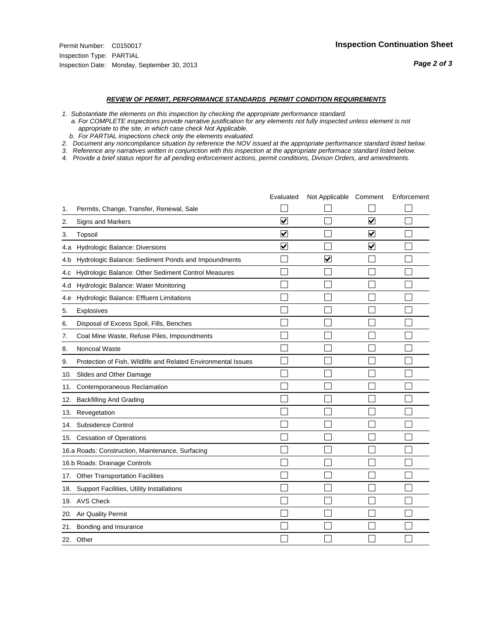#### *REVIEW OF PERMIT, PERFORMANCE STANDARDS PERMIT CONDITION REQUIREMENTS*

*1. Substantiate the elements on this inspection by checking the appropriate performance standard.*

 *a. For COMPLETE inspections provide narrative justification for any elements not fully inspected unless element is not appropriate to the site, in which case check Not Applicable.*

 *b. For PARTIAL inspections check only the elements evaluated.*

*2. Document any noncompliance situation by reference the NOV issued at the appropriate performance standard listed below.*

*3. Reference any narratives written in conjunction with this inspection at the appropriate performace standard listed below.*

|     |                                                               | Evaluated               | Not Applicable Comment |                         | Enforcement |
|-----|---------------------------------------------------------------|-------------------------|------------------------|-------------------------|-------------|
| 1.  | Permits, Change, Transfer, Renewal, Sale                      |                         |                        |                         |             |
| 2.  | <b>Signs and Markers</b>                                      | $\overline{\mathbf{v}}$ |                        | $\overline{\mathbf{v}}$ |             |
| 3.  | Topsoil                                                       | $\overline{\mathbf{v}}$ |                        | $\overline{\mathbf{v}}$ |             |
| 4.a | Hydrologic Balance: Diversions                                | ⊽                       |                        | $\blacktriangledown$    |             |
| 4.b | Hydrologic Balance: Sediment Ponds and Impoundments           |                         | V                      |                         |             |
| 4.C | Hydrologic Balance: Other Sediment Control Measures           |                         |                        |                         |             |
| 4.d | Hydrologic Balance: Water Monitoring                          |                         |                        |                         |             |
| 4.e | Hydrologic Balance: Effluent Limitations                      |                         |                        |                         |             |
| 5.  | Explosives                                                    |                         |                        |                         |             |
| 6.  | Disposal of Excess Spoil, Fills, Benches                      |                         |                        |                         |             |
| 7.  | Coal Mine Waste, Refuse Piles, Impoundments                   |                         |                        |                         |             |
| 8.  | Noncoal Waste                                                 |                         |                        |                         |             |
| 9.  | Protection of Fish, Wildlife and Related Environmental Issues |                         |                        |                         |             |
| 10. | Slides and Other Damage                                       |                         |                        |                         |             |
| 11. | Contemporaneous Reclamation                                   |                         |                        |                         |             |
| 12. | <b>Backfilling And Grading</b>                                |                         |                        |                         |             |
| 13. | Revegetation                                                  |                         |                        |                         |             |
| 14. | Subsidence Control                                            |                         |                        |                         |             |
| 15. | <b>Cessation of Operations</b>                                |                         |                        |                         |             |
|     | 16.a Roads: Construction, Maintenance, Surfacing              |                         |                        |                         |             |
|     | 16.b Roads: Drainage Controls                                 |                         |                        |                         |             |
| 17. | <b>Other Transportation Facilities</b>                        |                         |                        |                         |             |
| 18. | Support Facilities, Utility Installations                     |                         |                        |                         |             |
|     | 19. AVS Check                                                 |                         |                        |                         |             |
| 20. | Air Quality Permit                                            |                         |                        |                         |             |
| 21. | Bonding and Insurance                                         |                         |                        |                         |             |
|     | 22. Other                                                     |                         |                        |                         |             |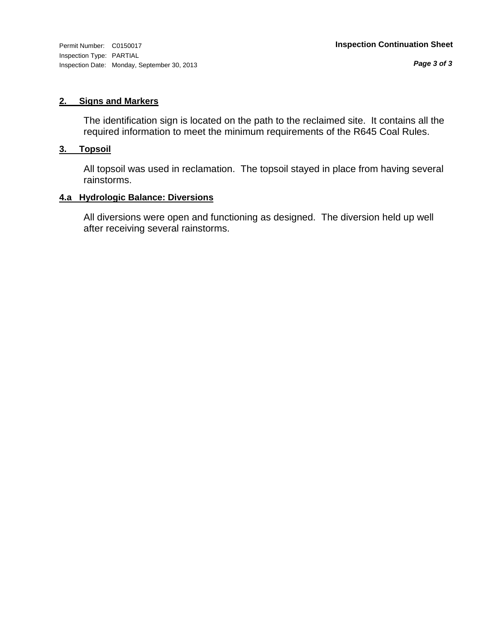*Page 3 of 3*

#### **2. Signs and Markers**

The identification sign is located on the path to the reclaimed site. It contains all the required information to meet the minimum requirements of the R645 Coal Rules.

#### **3. Topsoil**

All topsoil was used in reclamation. The topsoil stayed in place from having several rainstorms.

#### **4.a Hydrologic Balance: Diversions**

All diversions were open and functioning as designed. The diversion held up well after receiving several rainstorms.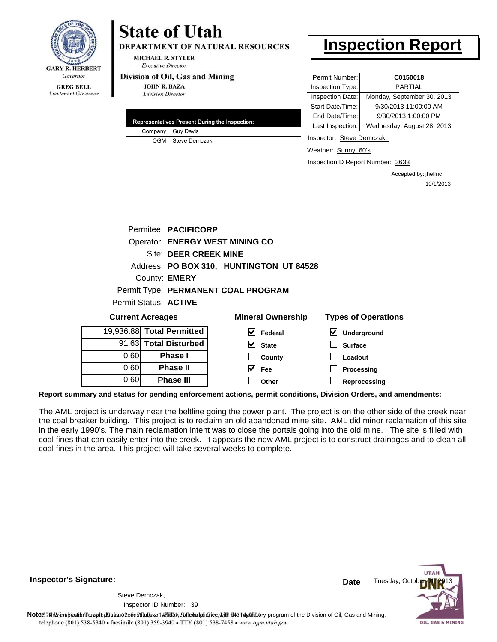

## Lieutenant Governor

# **State of Utah**

**DEPARTMENT OF NATURAL RESOURCES** 

**MICHAEL R. STYLER Executive Director** 

#### Division of Oil, Gas and Mining

**JOHN R. BAZA Division Director** 

0.60

**Phase III**

| Representatives Present During the Inspection: |
|------------------------------------------------|
| Company Guy Davis                              |
| OGM Steve Demczak                              |

## **Inspection Report**

| Permit Number:   | C0150018                   |
|------------------|----------------------------|
| Inspection Type: | <b>PARTIAL</b>             |
| Inspection Date: | Monday, September 30, 2013 |
| Start Date/Time: | 9/30/2013 11:00:00 AM      |
| End Date/Time:   | 9/30/2013 1:00:00 PM       |
| Last Inspection: | Wednesday, August 28, 2013 |

Inspector: Steve Demczak,

Weather: Sunny, 60's

InspectionID Report Number: 3633

**Reprocessing**

Accepted by: jhelfric 10/1/2013

| <b>Operator: ENERGY WEST MINING CO</b> |                          |                                                                                                                                  |  |
|----------------------------------------|--------------------------|----------------------------------------------------------------------------------------------------------------------------------|--|
|                                        |                          |                                                                                                                                  |  |
|                                        |                          |                                                                                                                                  |  |
| County: <b>EMERY</b>                   |                          |                                                                                                                                  |  |
|                                        |                          |                                                                                                                                  |  |
| Permit Status: <b>ACTIVE</b>           |                          |                                                                                                                                  |  |
| <b>Current Acreages</b>                | <b>Mineral Ownership</b> | <b>Types of Operations</b>                                                                                                       |  |
| 19,936.88 Total Permitted              | V<br>Federal             | M<br>Underground                                                                                                                 |  |
| 91.63 Total Disturbed                  | V<br><b>State</b>        | <b>Surface</b>                                                                                                                   |  |
| <b>Phase I</b>                         | County                   | Loadout                                                                                                                          |  |
| <b>Phase II</b>                        | Fee                      | Processing                                                                                                                       |  |
|                                        |                          | Permitee: PACIFICORP<br>Site: DEER CREEK MINE<br>Address: PO BOX 310, HUNTINGTON UT 84528<br>Permit Type: PERMANENT COAL PROGRAM |  |

**Report summary and status for pending enforcement actions, permit conditions, Division Orders, and amendments:**

The AML project is underway near the beltline going the power plant. The project is on the other side of the creek near the coal breaker building. This project is to reclaim an old abandoned mine site. AML did minor reclamation of this site in the early 1990's. The main reclamation intent was to close the portals going into the old mine. The site is filled with coal fines that can easily enter into the creek. It appears the new AML project is to construct drainages and to clean all coal fines in the area. This project will take several weeks to complete.

**Other**

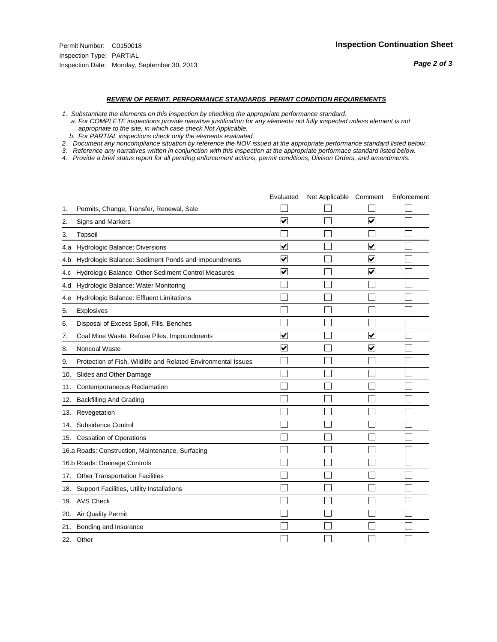#### *REVIEW OF PERMIT, PERFORMANCE STANDARDS PERMIT CONDITION REQUIREMENTS*

*1. Substantiate the elements on this inspection by checking the appropriate performance standard.*

 *a. For COMPLETE inspections provide narrative justification for any elements not fully inspected unless element is not appropriate to the site, in which case check Not Applicable.*

 *b. For PARTIAL inspections check only the elements evaluated.*

*2. Document any noncompliance situation by reference the NOV issued at the appropriate performance standard listed below.*

*3. Reference any narratives written in conjunction with this inspection at the appropriate performace standard listed below.*

|     |                                                               | Evaluated               | Not Applicable Comment |                         | Enforcement |
|-----|---------------------------------------------------------------|-------------------------|------------------------|-------------------------|-------------|
| 1.  | Permits, Change, Transfer, Renewal, Sale                      |                         |                        |                         |             |
| 2.  | Signs and Markers                                             | $\overline{\mathbf{v}}$ |                        | $\overline{\mathbf{v}}$ |             |
| 3.  | Topsoil                                                       |                         |                        |                         |             |
| 4.a | Hydrologic Balance: Diversions                                | $\overline{\mathbf{v}}$ |                        | $\blacktriangledown$    |             |
| 4.b | Hydrologic Balance: Sediment Ponds and Impoundments           | $\blacktriangledown$    |                        | ⊻                       |             |
| 4.C | Hydrologic Balance: Other Sediment Control Measures           | $\checkmark$            |                        | $\blacktriangledown$    |             |
| 4.d | Hydrologic Balance: Water Monitoring                          |                         |                        |                         |             |
| 4.e | Hydrologic Balance: Effluent Limitations                      |                         |                        |                         |             |
| 5.  | <b>Explosives</b>                                             |                         |                        |                         |             |
| 6.  | Disposal of Excess Spoil, Fills, Benches                      |                         |                        |                         |             |
| 7.  | Coal Mine Waste, Refuse Piles, Impoundments                   | $\overline{\mathbf{v}}$ |                        | $\overline{\mathbf{v}}$ |             |
| 8.  | Noncoal Waste                                                 | $\overline{\mathbf{v}}$ |                        | $\blacktriangledown$    |             |
| 9.  | Protection of Fish, Wildlife and Related Environmental Issues |                         |                        |                         |             |
| 10. | Slides and Other Damage                                       |                         |                        |                         |             |
| 11. | Contemporaneous Reclamation                                   |                         |                        |                         |             |
| 12. | <b>Backfilling And Grading</b>                                |                         |                        |                         |             |
| 13. | Revegetation                                                  |                         |                        |                         |             |
| 14. | Subsidence Control                                            |                         |                        |                         |             |
|     | 15. Cessation of Operations                                   |                         |                        |                         |             |
|     | 16.a Roads: Construction, Maintenance, Surfacing              |                         |                        |                         |             |
|     | 16.b Roads: Drainage Controls                                 |                         |                        |                         |             |
| 17. | <b>Other Transportation Facilities</b>                        |                         |                        |                         |             |
| 18. | Support Facilities, Utility Installations                     |                         |                        |                         |             |
| 19. | <b>AVS Check</b>                                              |                         |                        |                         |             |
| 20. | Air Quality Permit                                            |                         |                        |                         |             |
| 21. | Bonding and Insurance                                         |                         |                        |                         |             |
|     | 22. Other                                                     |                         |                        |                         |             |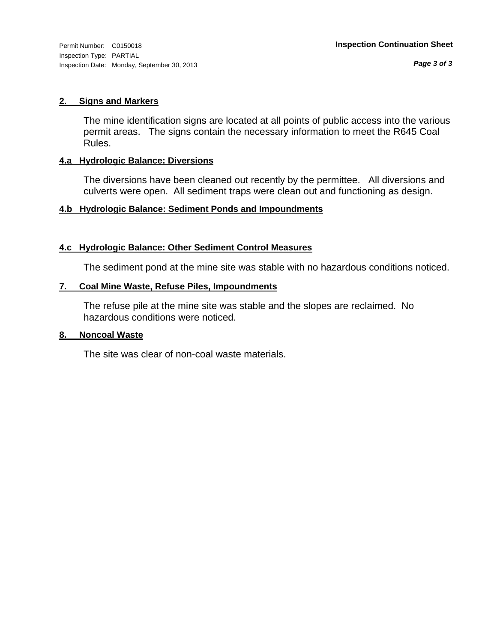#### **2. Signs and Markers**

The mine identification signs are located at all points of public access into the various permit areas. The signs contain the necessary information to meet the R645 Coal Rules.

#### **4.a Hydrologic Balance: Diversions**

The diversions have been cleaned out recently by the permittee. All diversions and culverts were open. All sediment traps were clean out and functioning as design.

#### **4.b Hydrologic Balance: Sediment Ponds and Impoundments**

#### **4.c Hydrologic Balance: Other Sediment Control Measures**

The sediment pond at the mine site was stable with no hazardous conditions noticed.

#### **7. Coal Mine Waste, Refuse Piles, Impoundments**

The refuse pile at the mine site was stable and the slopes are reclaimed. No hazardous conditions were noticed.

#### **8. Noncoal Waste**

The site was clear of non-coal waste materials.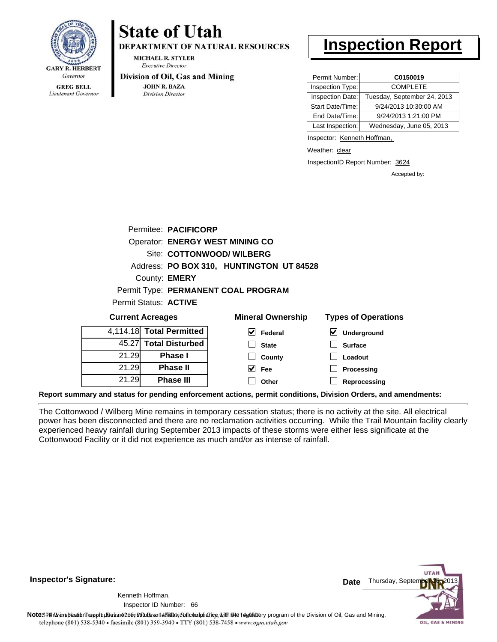

Lieutenant Governor

## **State of Utah**

**DEPARTMENT OF NATURAL RESOURCES** 

**MICHAEL R. STYLER Executive Director** 

#### Division of Oil, Gas and Mining

**JOHN R. BAZA Division Director** 

21.29 21.29 21.29

**Phase I Phase II Phase III**

## **Inspection Report**

| Permit Number:   | C0150019                    |
|------------------|-----------------------------|
| Inspection Type: | <b>COMPLETE</b>             |
| Inspection Date: | Tuesday, September 24, 2013 |
| Start Date/Time: | 9/24/2013 10:30:00 AM       |
| End Date/Time:   | 9/24/2013 1:21:00 PM        |
| Last Inspection: | Wednesday, June 05, 2013    |

Inspector: Kenneth Hoffman,

**Loadout Processing Reprocessing**

Weather: clear

InspectionID Report Number: 3624

Accepted by:

|                         | Permitee: PACIFICORP                   |   |                                          |                            |
|-------------------------|----------------------------------------|---|------------------------------------------|----------------------------|
|                         | <b>Operator: ENERGY WEST MINING CO</b> |   |                                          |                            |
|                         | Site: COTTONWOOD/ WILBERG              |   |                                          |                            |
|                         |                                        |   | Address: PO BOX 310, HUNTINGTON UT 84528 |                            |
|                         | County: <b>EMERY</b>                   |   |                                          |                            |
|                         | Permit Type: PERMANENT COAL PROGRAM    |   |                                          |                            |
|                         | Permit Status: ACTIVE                  |   |                                          |                            |
| <b>Current Acreages</b> |                                        |   | <b>Mineral Ownership</b>                 | <b>Types of Operations</b> |
|                         | 4,114.18 Total Permitted               | M | Federal                                  | V<br>Underground           |
|                         | 45.27 Total Disturbed                  |   | <b>State</b>                             | <b>Surface</b>             |

**County Fee Other**

**Report summary and status for pending enforcement actions, permit conditions, Division Orders, and amendments:**

The Cottonwood / Wilberg Mine remains in temporary cessation status; there is no activity at the site. All electrical power has been disconnected and there are no reclamation activities occurring. While the Trail Mountain facility clearly experienced heavy rainfall during September 2013 impacts of these storms were either less significate at the Cottonwood Facility or it did not experience as much and/or as intense of rainfall.

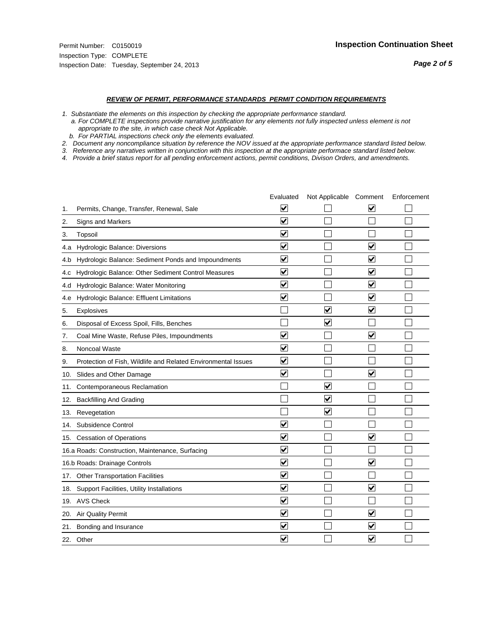#### *REVIEW OF PERMIT, PERFORMANCE STANDARDS PERMIT CONDITION REQUIREMENTS*

*1. Substantiate the elements on this inspection by checking the appropriate performance standard.*

 *a. For COMPLETE inspections provide narrative justification for any elements not fully inspected unless element is not appropriate to the site, in which case check Not Applicable.*

 *b. For PARTIAL inspections check only the elements evaluated.*

*2. Document any noncompliance situation by reference the NOV issued at the appropriate performance standard listed below.*

*3. Reference any narratives written in conjunction with this inspection at the appropriate performace standard listed below.*

|     |                                                               | Evaluated               | Not Applicable Comment          |                         | Enforcement |
|-----|---------------------------------------------------------------|-------------------------|---------------------------------|-------------------------|-------------|
| 1.  | Permits, Change, Transfer, Renewal, Sale                      | ⊻                       |                                 | V                       |             |
| 2.  | <b>Signs and Markers</b>                                      | $\overline{\mathbf{v}}$ |                                 |                         |             |
| 3.  | Topsoil                                                       | $\overline{\mathbf{v}}$ |                                 |                         |             |
| 4.a | Hydrologic Balance: Diversions                                | ⊽                       |                                 | $\overline{\mathbf{v}}$ |             |
| 4.b | Hydrologic Balance: Sediment Ponds and Impoundments           | $\blacktriangledown$    |                                 | ⊻                       |             |
| 4.C | Hydrologic Balance: Other Sediment Control Measures           | $\overline{\mathbf{v}}$ |                                 | $\blacktriangledown$    |             |
| 4.d | Hydrologic Balance: Water Monitoring                          | $\overline{\mathbf{v}}$ |                                 | $\blacktriangledown$    |             |
| 4.e | Hydrologic Balance: Effluent Limitations                      | $\overline{\mathbf{v}}$ |                                 | $\overline{\mathbf{v}}$ |             |
| 5.  | Explosives                                                    |                         | $\overline{\mathbf{v}}$         | $\blacktriangledown$    |             |
| 6.  | Disposal of Excess Spoil, Fills, Benches                      |                         | $\blacktriangledown$            |                         |             |
| 7.  | Coal Mine Waste, Refuse Piles, Impoundments                   | $\overline{\mathbf{v}}$ |                                 | $\checkmark$            |             |
| 8.  | Noncoal Waste                                                 | $\overline{\mathbf{v}}$ |                                 |                         |             |
| 9.  | Protection of Fish, Wildlife and Related Environmental Issues | $\overline{\mathbf{v}}$ |                                 |                         |             |
|     | 10. Slides and Other Damage                                   | $\overline{\mathbf{v}}$ |                                 | $\overline{\mathbf{v}}$ |             |
| 11. | Contemporaneous Reclamation                                   |                         | ☑                               |                         |             |
| 12. | <b>Backfilling And Grading</b>                                |                         | $\overline{\mathbf{v}}$         |                         |             |
| 13. | Revegetation                                                  |                         | $\overline{\blacktriangledown}$ |                         |             |
| 14. | Subsidence Control                                            | $\overline{\mathbf{v}}$ |                                 |                         |             |
|     | 15. Cessation of Operations                                   | $\blacktriangledown$    |                                 | $\blacktriangledown$    |             |
|     | 16.a Roads: Construction, Maintenance, Surfacing              | $\checkmark$            |                                 |                         |             |
|     | 16.b Roads: Drainage Controls                                 | ⊽                       |                                 | V                       |             |
|     | 17. Other Transportation Facilities                           | $\overline{\mathbf{v}}$ |                                 |                         |             |
| 18. | Support Facilities, Utility Installations                     | $\overline{\mathbf{v}}$ |                                 | $\blacktriangledown$    |             |
|     | 19. AVS Check                                                 | $\overline{\mathbf{v}}$ |                                 |                         |             |
| 20. | Air Quality Permit                                            | $\checkmark$            |                                 | $\blacktriangledown$    |             |
| 21. | Bonding and Insurance                                         | $\overline{\mathbf{v}}$ |                                 | $\blacktriangledown$    |             |
|     | 22. Other                                                     | $\blacktriangledown$    |                                 | $\overline{\mathbf{v}}$ |             |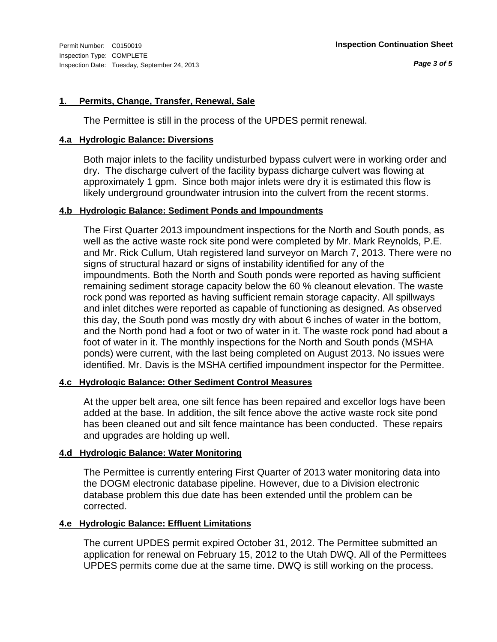#### **1. Permits, Change, Transfer, Renewal, Sale**

The Permittee is still in the process of the UPDES permit renewal.

#### **4.a Hydrologic Balance: Diversions**

Both major inlets to the facility undisturbed bypass culvert were in working order and dry. The discharge culvert of the facility bypass dicharge culvert was flowing at approximately 1 gpm. Since both major inlets were dry it is estimated this flow is likely underground groundwater intrusion into the culvert from the recent storms.

#### **4.b Hydrologic Balance: Sediment Ponds and Impoundments**

The First Quarter 2013 impoundment inspections for the North and South ponds, as well as the active waste rock site pond were completed by Mr. Mark Reynolds, P.E. and Mr. Rick Cullum, Utah registered land surveyor on March 7, 2013. There were no signs of structural hazard or signs of instability identified for any of the impoundments. Both the North and South ponds were reported as having sufficient remaining sediment storage capacity below the 60 % cleanout elevation. The waste rock pond was reported as having sufficient remain storage capacity. All spillways and inlet ditches were reported as capable of functioning as designed. As observed this day, the South pond was mostly dry with about 6 inches of water in the bottom, and the North pond had a foot or two of water in it. The waste rock pond had about a foot of water in it. The monthly inspections for the North and South ponds (MSHA ponds) were current, with the last being completed on August 2013. No issues were identified. Mr. Davis is the MSHA certified impoundment inspector for the Permittee.

#### **4.c Hydrologic Balance: Other Sediment Control Measures**

At the upper belt area, one silt fence has been repaired and excellor logs have been added at the base. In addition, the silt fence above the active waste rock site pond has been cleaned out and silt fence maintance has been conducted. These repairs and upgrades are holding up well.

#### **4.d Hydrologic Balance: Water Monitoring**

The Permittee is currently entering First Quarter of 2013 water monitoring data into the DOGM electronic database pipeline. However, due to a Division electronic database problem this due date has been extended until the problem can be corrected.

#### **4.e Hydrologic Balance: Effluent Limitations**

The current UPDES permit expired October 31, 2012. The Permittee submitted an application for renewal on February 15, 2012 to the Utah DWQ. All of the Permittees UPDES permits come due at the same time. DWQ is still working on the process.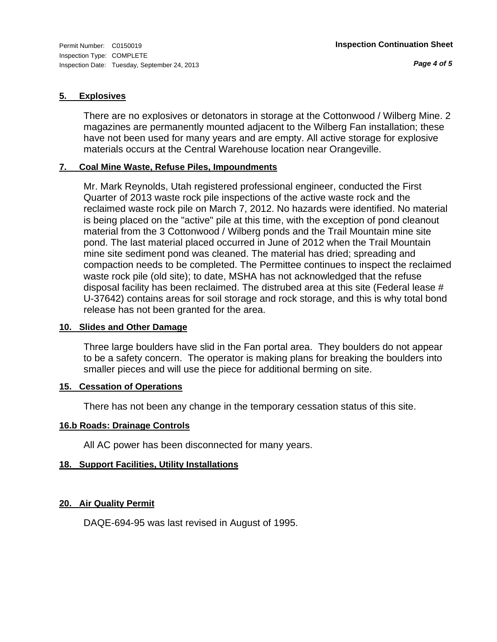#### **5. Explosives**

There are no explosives or detonators in storage at the Cottonwood / Wilberg Mine. 2 magazines are permanently mounted adjacent to the Wilberg Fan installation; these have not been used for many years and are empty. All active storage for explosive materials occurs at the Central Warehouse location near Orangeville.

#### **7. Coal Mine Waste, Refuse Piles, Impoundments**

Mr. Mark Reynolds, Utah registered professional engineer, conducted the First Quarter of 2013 waste rock pile inspections of the active waste rock and the reclaimed waste rock pile on March 7, 2012. No hazards were identified. No material is being placed on the "active" pile at this time, with the exception of pond cleanout material from the 3 Cottonwood / Wilberg ponds and the Trail Mountain mine site pond. The last material placed occurred in June of 2012 when the Trail Mountain mine site sediment pond was cleaned. The material has dried; spreading and compaction needs to be completed. The Permittee continues to inspect the reclaimed waste rock pile (old site); to date, MSHA has not acknowledged that the refuse disposal facility has been reclaimed. The distrubed area at this site (Federal lease # U-37642) contains areas for soil storage and rock storage, and this is why total bond release has not been granted for the area.

#### **10. Slides and Other Damage**

Three large boulders have slid in the Fan portal area. They boulders do not appear to be a safety concern. The operator is making plans for breaking the boulders into smaller pieces and will use the piece for additional berming on site.

#### **15. Cessation of Operations**

There has not been any change in the temporary cessation status of this site.

#### **16.b Roads: Drainage Controls**

All AC power has been disconnected for many years.

#### **18. Support Facilities, Utility Installations**

#### **20. Air Quality Permit**

DAQE-694-95 was last revised in August of 1995.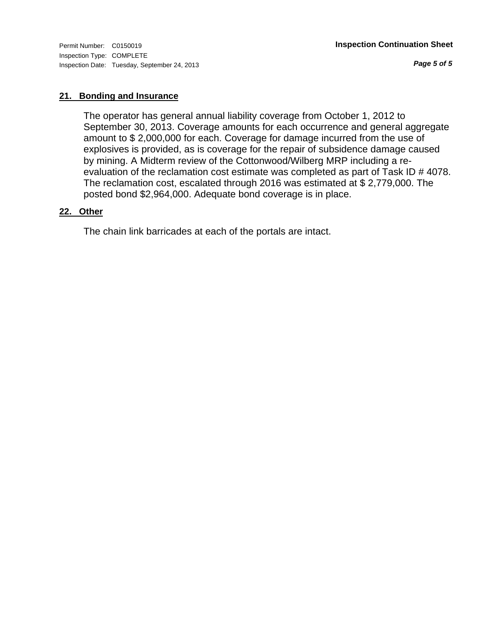*Page 5 of 5*

#### **21. Bonding and Insurance**

The operator has general annual liability coverage from October 1, 2012 to September 30, 2013. Coverage amounts for each occurrence and general aggregate amount to \$ 2,000,000 for each. Coverage for damage incurred from the use of explosives is provided, as is coverage for the repair of subsidence damage caused by mining. A Midterm review of the Cottonwood/Wilberg MRP including a reevaluation of the reclamation cost estimate was completed as part of Task ID # 4078. The reclamation cost, escalated through 2016 was estimated at \$ 2,779,000. The posted bond \$2,964,000. Adequate bond coverage is in place.

#### **22. Other**

The chain link barricades at each of the portals are intact.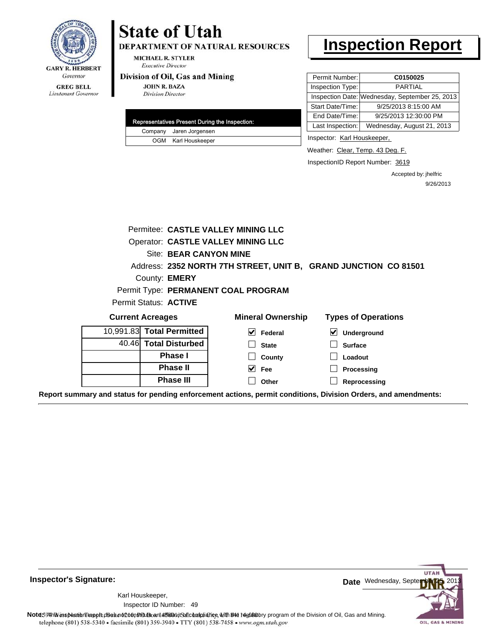

#### **GREG BELL** Lieutenant Governor

# **State of Utah**

DEPARTMENT OF NATURAL RESOURCES

**MICHAEL R. STYLER Executive Director** 

#### Division of Oil, Gas and Mining

**JOHN R. BAZA Division Director** 

| Representatives Present During the Inspection: |                         |  |  |  |
|------------------------------------------------|-------------------------|--|--|--|
|                                                | Company Jaren Jorgensen |  |  |  |
|                                                | OGM Karl Houskeeper     |  |  |  |

## **Inspection Report**

| Permit Number:   | C0150025                                       |
|------------------|------------------------------------------------|
| Inspection Type: | <b>PARTIAL</b>                                 |
|                  | Inspection Date: Wednesday, September 25, 2013 |
| Start Date/Time: | 9/25/2013 8:15:00 AM                           |
| End Date/Time:   | 9/25/2013 12:30:00 PM                          |
| Last Inspection: | Wednesday, August 21, 2013                     |

Inspector: Karl Houskeeper,

Weather: Clear, Temp. 43 Deg. F.

InspectionID Report Number: 3619

Accepted by: jhelfric 9/26/2013

|                                                                                                                |                       | Permitee: CASTLE VALLEY MINING LLC                              |                            |  |  |
|----------------------------------------------------------------------------------------------------------------|-----------------------|-----------------------------------------------------------------|----------------------------|--|--|
|                                                                                                                |                       | <b>Operator: CASTLE VALLEY MINING LLC</b>                       |                            |  |  |
|                                                                                                                |                       | Site: BEAR CANYON MINE                                          |                            |  |  |
|                                                                                                                |                       | Address: 2352 NORTH 7TH STREET, UNIT B, GRAND JUNCTION CO 81501 |                            |  |  |
|                                                                                                                | County: <b>EMERY</b>  |                                                                 |                            |  |  |
|                                                                                                                |                       | Permit Type: PERMANENT COAL PROGRAM                             |                            |  |  |
| Permit Status: ACTIVE                                                                                          |                       |                                                                 |                            |  |  |
| <b>Current Acreages</b>                                                                                        |                       | <b>Mineral Ownership</b>                                        | <b>Types of Operations</b> |  |  |
| 10,991.83 Total Permitted                                                                                      |                       | $\blacktriangledown$<br>Federal                                 | ⊻<br>Underground           |  |  |
|                                                                                                                | 40.46 Total Disturbed | <b>State</b>                                                    | <b>Surface</b>             |  |  |
|                                                                                                                | Phase I               | County                                                          | Loadout                    |  |  |
|                                                                                                                | <b>Phase II</b>       | $\overline{\vee}$ Fee                                           | Processing                 |  |  |
|                                                                                                                | <b>Phase III</b>      | Other                                                           | Reprocessing               |  |  |
| Report summary and status for pending enforcement actions, permit conditions, Division Orders, and amendments: |                       |                                                                 |                            |  |  |

**Inspector's Signature:**

49 Inspector ID Number:Karl Houskeeper,



Note: 59 This inspection report does not constitute and affidavit of compliance, with the deptatory program of the Division of Oil, Gas and Mining.<br>telephone (801) 538-5340 • facsimile (801) 359-3940 • TTY (801) 538-7458 •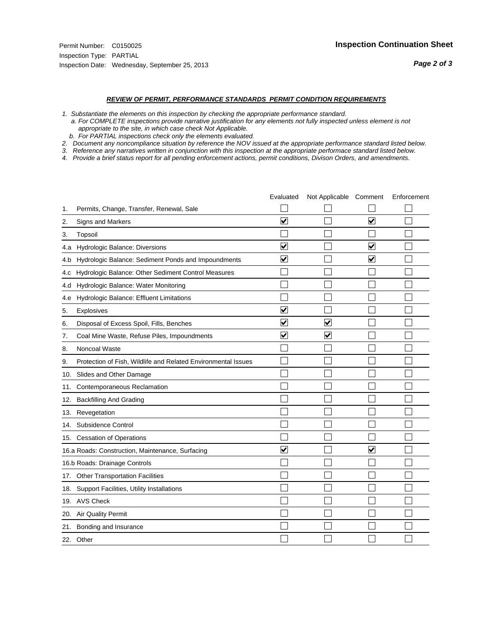#### *REVIEW OF PERMIT, PERFORMANCE STANDARDS PERMIT CONDITION REQUIREMENTS*

*1. Substantiate the elements on this inspection by checking the appropriate performance standard.*

 *a. For COMPLETE inspections provide narrative justification for any elements not fully inspected unless element is not appropriate to the site, in which case check Not Applicable.*

 *b. For PARTIAL inspections check only the elements evaluated.*

*2. Document any noncompliance situation by reference the NOV issued at the appropriate performance standard listed below.*

*3. Reference any narratives written in conjunction with this inspection at the appropriate performace standard listed below.*

|     |                                                               | Evaluated               | Not Applicable Comment  |                         | Enforcement |
|-----|---------------------------------------------------------------|-------------------------|-------------------------|-------------------------|-------------|
| 1.  | Permits, Change, Transfer, Renewal, Sale                      |                         |                         |                         |             |
| 2.  | <b>Signs and Markers</b>                                      | $\overline{\mathbf{v}}$ |                         | $\overline{\mathbf{v}}$ |             |
| 3.  | Topsoil                                                       |                         |                         |                         |             |
| 4.a | Hydrologic Balance: Diversions                                | ⊽                       |                         | $\overline{\mathbf{v}}$ |             |
| 4.b | Hydrologic Balance: Sediment Ponds and Impoundments           | ⊻                       |                         | ⊻                       |             |
| 4.C | Hydrologic Balance: Other Sediment Control Measures           |                         |                         |                         |             |
| 4.d | Hydrologic Balance: Water Monitoring                          |                         |                         |                         |             |
| 4.e | Hydrologic Balance: Effluent Limitations                      |                         |                         |                         |             |
| 5.  | Explosives                                                    | $\overline{\mathbf{v}}$ |                         |                         |             |
| 6.  | Disposal of Excess Spoil, Fills, Benches                      | $\blacktriangledown$    | $\overline{\mathbf{v}}$ |                         |             |
| 7.  | Coal Mine Waste, Refuse Piles, Impoundments                   | $\overline{\mathbf{v}}$ | $\overline{\mathsf{v}}$ |                         |             |
| 8.  | Noncoal Waste                                                 |                         |                         |                         |             |
| 9.  | Protection of Fish, Wildlife and Related Environmental Issues |                         |                         |                         |             |
| 10. | Slides and Other Damage                                       |                         |                         |                         |             |
| 11. | Contemporaneous Reclamation                                   |                         |                         |                         |             |
| 12. | <b>Backfilling And Grading</b>                                |                         |                         |                         |             |
| 13. | Revegetation                                                  |                         |                         |                         |             |
| 14. | Subsidence Control                                            |                         |                         |                         |             |
|     | 15. Cessation of Operations                                   |                         |                         |                         |             |
|     | 16.a Roads: Construction, Maintenance, Surfacing              | $\overline{\mathsf{v}}$ |                         | V                       |             |
|     | 16.b Roads: Drainage Controls                                 |                         |                         |                         |             |
|     | 17. Other Transportation Facilities                           |                         |                         |                         |             |
| 18. | Support Facilities, Utility Installations                     |                         |                         |                         |             |
|     | 19. AVS Check                                                 |                         |                         |                         |             |
| 20. | Air Quality Permit                                            |                         |                         |                         |             |
|     | 21. Bonding and Insurance                                     |                         |                         |                         |             |
|     | 22. Other                                                     |                         |                         |                         |             |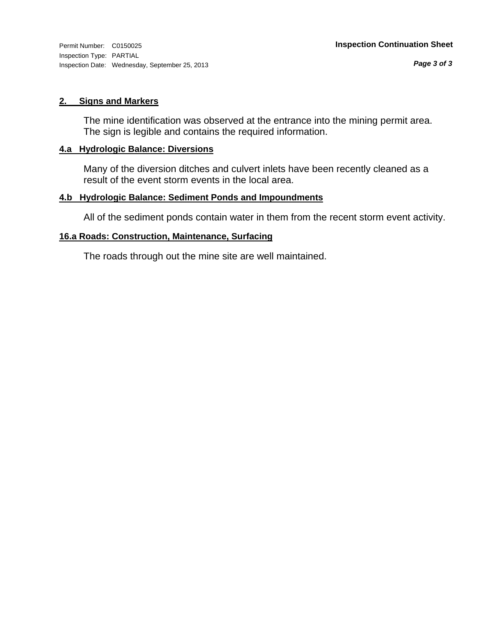#### **2. Signs and Markers**

The mine identification was observed at the entrance into the mining permit area. The sign is legible and contains the required information.

#### **4.a Hydrologic Balance: Diversions**

Many of the diversion ditches and culvert inlets have been recently cleaned as a result of the event storm events in the local area.

#### **4.b Hydrologic Balance: Sediment Ponds and Impoundments**

All of the sediment ponds contain water in them from the recent storm event activity.

#### **16.a Roads: Construction, Maintenance, Surfacing**

The roads through out the mine site are well maintained.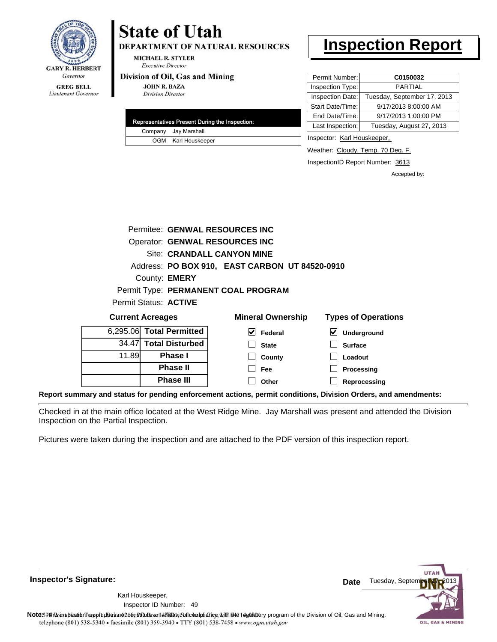

Lieutenant Governor

## **State of Utah**

**DEPARTMENT OF NATURAL RESOURCES** 

**MICHAEL R. STYLER Executive Director** 

#### Division of Oil, Gas and Mining

**Phase II Phase III**

**JOHN R. BAZA Division Director** 

|  | Representatives Present During the Inspection: |
|--|------------------------------------------------|
|  | Company Jay Marshall                           |
|  | OGM Karl Houskeeper                            |

### **Inspection Report**

| Permit Number:   | C0150032                    |
|------------------|-----------------------------|
| Inspection Type: | <b>PARTIAL</b>              |
| Inspection Date: | Tuesday, September 17, 2013 |
| Start Date/Time: | 9/17/2013 8:00:00 AM        |
| End Date/Time:   | 9/17/2013 1:00:00 PM        |
| Last Inspection: | Tuesday, August 27, 2013    |

Inspector: Karl Houskeeper,

Weather: Cloudy, Temp. 70 Deg. F.

InspectionID Report Number: 3613

**Processing Reprocessing** Accepted by:

|                          | Permitee: GENWAL RESOURCES INC |                              |                                                |                                          |  |  |
|--------------------------|--------------------------------|------------------------------|------------------------------------------------|------------------------------------------|--|--|
|                          |                                |                              | Operator: GENWAL RESOURCES INC                 |                                          |  |  |
|                          |                                |                              | Site: CRANDALL CANYON MINE                     |                                          |  |  |
|                          |                                |                              | Address: PO BOX 910, EAST CARBON UT 84520-0910 |                                          |  |  |
|                          |                                | County: <b>EMERY</b>         |                                                |                                          |  |  |
|                          |                                |                              | Permit Type: PERMANENT COAL PROGRAM            |                                          |  |  |
|                          |                                | Permit Status: <b>ACTIVE</b> |                                                |                                          |  |  |
| <b>Current Acreages</b>  |                                |                              | <b>Mineral Ownership</b>                       | <b>Types of Operations</b>               |  |  |
| 6,295.06 Total Permitted |                                |                              | M<br>Federal                                   | $\boldsymbol{\mathsf{v}}$<br>Underground |  |  |
|                          |                                | 34.47 Total Disturbed        | <b>State</b>                                   | <b>Surface</b>                           |  |  |
| 11.89                    |                                | <b>Phase I</b>               | County                                         | Loadout                                  |  |  |
|                          |                                |                              |                                                |                                          |  |  |

**Fee Other**

**Report summary and status for pending enforcement actions, permit conditions, Division Orders, and amendments:**

Checked in at the main office located at the West Ridge Mine. Jay Marshall was present and attended the Division Inspection on the Partial Inspection.

Pictures were taken during the inspection and are attached to the PDF version of this inspection report.

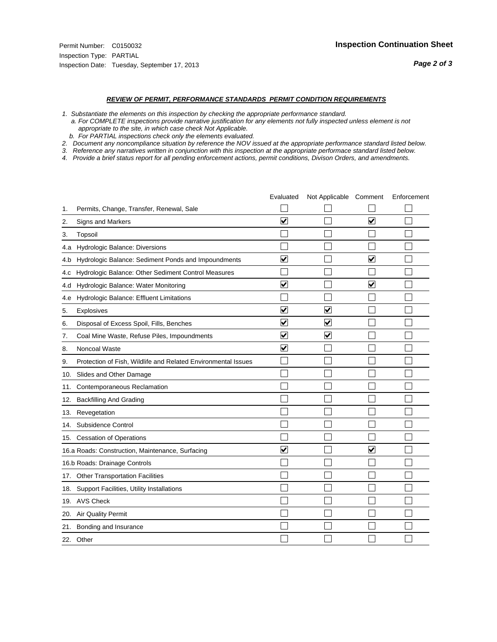#### *REVIEW OF PERMIT, PERFORMANCE STANDARDS PERMIT CONDITION REQUIREMENTS*

*1. Substantiate the elements on this inspection by checking the appropriate performance standard.*

 *a. For COMPLETE inspections provide narrative justification for any elements not fully inspected unless element is not appropriate to the site, in which case check Not Applicable.*

 *b. For PARTIAL inspections check only the elements evaluated.*

*2. Document any noncompliance situation by reference the NOV issued at the appropriate performance standard listed below.*

*3. Reference any narratives written in conjunction with this inspection at the appropriate performace standard listed below.*

|     |                                                               | Evaluated               | Not Applicable Comment  |                         | Enforcement |
|-----|---------------------------------------------------------------|-------------------------|-------------------------|-------------------------|-------------|
| 1.  | Permits, Change, Transfer, Renewal, Sale                      |                         |                         |                         |             |
| 2.  | <b>Signs and Markers</b>                                      | $\overline{\mathbf{v}}$ |                         | $\overline{\mathbf{v}}$ |             |
| 3.  | Topsoil                                                       |                         |                         |                         |             |
| 4.a | Hydrologic Balance: Diversions                                |                         |                         |                         |             |
| 4.b | Hydrologic Balance: Sediment Ponds and Impoundments           | $\blacktriangledown$    |                         | ⊻                       |             |
| 4.C | Hydrologic Balance: Other Sediment Control Measures           |                         |                         |                         |             |
| 4.d | Hydrologic Balance: Water Monitoring                          | ☑                       |                         | $\blacktriangledown$    |             |
| 4.e | Hydrologic Balance: Effluent Limitations                      |                         |                         |                         |             |
| 5.  | Explosives                                                    | $\overline{\mathbf{v}}$ | ⊽                       |                         |             |
| 6.  | Disposal of Excess Spoil, Fills, Benches                      | $\blacktriangledown$    | V                       |                         |             |
| 7.  | Coal Mine Waste, Refuse Piles, Impoundments                   | $\overline{\mathbf{v}}$ | $\overline{\mathbf{v}}$ |                         |             |
| 8.  | Noncoal Waste                                                 | $\overline{\mathbf{v}}$ |                         |                         |             |
| 9.  | Protection of Fish, Wildlife and Related Environmental Issues |                         |                         |                         |             |
| 10. | Slides and Other Damage                                       |                         |                         |                         |             |
| 11. | Contemporaneous Reclamation                                   |                         |                         |                         |             |
| 12. | <b>Backfilling And Grading</b>                                |                         |                         |                         |             |
| 13. | Revegetation                                                  |                         |                         |                         |             |
| 14. | Subsidence Control                                            |                         |                         |                         |             |
|     | 15. Cessation of Operations                                   |                         |                         |                         |             |
|     | 16.a Roads: Construction, Maintenance, Surfacing              | $\overline{\mathsf{v}}$ |                         | V                       |             |
|     | 16.b Roads: Drainage Controls                                 |                         |                         |                         |             |
|     | 17. Other Transportation Facilities                           |                         |                         |                         |             |
| 18. | Support Facilities, Utility Installations                     |                         |                         |                         |             |
|     | 19. AVS Check                                                 |                         |                         |                         |             |
| 20. | Air Quality Permit                                            |                         |                         |                         |             |
|     | 21. Bonding and Insurance                                     |                         |                         |                         |             |
|     | 22. Other                                                     |                         |                         |                         |             |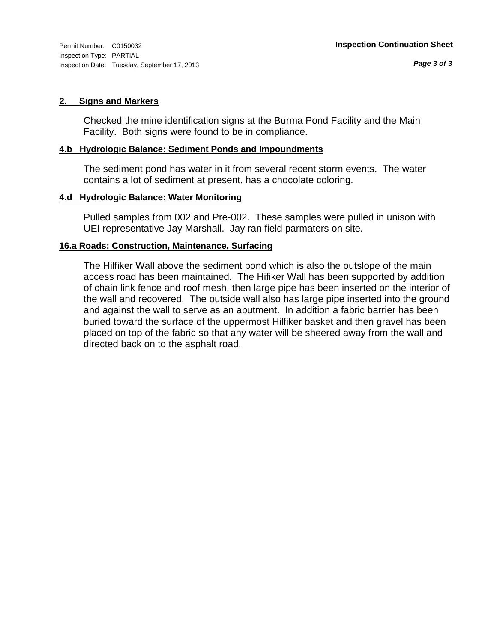#### **2. Signs and Markers**

Checked the mine identification signs at the Burma Pond Facility and the Main Facility. Both signs were found to be in compliance.

#### **4.b Hydrologic Balance: Sediment Ponds and Impoundments**

The sediment pond has water in it from several recent storm events. The water contains a lot of sediment at present, has a chocolate coloring.

#### **4.d Hydrologic Balance: Water Monitoring**

Pulled samples from 002 and Pre-002. These samples were pulled in unison with UEI representative Jay Marshall. Jay ran field parmaters on site.

#### **16.a Roads: Construction, Maintenance, Surfacing**

The Hilfiker Wall above the sediment pond which is also the outslope of the main access road has been maintained. The Hifiker Wall has been supported by addition of chain link fence and roof mesh, then large pipe has been inserted on the interior of the wall and recovered. The outside wall also has large pipe inserted into the ground and against the wall to serve as an abutment. In addition a fabric barrier has been buried toward the surface of the uppermost Hilfiker basket and then gravel has been placed on top of the fabric so that any water will be sheered away from the wall and directed back on to the asphalt road.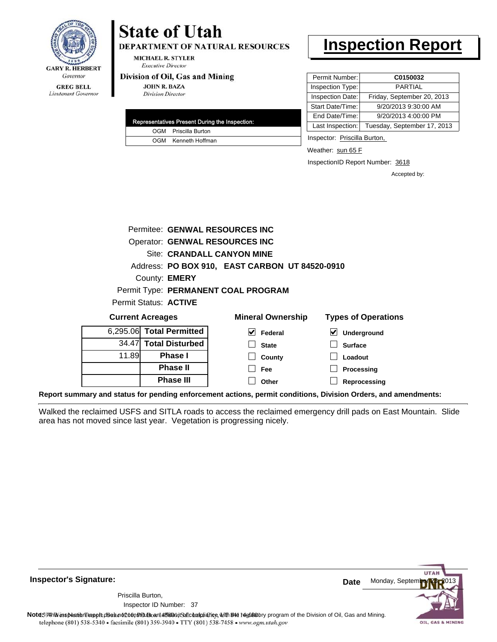

Lieutenant Governor

## **State of Utah**

**DEPARTMENT OF NATURAL RESOURCES** 

**MICHAEL R. STYLER Executive Director** 

#### Division of Oil, Gas and Mining

**JOHN R. BAZA Division Director** 

| Representatives Present During the Inspection: |
|------------------------------------------------|
| OGM Priscilla Burton                           |
| OGM Kenneth Hoffman                            |

### **Inspection Report**

| Permit Number:   | C0150032                    |
|------------------|-----------------------------|
| Inspection Type: | <b>PARTIAL</b>              |
| Inspection Date: | Friday, September 20, 2013  |
| Start Date/Time: | 9/20/2013 9:30:00 AM        |
| End Date/Time:   | 9/20/2013 4:00:00 PM        |
| Last Inspection: | Tuesday, September 17, 2013 |

Inspector: Priscilla Burton,

Weather: sun 65 F

InspectionID Report Number: 3618

**Reprocessing**

Accepted by:

|       |                          | Permitee: GENWAL RESOURCES INC                 |                                            |
|-------|--------------------------|------------------------------------------------|--------------------------------------------|
|       |                          | Operator: GENWAL RESOURCES INC                 |                                            |
|       |                          | Site: CRANDALL CANYON MINE                     |                                            |
|       |                          | Address: PO BOX 910, EAST CARBON UT 84520-0910 |                                            |
|       | County: <b>EMERY</b>     |                                                |                                            |
|       |                          | Permit Type: PERMANENT COAL PROGRAM            |                                            |
|       | Permit Status: ACTIVE    |                                                |                                            |
|       | <b>Current Acreages</b>  | <b>Mineral Ownership</b>                       | <b>Types of Operations</b>                 |
|       | 6,295.06 Total Permitted | V<br>Federal                                   | $\vert\bm{\mathsf{v}}\vert$<br>Underground |
|       | 34.47 Total Disturbed    | <b>State</b>                                   | <b>Surface</b>                             |
| 11.89 | Phase I                  | County                                         | Loadout                                    |
|       | <b>Phase II</b>          | Fee                                            | Processing                                 |

**Report summary and status for pending enforcement actions, permit conditions, Division Orders, and amendments:**

Walked the reclaimed USFS and SITLA roads to access the reclaimed emergency drill pads on East Mountain. Slide area has not moved since last year. Vegetation is progressing nicely.

**Other**



**Inspector's Signature:**

Inspector ID Number: 37 Priscilla Burton,

**Phase III**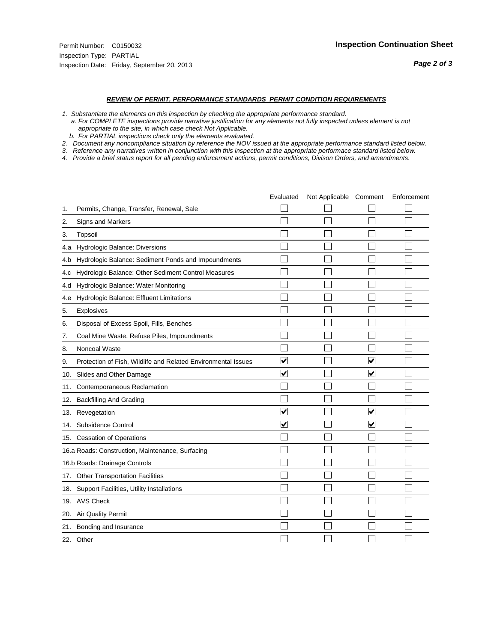#### *REVIEW OF PERMIT, PERFORMANCE STANDARDS PERMIT CONDITION REQUIREMENTS*

*1. Substantiate the elements on this inspection by checking the appropriate performance standard.*

 *a. For COMPLETE inspections provide narrative justification for any elements not fully inspected unless element is not appropriate to the site, in which case check Not Applicable.*

 *b. For PARTIAL inspections check only the elements evaluated.*

*2. Document any noncompliance situation by reference the NOV issued at the appropriate performance standard listed below.*

*3. Reference any narratives written in conjunction with this inspection at the appropriate performace standard listed below.*

|     |                                                               | Evaluated                       | Not Applicable Comment |                         | Enforcement |
|-----|---------------------------------------------------------------|---------------------------------|------------------------|-------------------------|-------------|
| 1.  | Permits, Change, Transfer, Renewal, Sale                      |                                 |                        |                         |             |
| 2.  | <b>Signs and Markers</b>                                      |                                 |                        |                         |             |
| 3.  | Topsoil                                                       |                                 |                        |                         |             |
| 4.a | Hydrologic Balance: Diversions                                |                                 |                        |                         |             |
| 4.b | Hydrologic Balance: Sediment Ponds and Impoundments           |                                 |                        |                         |             |
| 4.C | Hydrologic Balance: Other Sediment Control Measures           |                                 |                        |                         |             |
| 4.d | Hydrologic Balance: Water Monitoring                          |                                 |                        |                         |             |
| 4.e | Hydrologic Balance: Effluent Limitations                      |                                 |                        |                         |             |
| 5.  | Explosives                                                    |                                 |                        |                         |             |
| 6.  | Disposal of Excess Spoil, Fills, Benches                      |                                 |                        |                         |             |
| 7.  | Coal Mine Waste, Refuse Piles, Impoundments                   |                                 |                        |                         |             |
| 8.  | Noncoal Waste                                                 |                                 |                        |                         |             |
| 9.  | Protection of Fish, Wildlife and Related Environmental Issues | $\overline{\blacktriangledown}$ |                        | $\overline{\mathbf{v}}$ |             |
| 10. | Slides and Other Damage                                       | V                               |                        | ✓                       |             |
| 11. | Contemporaneous Reclamation                                   |                                 |                        |                         |             |
| 12. | <b>Backfilling And Grading</b>                                |                                 |                        |                         |             |
| 13. | Revegetation                                                  | $\overline{\mathbf{v}}$         |                        | $\overline{\mathsf{v}}$ |             |
| 14. | Subsidence Control                                            | $\overline{\mathbf{v}}$         |                        | $\overline{\mathbf{v}}$ |             |
| 15. | <b>Cessation of Operations</b>                                |                                 |                        |                         |             |
|     | 16.a Roads: Construction, Maintenance, Surfacing              |                                 |                        |                         |             |
|     | 16.b Roads: Drainage Controls                                 |                                 |                        |                         |             |
| 17. | <b>Other Transportation Facilities</b>                        |                                 |                        |                         |             |
| 18. | Support Facilities, Utility Installations                     |                                 |                        |                         |             |
|     | 19. AVS Check                                                 |                                 |                        |                         |             |
| 20. | Air Quality Permit                                            |                                 |                        |                         |             |
| 21. | Bonding and Insurance                                         |                                 |                        |                         |             |
|     | 22. Other                                                     |                                 |                        |                         |             |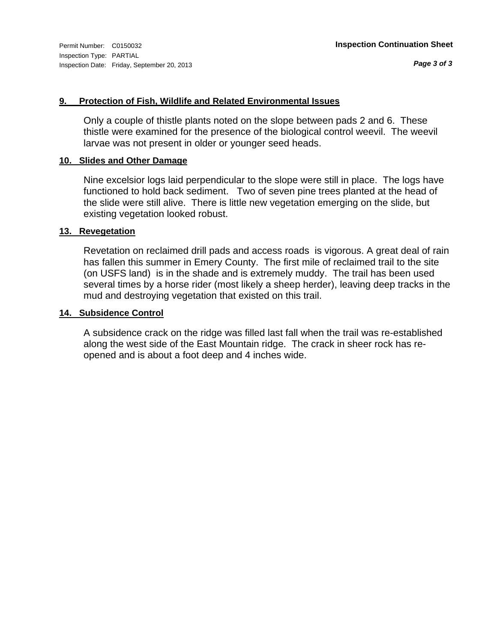#### **9. Protection of Fish, Wildlife and Related Environmental Issues**

Only a couple of thistle plants noted on the slope between pads 2 and 6. These thistle were examined for the presence of the biological control weevil. The weevil larvae was not present in older or younger seed heads.

#### **10. Slides and Other Damage**

Nine excelsior logs laid perpendicular to the slope were still in place. The logs have functioned to hold back sediment. Two of seven pine trees planted at the head of the slide were still alive. There is little new vegetation emerging on the slide, but existing vegetation looked robust.

#### **13. Revegetation**

Revetation on reclaimed drill pads and access roads is vigorous. A great deal of rain has fallen this summer in Emery County. The first mile of reclaimed trail to the site (on USFS land) is in the shade and is extremely muddy. The trail has been used several times by a horse rider (most likely a sheep herder), leaving deep tracks in the mud and destroying vegetation that existed on this trail.

#### **14. Subsidence Control**

A subsidence crack on the ridge was filled last fall when the trail was re-established along the west side of the East Mountain ridge. The crack in sheer rock has reopened and is about a foot deep and 4 inches wide.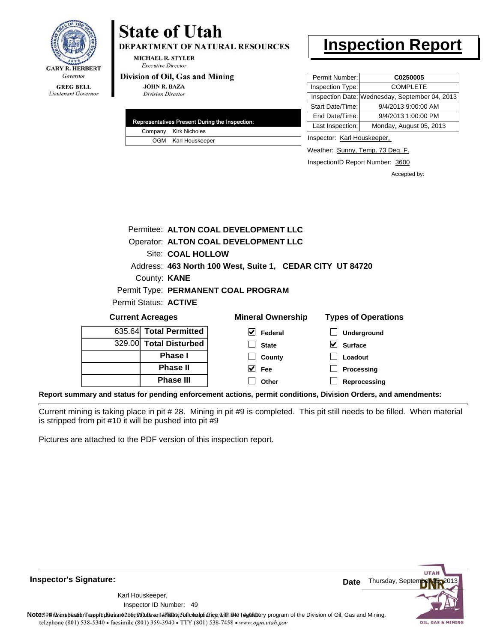

# **State of Utah**

**DEPARTMENT OF NATURAL RESOURCES** 

**MICHAEL R. STYLER Executive Director** 

#### Division of Oil, Gas and Mining

**JOHN R. BAZA Division Director** 

| Representatives Present During the Inspection: |
|------------------------------------------------|
| Company Kirk Nicholes                          |
| OGM Karl Houskeeper                            |

### **Inspection Report**

| Permit Number:   | C0250005                                       |
|------------------|------------------------------------------------|
| Inspection Type: | <b>COMPLETE</b>                                |
|                  | Inspection Date: Wednesday, September 04, 2013 |
| Start Date/Time: | 9/4/2013 9:00:00 AM                            |
| End Date/Time:   | 9/4/2013 1:00:00 PM                            |
| Last Inspection: | Monday, August 05, 2013                        |

Inspector: Karl Houskeeper,

Weather: Sunny, Temp. 73 Deg. F.

InspectionID Report Number: 3600

Accepted by:

|                         |                   | Permitee: ALTON COAL DEVELOPMENT LLC                      |                            |
|-------------------------|-------------------|-----------------------------------------------------------|----------------------------|
|                         |                   | Operator: ALTON COAL DEVELOPMENT LLC                      |                            |
|                         | Site: COAL HOLLOW |                                                           |                            |
|                         |                   | Address: 463 North 100 West, Suite 1, CEDAR CITY UT 84720 |                            |
| County: <b>KANE</b>     |                   |                                                           |                            |
|                         |                   | Permit Type: PERMANENT COAL PROGRAM                       |                            |
| Permit Status: ACTIVE   |                   |                                                           |                            |
| <b>Current Acreages</b> |                   | <b>Mineral Ownership</b>                                  | <b>Types of Operations</b> |
| 635.64 Total Permitted  |                   | Federal                                                   | <b>Underground</b>         |

| 635.64 <b>Total Permitted  </b> |
|---------------------------------|
| 329.00 Total Disturbed          |
| <b>Phase I</b>                  |
| <b>Phase II</b>                 |
| <b>Phase III</b>                |

| ral Ownership | l y |
|---------------|-----|
| Federal       |     |

| $\Box$ Underground |
|--------------------|
| $\vee$ Surface     |
| $\Box$ Loadout     |
| $\Box$ Processing  |

**Reprocessing Other**

**State County Fee**

**Report summary and status for pending enforcement actions, permit conditions, Division Orders, and amendments:**

Current mining is taking place in pit # 28. Mining in pit #9 is completed. This pit still needs to be filled. When material is stripped from pit #10 it will be pushed into pit #9

Pictures are attached to the PDF version of this inspection report.

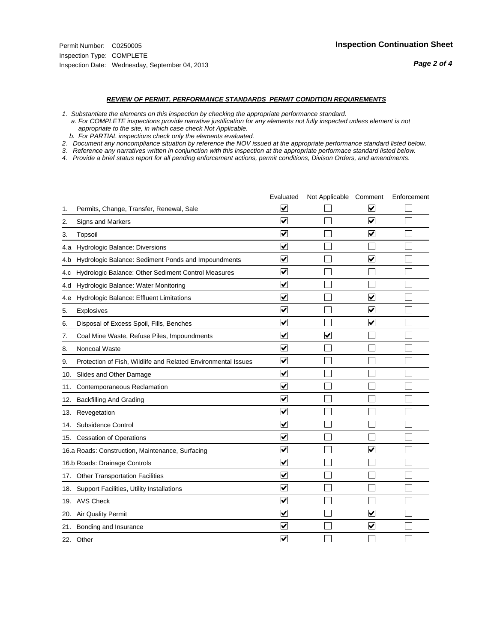#### *REVIEW OF PERMIT, PERFORMANCE STANDARDS PERMIT CONDITION REQUIREMENTS*

*1. Substantiate the elements on this inspection by checking the appropriate performance standard.*

 *a. For COMPLETE inspections provide narrative justification for any elements not fully inspected unless element is not appropriate to the site, in which case check Not Applicable.*

 *b. For PARTIAL inspections check only the elements evaluated.*

*2. Document any noncompliance situation by reference the NOV issued at the appropriate performance standard listed below.*

*3. Reference any narratives written in conjunction with this inspection at the appropriate performace standard listed below.*

|     |                                                               | Evaluated               | Not Applicable Comment  |                         | Enforcement |
|-----|---------------------------------------------------------------|-------------------------|-------------------------|-------------------------|-------------|
| 1.  | Permits, Change, Transfer, Renewal, Sale                      | ⊻                       |                         | V                       |             |
| 2.  | Signs and Markers                                             | $\overline{\mathbf{v}}$ |                         | $\blacktriangledown$    |             |
| 3.  | Topsoil                                                       | $\overline{\mathbf{v}}$ |                         | $\overline{\mathbf{v}}$ |             |
| 4.a | <b>Hydrologic Balance: Diversions</b>                         | $\overline{\mathsf{v}}$ |                         |                         |             |
| 4.b | Hydrologic Balance: Sediment Ponds and Impoundments           | $\blacktriangledown$    |                         | V                       |             |
| 4.C | Hydrologic Balance: Other Sediment Control Measures           | $\checkmark$            |                         |                         |             |
| 4.d | Hydrologic Balance: Water Monitoring                          | $\overline{\mathbf{v}}$ |                         |                         |             |
| 4.e | Hydrologic Balance: Effluent Limitations                      | $\overline{\mathbf{v}}$ |                         | $\blacktriangledown$    |             |
| 5.  | <b>Explosives</b>                                             | $\overline{\mathbf{v}}$ |                         | $\overline{\mathbf{v}}$ |             |
| 6.  | Disposal of Excess Spoil, Fills, Benches                      | $\blacktriangledown$    |                         | $\blacktriangledown$    |             |
| 7.  | Coal Mine Waste, Refuse Piles, Impoundments                   | $\overline{\mathsf{v}}$ | $\overline{\mathbf{v}}$ |                         |             |
| 8.  | Noncoal Waste                                                 | $\overline{\mathbf{v}}$ |                         |                         |             |
| 9.  | Protection of Fish, Wildlife and Related Environmental Issues | $\overline{\mathbf{v}}$ |                         |                         |             |
| 10. | Slides and Other Damage                                       | $\overline{\mathbf{v}}$ |                         |                         |             |
| 11. | Contemporaneous Reclamation                                   | ⊻                       |                         |                         |             |
| 12. | <b>Backfilling And Grading</b>                                | $\overline{\mathbf{v}}$ |                         |                         |             |
| 13. | Revegetation                                                  | $\overline{\mathbf{v}}$ |                         |                         |             |
| 14. | Subsidence Control                                            | $\overline{\mathbf{v}}$ |                         |                         |             |
|     | 15. Cessation of Operations                                   | $\overline{\mathbf{v}}$ |                         |                         |             |
|     | 16.a Roads: Construction, Maintenance, Surfacing              | $\overline{\mathsf{v}}$ |                         | $\blacktriangledown$    |             |
|     | 16.b Roads: Drainage Controls                                 | $\blacktriangledown$    |                         |                         |             |
| 17. | <b>Other Transportation Facilities</b>                        | $\overline{\mathbf{v}}$ |                         |                         |             |
| 18. | Support Facilities, Utility Installations                     | $\overline{\mathbf{v}}$ |                         |                         |             |
| 19. | <b>AVS Check</b>                                              | $\overline{\mathbf{v}}$ |                         |                         |             |
| 20. | <b>Air Quality Permit</b>                                     | $\checkmark$            |                         | $\blacktriangledown$    |             |
| 21. | Bonding and Insurance                                         | $\blacktriangledown$    |                         | $\blacktriangledown$    |             |
|     | 22. Other                                                     | $\overline{\mathbf{v}}$ |                         |                         |             |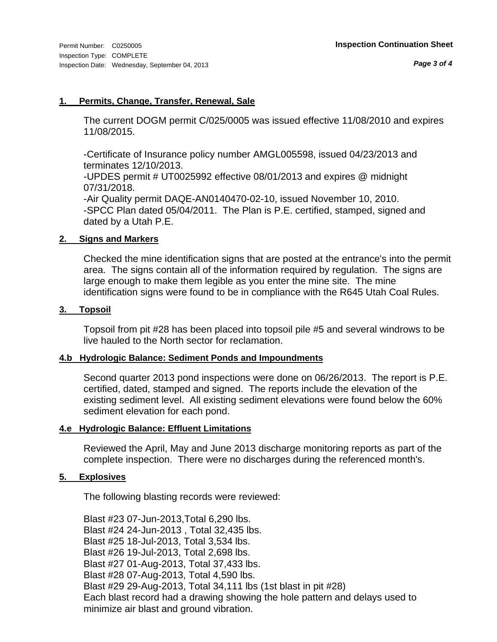# **1. Permits, Change, Transfer, Renewal, Sale**

The current DOGM permit C/025/0005 was issued effective 11/08/2010 and expires 11/08/2015.

-Certificate of Insurance policy number AMGL005598, issued 04/23/2013 and terminates 12/10/2013.

-UPDES permit # UT0025992 effective 08/01/2013 and expires @ midnight 07/31/2018.

-Air Quality permit DAQE-AN0140470-02-10, issued November 10, 2010. -SPCC Plan dated 05/04/2011. The Plan is P.E. certified, stamped, signed and dated by a Utah P.E.

# **2. Signs and Markers**

Checked the mine identification signs that are posted at the entrance's into the permit area. The signs contain all of the information required by regulation. The signs are large enough to make them legible as you enter the mine site. The mine identification signs were found to be in compliance with the R645 Utah Coal Rules.

# **3. Topsoil**

Topsoil from pit #28 has been placed into topsoil pile #5 and several windrows to be live hauled to the North sector for reclamation.

# **4.b Hydrologic Balance: Sediment Ponds and Impoundments**

Second quarter 2013 pond inspections were done on 06/26/2013. The report is P.E. certified, dated, stamped and signed. The reports include the elevation of the existing sediment level. All existing sediment elevations were found below the 60% sediment elevation for each pond.

# **4.e Hydrologic Balance: Effluent Limitations**

Reviewed the April, May and June 2013 discharge monitoring reports as part of the complete inspection. There were no discharges during the referenced month's.

#### **5. Explosives**

The following blasting records were reviewed:

Blast #23 07-Jun-2013,Total 6,290 lbs. Blast #24 24-Jun-2013 , Total 32,435 lbs. Blast #25 18-Jul-2013, Total 3,534 lbs. Blast #26 19-Jul-2013, Total 2,698 lbs. Blast #27 01-Aug-2013, Total 37,433 lbs. Blast #28 07-Aug-2013, Total 4,590 lbs. Blast #29 29-Aug-2013, Total 34,111 lbs (1st blast in pit #28) Each blast record had a drawing showing the hole pattern and delays used to minimize air blast and ground vibration.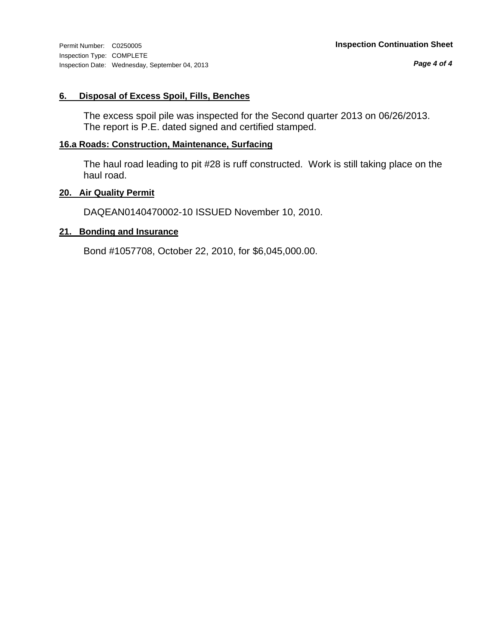Inspection Type: COMPLETE Inspection Date: Wednesday, September 04, 2013

# **6. Disposal of Excess Spoil, Fills, Benches**

The excess spoil pile was inspected for the Second quarter 2013 on 06/26/2013. The report is P.E. dated signed and certified stamped.

# **16.a Roads: Construction, Maintenance, Surfacing**

The haul road leading to pit #28 is ruff constructed. Work is still taking place on the haul road.

#### **20. Air Quality Permit**

DAQEAN0140470002-10 ISSUED November 10, 2010.

#### **21. Bonding and Insurance**

Bond #1057708, October 22, 2010, for \$6,045,000.00.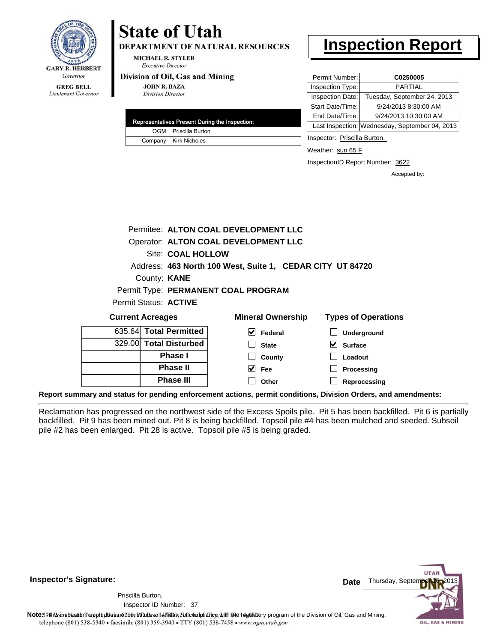

# **State of Utah**

**DEPARTMENT OF NATURAL RESOURCES** 

**MICHAEL R. STYLER Executive Director** 

#### Division of Oil, Gas and Mining

**JOHN R. BAZA Division Director** 

| Representatives Present During the Inspection: |
|------------------------------------------------|
| OGM Priscilla Burton                           |
| Company Kirk Nicholes                          |

# **Inspection Report**

| Permit Number:   | C0250005                                       |
|------------------|------------------------------------------------|
| Inspection Type: | <b>PARTIAL</b>                                 |
| Inspection Date: | Tuesday, September 24, 2013                    |
| Start Date/Time: | 9/24/2013 8:30:00 AM                           |
| End Date/Time:   | 9/24/2013 10:30:00 AM                          |
|                  | Last Inspection: Wednesday, September 04, 2013 |
|                  |                                                |

Inspector: Priscilla Burton,

**Loadout Processing**

Weather: sun 65 F

InspectionID Report Number: 3622

Accepted by:

|                         |                        | Permitee: ALTON COAL DEVELOPMENT LLC |                          |                                                           |
|-------------------------|------------------------|--------------------------------------|--------------------------|-----------------------------------------------------------|
|                         |                        | Operator: ALTON COAL DEVELOPMENT LLC |                          |                                                           |
|                         | Site: COAL HOLLOW      |                                      |                          |                                                           |
|                         |                        |                                      |                          | Address: 463 North 100 West, Suite 1, CEDAR CITY UT 84720 |
|                         | County: <b>KANE</b>    |                                      |                          |                                                           |
|                         |                        | Permit Type: PERMANENT COAL PROGRAM  |                          |                                                           |
| Permit Status: ACTIVE   |                        |                                      |                          |                                                           |
| <b>Current Acreages</b> |                        |                                      | <b>Mineral Ownership</b> | <b>Types of Operations</b>                                |
|                         | 635.64 Total Permitted | V                                    | Federal                  | <b>Underground</b>                                        |
|                         | 329.00 Total Disturbed |                                      | <b>State</b>             | <b>Surface</b>                                            |

**Reprocessing Report summary and status for pending enforcement actions, permit conditions, Division Orders, and amendments:**

**Phase I Phase II Phase III**

Reclamation has progressed on the northwest side of the Excess Spoils pile. Pit 5 has been backfilled. Pit 6 is partially backfilled. Pit 9 has been mined out. Pit 8 is being backfilled. Topsoil pile #4 has been mulched and seeded. Subsoil pile #2 has been enlarged. Pit 28 is active. Topsoil pile #5 is being graded.

**County Fee Other**



**Inspector's Signature:**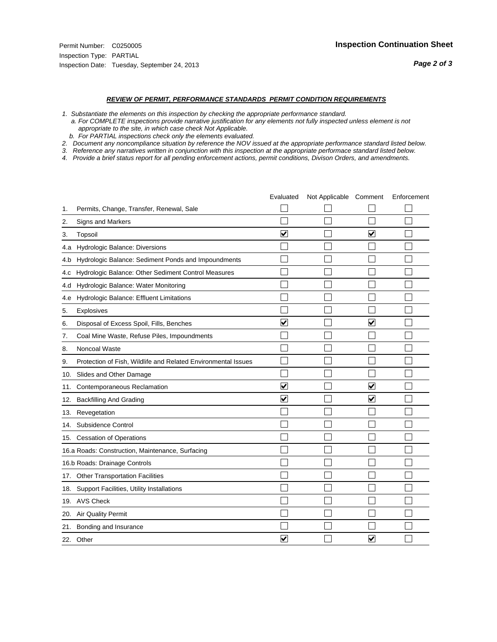*Page 2 of 3*

#### *REVIEW OF PERMIT, PERFORMANCE STANDARDS PERMIT CONDITION REQUIREMENTS*

*1. Substantiate the elements on this inspection by checking the appropriate performance standard.*

 *a. For COMPLETE inspections provide narrative justification for any elements not fully inspected unless element is not appropriate to the site, in which case check Not Applicable.*

 *b. For PARTIAL inspections check only the elements evaluated.*

*2. Document any noncompliance situation by reference the NOV issued at the appropriate performance standard listed below.*

*3. Reference any narratives written in conjunction with this inspection at the appropriate performace standard listed below.*

*4. Provide a brief status report for all pending enforcement actions, permit conditions, Divison Orders, and amendments.*

|     |                                                               | Evaluated               | Not Applicable Comment |                         | Enforcement |
|-----|---------------------------------------------------------------|-------------------------|------------------------|-------------------------|-------------|
| 1.  | Permits, Change, Transfer, Renewal, Sale                      |                         |                        |                         |             |
| 2.  | Signs and Markers                                             |                         |                        |                         |             |
| 3.  | Topsoil                                                       | $\overline{\mathbf{v}}$ |                        | $\overline{\mathbf{v}}$ |             |
| 4.a | Hydrologic Balance: Diversions                                |                         |                        |                         |             |
| 4.b | Hydrologic Balance: Sediment Ponds and Impoundments           |                         |                        |                         |             |
| 4.C | Hydrologic Balance: Other Sediment Control Measures           |                         |                        |                         |             |
| 4.d | Hydrologic Balance: Water Monitoring                          |                         |                        |                         |             |
| 4.e | Hydrologic Balance: Effluent Limitations                      |                         |                        |                         |             |
| 5.  | <b>Explosives</b>                                             |                         |                        |                         |             |
| 6.  | Disposal of Excess Spoil, Fills, Benches                      | $\blacktriangledown$    |                        | $\blacktriangledown$    |             |
| 7.  | Coal Mine Waste, Refuse Piles, Impoundments                   |                         |                        |                         |             |
| 8.  | Noncoal Waste                                                 |                         |                        |                         |             |
| 9.  | Protection of Fish, Wildlife and Related Environmental Issues |                         |                        |                         |             |
| 10. | Slides and Other Damage                                       |                         |                        |                         |             |
| 11. | Contemporaneous Reclamation                                   | V                       |                        | V                       |             |
| 12. | <b>Backfilling And Grading</b>                                | $\overline{\mathbf{v}}$ |                        | $\overline{\mathbf{v}}$ |             |
| 13. | Revegetation                                                  |                         |                        |                         |             |
| 14. | Subsidence Control                                            |                         |                        |                         |             |
|     | 15. Cessation of Operations                                   |                         |                        |                         |             |
|     | 16.a Roads: Construction, Maintenance, Surfacing              |                         |                        |                         |             |
|     | 16.b Roads: Drainage Controls                                 |                         |                        |                         |             |
| 17. | <b>Other Transportation Facilities</b>                        |                         |                        |                         |             |
| 18. | Support Facilities, Utility Installations                     |                         |                        |                         |             |
|     | 19. AVS Check                                                 |                         |                        |                         |             |
| 20. | Air Quality Permit                                            |                         |                        |                         |             |
| 21. | Bonding and Insurance                                         |                         |                        |                         |             |
|     | 22. Other                                                     | $\overline{\mathbf{v}}$ |                        | V                       |             |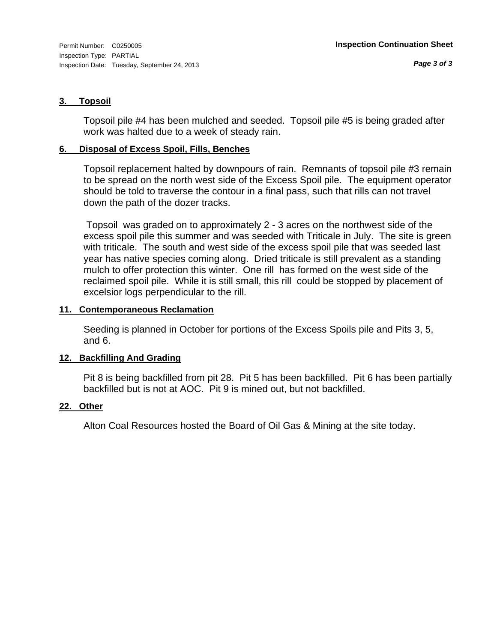# **3. Topsoil**

Topsoil pile #4 has been mulched and seeded. Topsoil pile #5 is being graded after work was halted due to a week of steady rain.

# **6. Disposal of Excess Spoil, Fills, Benches**

Topsoil replacement halted by downpours of rain. Remnants of topsoil pile #3 remain to be spread on the north west side of the Excess Spoil pile. The equipment operator should be told to traverse the contour in a final pass, such that rills can not travel down the path of the dozer tracks.

 Topsoil was graded on to approximately 2 - 3 acres on the northwest side of the excess spoil pile this summer and was seeded with Triticale in July. The site is green with triticale. The south and west side of the excess spoil pile that was seeded last year has native species coming along. Dried triticale is still prevalent as a standing mulch to offer protection this winter. One rill has formed on the west side of the reclaimed spoil pile. While it is still small, this rill could be stopped by placement of excelsior logs perpendicular to the rill.

# **11. Contemporaneous Reclamation**

Seeding is planned in October for portions of the Excess Spoils pile and Pits 3, 5, and 6.

# **12. Backfilling And Grading**

Pit 8 is being backfilled from pit 28. Pit 5 has been backfilled. Pit 6 has been partially backfilled but is not at AOC. Pit 9 is mined out, but not backfilled.

# **22. Other**

Alton Coal Resources hosted the Board of Oil Gas & Mining at the site today.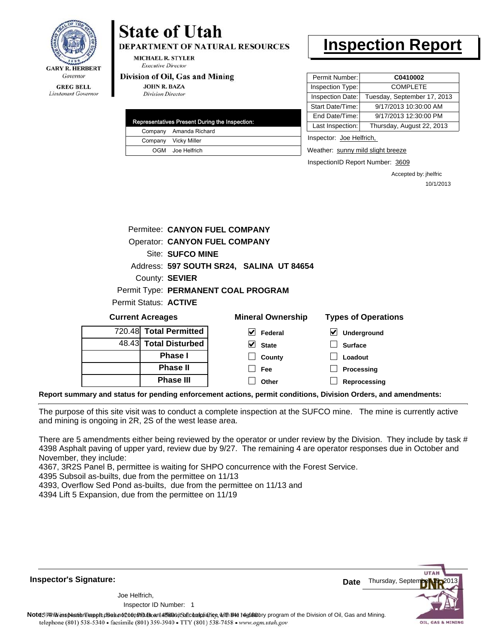

# **State of Utah**

**DEPARTMENT OF NATURAL RESOURCES** 

**MICHAEL R. STYLER Executive Director** 

#### Division of Oil, Gas and Mining

**JOHN R. BAZA Division Director** 

| Representatives Present During the Inspection: |
|------------------------------------------------|
| Company Amanda Richard                         |
| Company Vicky Miller                           |
| OGM Joe Helfrich                               |

# **Inspection Report**

| Permit Number:   | C0410002                    |
|------------------|-----------------------------|
| Inspection Type: | <b>COMPLETE</b>             |
| Inspection Date: | Tuesday, September 17, 2013 |
| Start Date/Time: | 9/17/2013 10:30:00 AM       |
| End Date/Time:   | 9/17/2013 12:30:00 PM       |
| Last Inspection: | Thursday, August 22, 2013   |
|                  |                             |

Inspector: Joe Helfrich,

Weather: sunny mild slight breeze

**Processing**

InspectionID Report Number: 3609

Accepted by: jhelfric 10/1/2013

| Permitee: CANYON FUEL COMPANY        |                                          |                            |
|--------------------------------------|------------------------------------------|----------------------------|
| <b>Operator: CANYON FUEL COMPANY</b> |                                          |                            |
| <b>Site: SUFCO MINE</b>              |                                          |                            |
|                                      | Address: 597 SOUTH SR24, SALINA UT 84654 |                            |
| County: SEVIER                       |                                          |                            |
|                                      | Permit Type: PERMANENT COAL PROGRAM      |                            |
| Permit Status: <b>ACTIVE</b>         |                                          |                            |
| <b>Current Acreages</b>              | <b>Mineral Ownership</b>                 | <b>Types of Operations</b> |
| 720.48 Total Permitted               | M<br>Federal                             | V<br>Underground           |
| 48.43 Total Disturbed                | <b>State</b>                             | <b>Surface</b>             |
| <b>Phase I</b>                       | County                                   | Loadout                    |

**Reprocessing Report summary and status for pending enforcement actions, permit conditions, Division Orders, and amendments:**

The purpose of this site visit was to conduct a complete inspection at the SUFCO mine. The mine is currently active and mining is ongoing in 2R, 2S of the west lease area.

**Fee Other**

There are 5 amendments either being reviewed by the operator or under review by the Division. They include by task # 4398 Asphalt paving of upper yard, review due by 9/27. The remaining 4 are operator responses due in October and November, they include:

4367, 3R2S Panel B, permittee is waiting for SHPO concurrence with the Forest Service.

4395 Subsoil as-builts, due from the permittee on 11/13

4393, Overflow Sed Pond as-builts, due from the permittee on 11/13 and

**Phase II Phase III**

4394 Lift 5 Expansion, due from the permittee on 11/19



Note59#hViesbeattbril repple.does not constitute and affidavit Saft chalphiance with the fegulatory program of the Division of Oil, Gas and Mining.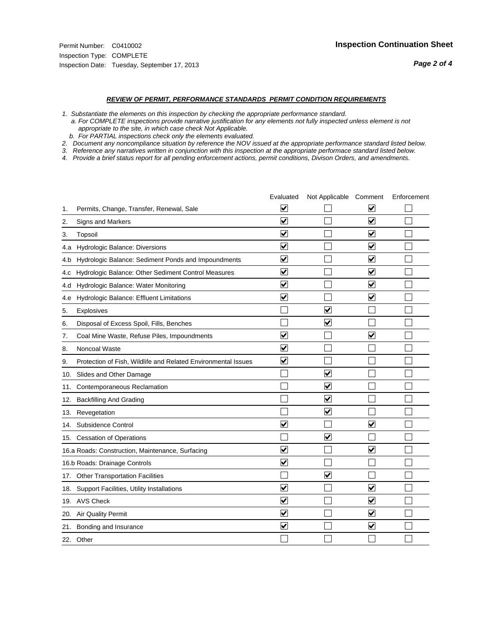*Page 2 of 4*

#### *REVIEW OF PERMIT, PERFORMANCE STANDARDS PERMIT CONDITION REQUIREMENTS*

*1. Substantiate the elements on this inspection by checking the appropriate performance standard.*

 *a. For COMPLETE inspections provide narrative justification for any elements not fully inspected unless element is not appropriate to the site, in which case check Not Applicable.*

 *b. For PARTIAL inspections check only the elements evaluated.*

*2. Document any noncompliance situation by reference the NOV issued at the appropriate performance standard listed below.*

*3. Reference any narratives written in conjunction with this inspection at the appropriate performace standard listed below.*

*4. Provide a brief status report for all pending enforcement actions, permit conditions, Divison Orders, and amendments.*

|     |                                                               | Evaluated               | Not Applicable Comment          |                         | Enforcement |
|-----|---------------------------------------------------------------|-------------------------|---------------------------------|-------------------------|-------------|
| 1.  | Permits, Change, Transfer, Renewal, Sale                      | ⊻                       |                                 | V                       |             |
| 2.  | Signs and Markers                                             | $\overline{\mathbf{v}}$ |                                 | $\blacktriangledown$    |             |
| 3.  | Topsoil                                                       | $\overline{\mathbf{v}}$ |                                 | $\overline{\mathbf{v}}$ |             |
| 4.a | <b>Hydrologic Balance: Diversions</b>                         | $\overline{\mathsf{v}}$ |                                 | $\blacktriangledown$    |             |
| 4.b | Hydrologic Balance: Sediment Ponds and Impoundments           | $\blacktriangledown$    |                                 | $\blacktriangledown$    |             |
| 4.C | Hydrologic Balance: Other Sediment Control Measures           | $\checkmark$            |                                 | $\blacktriangledown$    |             |
| 4.d | Hydrologic Balance: Water Monitoring                          | $\overline{\mathbf{v}}$ |                                 | $\blacktriangledown$    |             |
| 4.e | Hydrologic Balance: Effluent Limitations                      | $\overline{\mathbf{v}}$ |                                 | $\blacktriangledown$    |             |
| 5.  | <b>Explosives</b>                                             |                         | $\overline{\mathbf{v}}$         |                         |             |
| 6.  | Disposal of Excess Spoil, Fills, Benches                      |                         | $\blacktriangledown$            |                         |             |
| 7.  | Coal Mine Waste, Refuse Piles, Impoundments                   | $\overline{\mathsf{v}}$ |                                 | $\overline{\mathbf{v}}$ |             |
| 8.  | Noncoal Waste                                                 | $\overline{\mathbf{v}}$ |                                 |                         |             |
| 9.  | Protection of Fish, Wildlife and Related Environmental Issues | $\overline{\mathbf{v}}$ |                                 |                         |             |
| 10. | Slides and Other Damage                                       |                         | $\overline{\mathsf{v}}$         |                         |             |
| 11. | Contemporaneous Reclamation                                   |                         | ⊻                               |                         |             |
| 12. | <b>Backfilling And Grading</b>                                |                         | $\blacktriangledown$            |                         |             |
| 13. | Revegetation                                                  |                         | $\overline{\mathbf{v}}$         |                         |             |
| 14. | Subsidence Control                                            | $\overline{\mathbf{v}}$ |                                 | $\blacktriangledown$    |             |
|     | 15. Cessation of Operations                                   |                         | $\blacktriangledown$            |                         |             |
|     | 16.a Roads: Construction, Maintenance, Surfacing              | ⊽                       |                                 | $\blacktriangledown$    |             |
|     | 16.b Roads: Drainage Controls                                 | $\blacktriangledown$    |                                 |                         |             |
| 17. | <b>Other Transportation Facilities</b>                        |                         | $\overline{\blacktriangledown}$ |                         |             |
| 18. | Support Facilities, Utility Installations                     | $\overline{\mathbf{v}}$ |                                 | $\blacktriangledown$    |             |
|     | 19. AVS Check                                                 | $\overline{\mathbf{v}}$ |                                 | $\blacktriangledown$    |             |
| 20. | <b>Air Quality Permit</b>                                     | $\checkmark$            |                                 | $\blacktriangledown$    |             |
| 21. | Bonding and Insurance                                         | $\overline{\mathbf{v}}$ |                                 | $\blacktriangledown$    |             |
|     | 22. Other                                                     |                         |                                 |                         |             |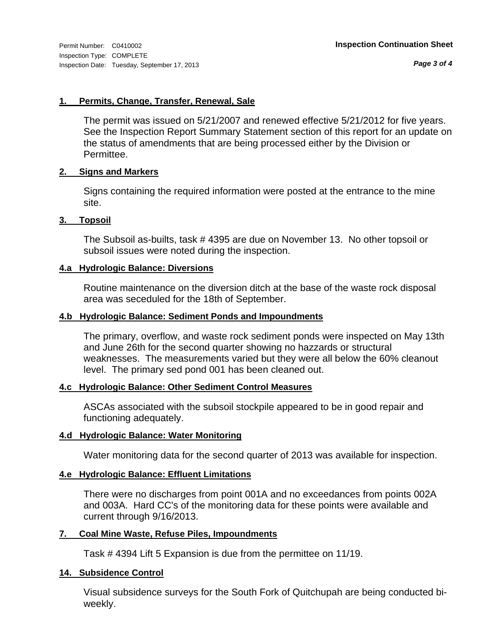*Page 3 of 4*

# **1. Permits, Change, Transfer, Renewal, Sale**

The permit was issued on 5/21/2007 and renewed effective 5/21/2012 for five years. See the Inspection Report Summary Statement section of this report for an update on the status of amendments that are being processed either by the Division or Permittee.

# **2. Signs and Markers**

Signs containing the required information were posted at the entrance to the mine site.

# **3. Topsoil**

The Subsoil as-builts, task # 4395 are due on November 13. No other topsoil or subsoil issues were noted during the inspection.

# **4.a Hydrologic Balance: Diversions**

Routine maintenance on the diversion ditch at the base of the waste rock disposal area was seceduled for the 18th of September.

# **4.b Hydrologic Balance: Sediment Ponds and Impoundments**

The primary, overflow, and waste rock sediment ponds were inspected on May 13th and June 26th for the second quarter showing no hazzards or structural weaknesses. The measurements varied but they were all below the 60% cleanout level. The primary sed pond 001 has been cleaned out.

# **4.c Hydrologic Balance: Other Sediment Control Measures**

ASCAs associated with the subsoil stockpile appeared to be in good repair and functioning adequately.

# **4.d Hydrologic Balance: Water Monitoring**

Water monitoring data for the second quarter of 2013 was available for inspection.

# **4.e Hydrologic Balance: Effluent Limitations**

There were no discharges from point 001A and no exceedances from points 002A and 003A. Hard CC's of the monitoring data for these points were available and current through 9/16/2013.

# **7. Coal Mine Waste, Refuse Piles, Impoundments**

Task # 4394 Lift 5 Expansion is due from the permittee on 11/19.

# **14. Subsidence Control**

Visual subsidence surveys for the South Fork of Quitchupah are being conducted biweekly.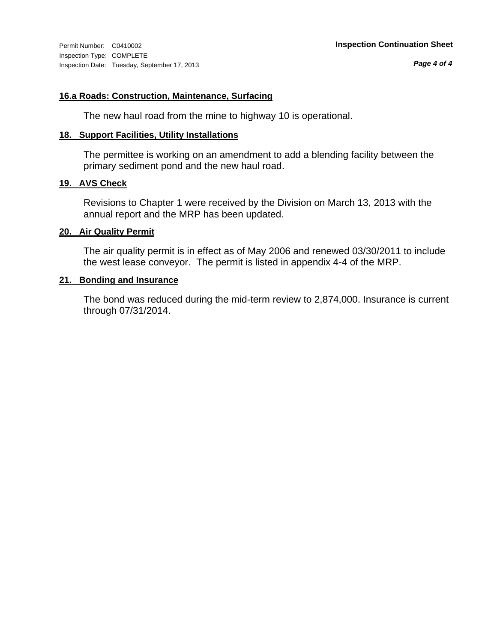# **16.a Roads: Construction, Maintenance, Surfacing**

The new haul road from the mine to highway 10 is operational.

# **18. Support Facilities, Utility Installations**

The permittee is working on an amendment to add a blending facility between the primary sediment pond and the new haul road.

# **19. AVS Check**

Revisions to Chapter 1 were received by the Division on March 13, 2013 with the annual report and the MRP has been updated.

# **20. Air Quality Permit**

The air quality permit is in effect as of May 2006 and renewed 03/30/2011 to include the west lease conveyor. The permit is listed in appendix 4-4 of the MRP.

# **21. Bonding and Insurance**

The bond was reduced during the mid-term review to 2,874,000. Insurance is current through 07/31/2014.